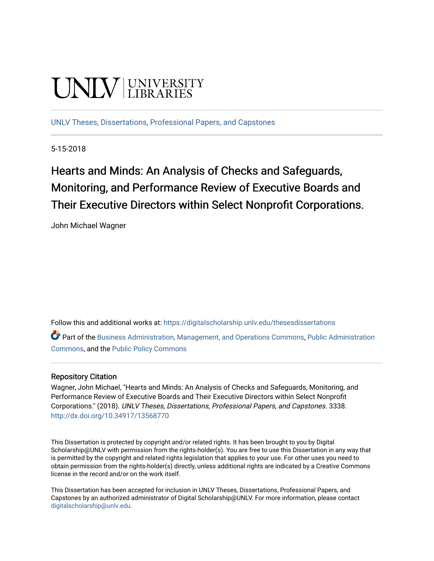# **UNIV UNIVERSITY**

[UNLV Theses, Dissertations, Professional Papers, and Capstones](https://digitalscholarship.unlv.edu/thesesdissertations)

5-15-2018

Hearts and Minds: An Analysis of Checks and Safeguards, Monitoring, and Performance Review of Executive Boards and Their Executive Directors within Select Nonprofit Corporations.

John Michael Wagner

Follow this and additional works at: [https://digitalscholarship.unlv.edu/thesesdissertations](https://digitalscholarship.unlv.edu/thesesdissertations?utm_source=digitalscholarship.unlv.edu%2Fthesesdissertations%2F3338&utm_medium=PDF&utm_campaign=PDFCoverPages)

Part of the [Business Administration, Management, and Operations Commons](http://network.bepress.com/hgg/discipline/623?utm_source=digitalscholarship.unlv.edu%2Fthesesdissertations%2F3338&utm_medium=PDF&utm_campaign=PDFCoverPages), Public Administration [Commons](http://network.bepress.com/hgg/discipline/398?utm_source=digitalscholarship.unlv.edu%2Fthesesdissertations%2F3338&utm_medium=PDF&utm_campaign=PDFCoverPages), and the [Public Policy Commons](http://network.bepress.com/hgg/discipline/400?utm_source=digitalscholarship.unlv.edu%2Fthesesdissertations%2F3338&utm_medium=PDF&utm_campaign=PDFCoverPages) 

#### Repository Citation

Wagner, John Michael, "Hearts and Minds: An Analysis of Checks and Safeguards, Monitoring, and Performance Review of Executive Boards and Their Executive Directors within Select Nonprofit Corporations." (2018). UNLV Theses, Dissertations, Professional Papers, and Capstones. 3338. <http://dx.doi.org/10.34917/13568770>

This Dissertation is protected by copyright and/or related rights. It has been brought to you by Digital Scholarship@UNLV with permission from the rights-holder(s). You are free to use this Dissertation in any way that is permitted by the copyright and related rights legislation that applies to your use. For other uses you need to obtain permission from the rights-holder(s) directly, unless additional rights are indicated by a Creative Commons license in the record and/or on the work itself.

This Dissertation has been accepted for inclusion in UNLV Theses, Dissertations, Professional Papers, and Capstones by an authorized administrator of Digital Scholarship@UNLV. For more information, please contact [digitalscholarship@unlv.edu](mailto:digitalscholarship@unlv.edu).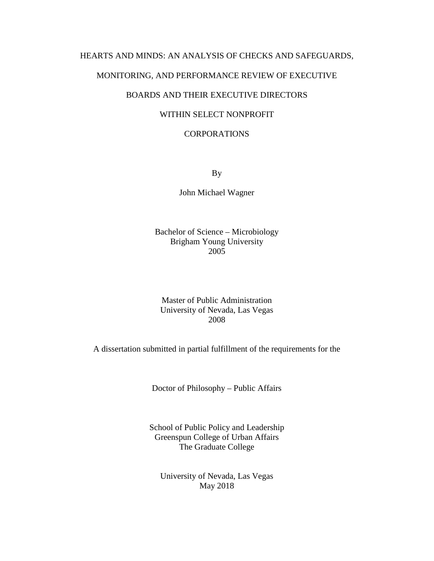## HEARTS AND MINDS: AN ANALYSIS OF CHECKS AND SAFEGUARDS,

#### MONITORING, AND PERFORMANCE REVIEW OF EXECUTIVE

## BOARDS AND THEIR EXECUTIVE DIRECTORS

### WITHIN SELECT NONPROFIT

#### CORPORATIONS

By

John Michael Wagner

Bachelor of Science – Microbiology Brigham Young University 2005

Master of Public Administration University of Nevada, Las Vegas 2008

A dissertation submitted in partial fulfillment of the requirements for the

Doctor of Philosophy – Public Affairs

School of Public Policy and Leadership Greenspun College of Urban Affairs The Graduate College

University of Nevada, Las Vegas May 2018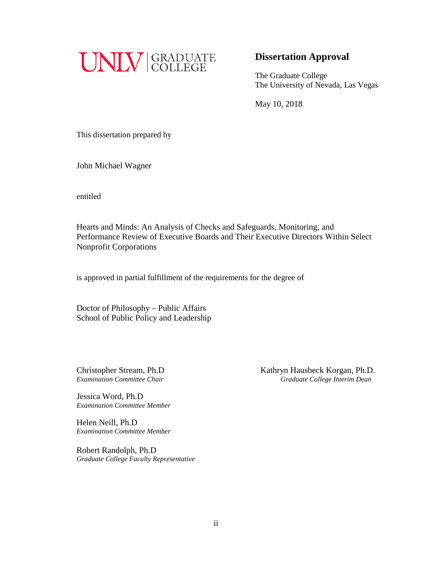

## **Dissertation Approval**

The Graduate College The University of Nevada, Las Vegas

May 10, 2018

This dissertation prepared by

John Michael Wagner

entitled

Hearts and Minds: An Analysis of Checks and Safeguards, Monitoring, and Performance Review of Executive Boards and Their Executive Directors Within Select Nonprofit Corporations

is approved in partial fulfillment of the requirements for the degree of

Doctor of Philosophy – Public Affairs School of Public Policy and Leadership

Jessica Word, Ph.D *Examination Committee Member*

Helen Neill, Ph.D *Examination Committee Member*

Robert Randolph, Ph.D *Graduate College Faculty Representative*

Christopher Stream, Ph.D<br> *Examination Committee Chair*<br> *Craduate College Interim Dean Examination Committee Chair Graduate College Interim Dean*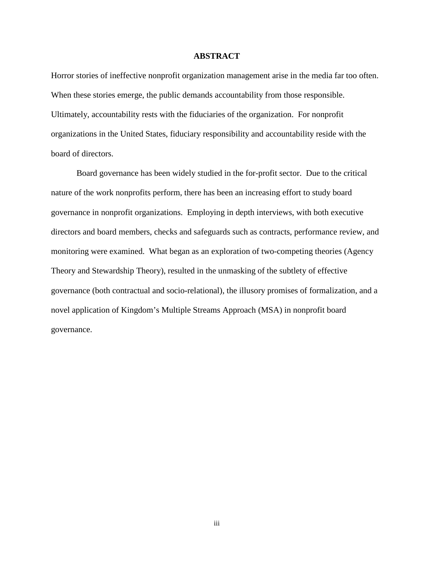#### **ABSTRACT**

Horror stories of ineffective nonprofit organization management arise in the media far too often. When these stories emerge, the public demands accountability from those responsible. Ultimately, accountability rests with the fiduciaries of the organization. For nonprofit organizations in the United States, fiduciary responsibility and accountability reside with the board of directors.

Board governance has been widely studied in the for-profit sector. Due to the critical nature of the work nonprofits perform, there has been an increasing effort to study board governance in nonprofit organizations. Employing in depth interviews, with both executive directors and board members, checks and safeguards such as contracts, performance review, and monitoring were examined. What began as an exploration of two-competing theories (Agency Theory and Stewardship Theory), resulted in the unmasking of the subtlety of effective governance (both contractual and socio-relational), the illusory promises of formalization, and a novel application of Kingdom's Multiple Streams Approach (MSA) in nonprofit board governance.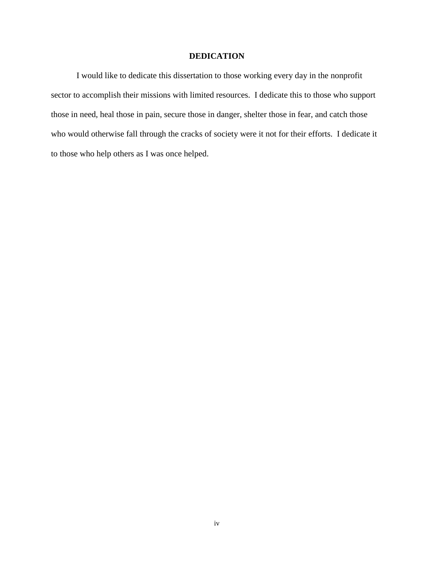#### **DEDICATION**

I would like to dedicate this dissertation to those working every day in the nonprofit sector to accomplish their missions with limited resources. I dedicate this to those who support those in need, heal those in pain, secure those in danger, shelter those in fear, and catch those who would otherwise fall through the cracks of society were it not for their efforts. I dedicate it to those who help others as I was once helped.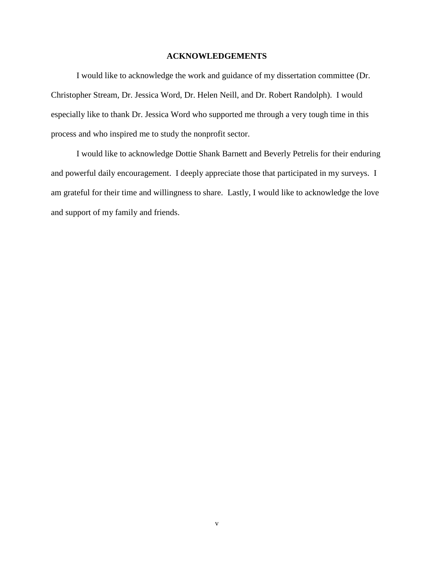#### **ACKNOWLEDGEMENTS**

I would like to acknowledge the work and guidance of my dissertation committee (Dr. Christopher Stream, Dr. Jessica Word, Dr. Helen Neill, and Dr. Robert Randolph). I would especially like to thank Dr. Jessica Word who supported me through a very tough time in this process and who inspired me to study the nonprofit sector.

I would like to acknowledge Dottie Shank Barnett and Beverly Petrelis for their enduring and powerful daily encouragement. I deeply appreciate those that participated in my surveys. I am grateful for their time and willingness to share. Lastly, I would like to acknowledge the love and support of my family and friends.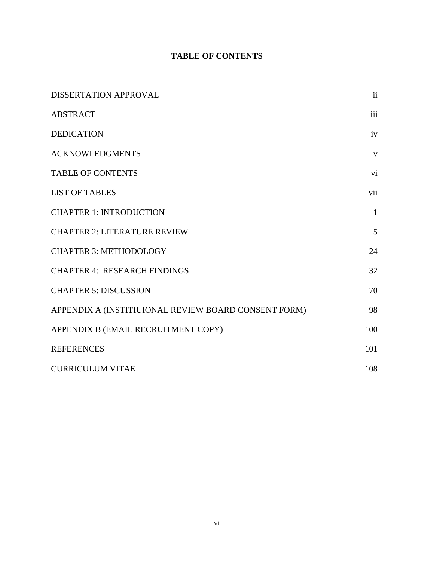## **TABLE OF CONTENTS**

| DISSERTATION APPROVAL                                | $\mathbf{ii}$ |
|------------------------------------------------------|---------------|
| <b>ABSTRACT</b>                                      | iii           |
| <b>DEDICATION</b>                                    | iv            |
| <b>ACKNOWLEDGMENTS</b>                               | V             |
| <b>TABLE OF CONTENTS</b>                             | vi            |
| <b>LIST OF TABLES</b>                                | vii           |
| <b>CHAPTER 1: INTRODUCTION</b>                       | $\mathbf{1}$  |
| <b>CHAPTER 2: LITERATURE REVIEW</b>                  | 5             |
| <b>CHAPTER 3: METHODOLOGY</b>                        | 24            |
| <b>CHAPTER 4: RESEARCH FINDINGS</b>                  | 32            |
| <b>CHAPTER 5: DISCUSSION</b>                         | 70            |
| APPENDIX A (INSTITIUIONAL REVIEW BOARD CONSENT FORM) | 98            |
| APPENDIX B (EMAIL RECRUITMENT COPY)                  | 100           |
| <b>REFERENCES</b>                                    | 101           |
| <b>CURRICULUM VITAE</b>                              | 108           |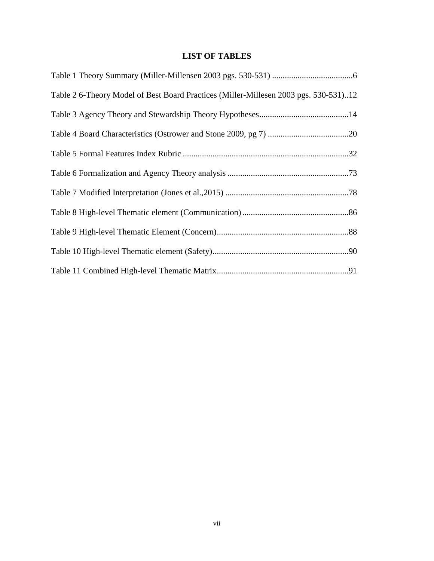## **LIST OF TABLES**

| Table 2 6-Theory Model of Best Board Practices (Miller-Millesen 2003 pgs. 530-531)12 |  |
|--------------------------------------------------------------------------------------|--|
|                                                                                      |  |
|                                                                                      |  |
|                                                                                      |  |
|                                                                                      |  |
|                                                                                      |  |
|                                                                                      |  |
|                                                                                      |  |
|                                                                                      |  |
|                                                                                      |  |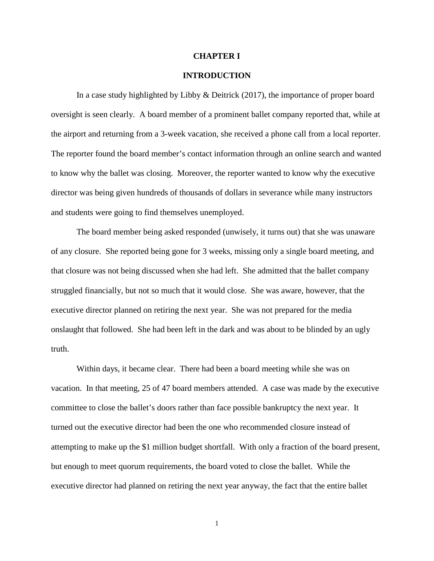#### **CHAPTER I**

#### **INTRODUCTION**

In a case study highlighted by Libby & Deitrick (2017), the importance of proper board oversight is seen clearly. A board member of a prominent ballet company reported that, while at the airport and returning from a 3-week vacation, she received a phone call from a local reporter. The reporter found the board member's contact information through an online search and wanted to know why the ballet was closing. Moreover, the reporter wanted to know why the executive director was being given hundreds of thousands of dollars in severance while many instructors and students were going to find themselves unemployed.

The board member being asked responded (unwisely, it turns out) that she was unaware of any closure. She reported being gone for 3 weeks, missing only a single board meeting, and that closure was not being discussed when she had left. She admitted that the ballet company struggled financially, but not so much that it would close. She was aware, however, that the executive director planned on retiring the next year. She was not prepared for the media onslaught that followed. She had been left in the dark and was about to be blinded by an ugly truth.

Within days, it became clear. There had been a board meeting while she was on vacation. In that meeting, 25 of 47 board members attended. A case was made by the executive committee to close the ballet's doors rather than face possible bankruptcy the next year. It turned out the executive director had been the one who recommended closure instead of attempting to make up the \$1 million budget shortfall. With only a fraction of the board present, but enough to meet quorum requirements, the board voted to close the ballet. While the executive director had planned on retiring the next year anyway, the fact that the entire ballet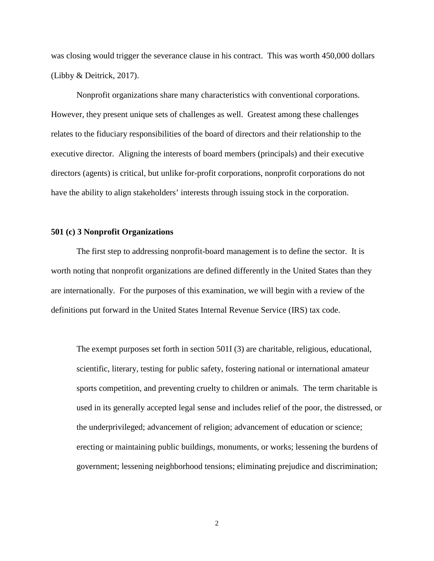was closing would trigger the severance clause in his contract. This was worth 450,000 dollars (Libby & Deitrick, 2017).

Nonprofit organizations share many characteristics with conventional corporations. However, they present unique sets of challenges as well. Greatest among these challenges relates to the fiduciary responsibilities of the board of directors and their relationship to the executive director. Aligning the interests of board members (principals) and their executive directors (agents) is critical, but unlike for-profit corporations, nonprofit corporations do not have the ability to align stakeholders' interests through issuing stock in the corporation.

#### **501 (c) 3 Nonprofit Organizations**

The first step to addressing nonprofit-board management is to define the sector. It is worth noting that nonprofit organizations are defined differently in the United States than they are internationally. For the purposes of this examination, we will begin with a review of the definitions put forward in the United States Internal Revenue Service (IRS) tax code.

The exempt purposes set forth in section 501I (3) are charitable, religious, educational, scientific, literary, testing for public safety, fostering national or international amateur sports competition, and preventing cruelty to children or animals. The term charitable is used in its generally accepted legal sense and includes relief of the poor, the distressed, or the underprivileged; advancement of religion; advancement of education or science; erecting or maintaining public buildings, monuments, or works; lessening the burdens of government; lessening neighborhood tensions; eliminating prejudice and discrimination;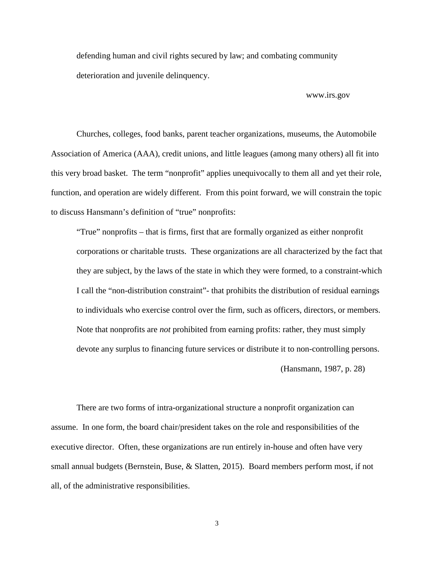defending human and civil rights secured by law; and combating community deterioration and juvenile delinquency.

www.irs.gov

Churches, colleges, food banks, parent teacher organizations, museums, the Automobile Association of America (AAA), credit unions, and little leagues (among many others) all fit into this very broad basket. The term "nonprofit" applies unequivocally to them all and yet their role, function, and operation are widely different. From this point forward, we will constrain the topic to discuss Hansmann's definition of "true" nonprofits:

"True" nonprofits – that is firms, first that are formally organized as either nonprofit corporations or charitable trusts. These organizations are all characterized by the fact that they are subject, by the laws of the state in which they were formed, to a constraint-which I call the "non-distribution constraint"- that prohibits the distribution of residual earnings to individuals who exercise control over the firm, such as officers, directors, or members. Note that nonprofits are *not* prohibited from earning profits: rather, they must simply devote any surplus to financing future services or distribute it to non-controlling persons.

(Hansmann, 1987, p. 28)

There are two forms of intra-organizational structure a nonprofit organization can assume. In one form, the board chair/president takes on the role and responsibilities of the executive director. Often, these organizations are run entirely in-house and often have very small annual budgets (Bernstein, Buse, & Slatten, 2015). Board members perform most, if not all, of the administrative responsibilities.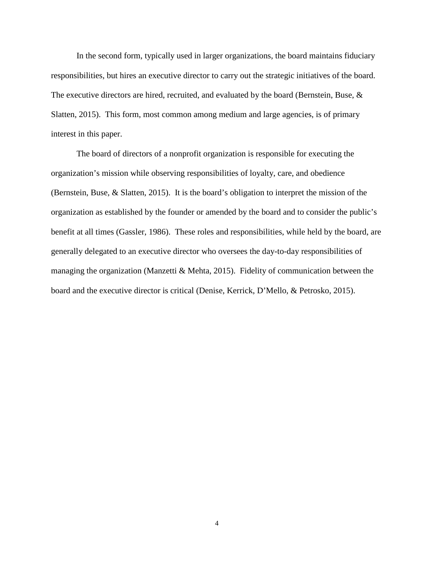In the second form, typically used in larger organizations, the board maintains fiduciary responsibilities, but hires an executive director to carry out the strategic initiatives of the board. The executive directors are hired, recruited, and evaluated by the board (Bernstein, Buse, & Slatten, 2015). This form, most common among medium and large agencies, is of primary interest in this paper.

The board of directors of a nonprofit organization is responsible for executing the organization's mission while observing responsibilities of loyalty, care, and obedience (Bernstein, Buse, & Slatten, 2015). It is the board's obligation to interpret the mission of the organization as established by the founder or amended by the board and to consider the public's benefit at all times (Gassler, 1986). These roles and responsibilities, while held by the board, are generally delegated to an executive director who oversees the day-to-day responsibilities of managing the organization (Manzetti & Mehta, 2015). Fidelity of communication between the board and the executive director is critical (Denise, Kerrick, D'Mello, & Petrosko, 2015).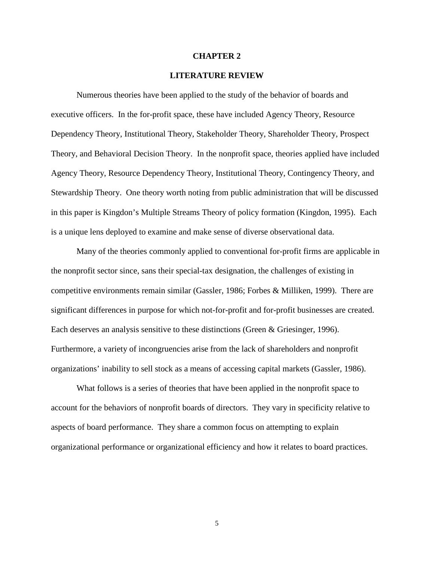#### **CHAPTER 2**

#### **LITERATURE REVIEW**

Numerous theories have been applied to the study of the behavior of boards and executive officers. In the for-profit space, these have included Agency Theory, Resource Dependency Theory, Institutional Theory, Stakeholder Theory, Shareholder Theory, Prospect Theory, and Behavioral Decision Theory. In the nonprofit space, theories applied have included Agency Theory, Resource Dependency Theory, Institutional Theory, Contingency Theory, and Stewardship Theory. One theory worth noting from public administration that will be discussed in this paper is Kingdon's Multiple Streams Theory of policy formation (Kingdon, 1995). Each is a unique lens deployed to examine and make sense of diverse observational data.

Many of the theories commonly applied to conventional for-profit firms are applicable in the nonprofit sector since, sans their special-tax designation, the challenges of existing in competitive environments remain similar (Gassler, 1986; Forbes & Milliken, 1999). There are significant differences in purpose for which not-for-profit and for-profit businesses are created. Each deserves an analysis sensitive to these distinctions (Green & Griesinger, 1996). Furthermore, a variety of incongruencies arise from the lack of shareholders and nonprofit organizations' inability to sell stock as a means of accessing capital markets (Gassler, 1986).

What follows is a series of theories that have been applied in the nonprofit space to account for the behaviors of nonprofit boards of directors. They vary in specificity relative to aspects of board performance. They share a common focus on attempting to explain organizational performance or organizational efficiency and how it relates to board practices.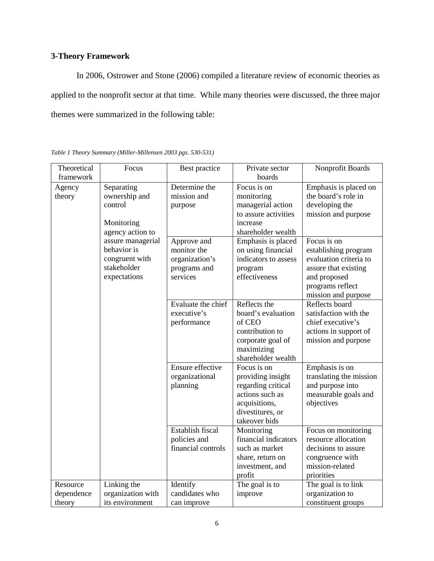## **3-Theory Framework**

In 2006, Ostrower and Stone (2006) compiled a literature review of economic theories as applied to the nonprofit sector at that time. While many theories were discussed, the three major themes were summarized in the following table:

| Theoretical<br>framework         | Focus                                                                                                                          | Best practice                                                                           | Private sector<br>boards                                                                                                                                                     | Nonprofit Boards                                                                                                                                       |
|----------------------------------|--------------------------------------------------------------------------------------------------------------------------------|-----------------------------------------------------------------------------------------|------------------------------------------------------------------------------------------------------------------------------------------------------------------------------|--------------------------------------------------------------------------------------------------------------------------------------------------------|
| Agency<br>theory                 | Separating<br>ownership and<br>control<br>Monitoring<br>agency action to<br>assure managerial<br>behavior is<br>congruent with | Determine the<br>mission and<br>purpose<br>Approve and<br>monitor the<br>organization's | Focus is on<br>monitoring<br>managerial action<br>to assure activities<br>increase<br>shareholder wealth<br>Emphasis is placed<br>on using financial<br>indicators to assess | Emphasis is placed on<br>the board's role in<br>developing the<br>mission and purpose<br>Focus is on<br>establishing program<br>evaluation criteria to |
|                                  | stakeholder<br>expectations                                                                                                    | programs and<br>services                                                                | program<br>effectiveness                                                                                                                                                     | assure that existing<br>and proposed<br>programs reflect<br>mission and purpose                                                                        |
|                                  |                                                                                                                                | Evaluate the chief<br>executive's<br>performance                                        | Reflects the<br>board's evaluation<br>of CEO<br>contribution to<br>corporate goal of<br>maximizing<br>shareholder wealth                                                     | Reflects board<br>satisfaction with the<br>chief executive's<br>actions in support of<br>mission and purpose                                           |
|                                  |                                                                                                                                | Ensure effective<br>organizational<br>planning                                          | Focus is on<br>providing insight<br>regarding critical<br>actions such as<br>acquisitions,<br>divestitures, or<br>takeover bids                                              | Emphasis is on<br>translating the mission<br>and purpose into<br>measurable goals and<br>objectives                                                    |
|                                  |                                                                                                                                | Establish fiscal<br>policies and<br>financial controls                                  | Monitoring<br>financial indicators<br>such as market<br>share, return on<br>investment, and<br>profit                                                                        | Focus on monitoring<br>resource allocation<br>decisions to assure<br>congruence with<br>mission-related<br>priorities                                  |
| Resource<br>dependence<br>theory | Linking the<br>organization with<br>its environment                                                                            | Identify<br>candidates who<br>can improve                                               | The goal is to<br>improve                                                                                                                                                    | The goal is to link<br>organization to<br>constituent groups                                                                                           |

*Table 1 Theory Summary (Miller-Millensen 2003 pgs. 530-531)*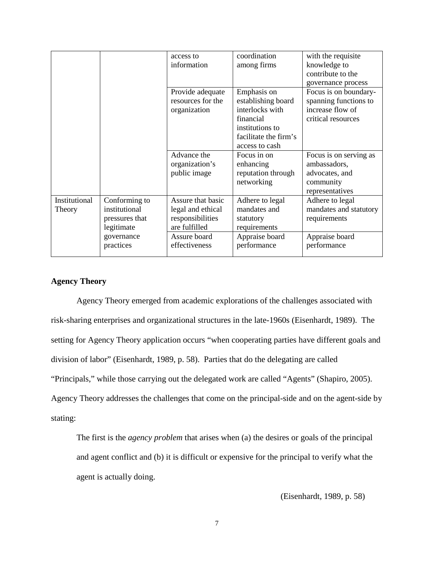|               |                | access to         | coordination          | with the requisite     |
|---------------|----------------|-------------------|-----------------------|------------------------|
|               |                | information       | among firms           | knowledge to           |
|               |                |                   |                       | contribute to the      |
|               |                |                   |                       | governance process     |
|               |                | Provide adequate  | Emphasis on           | Focus is on boundary-  |
|               |                | resources for the | establishing board    | spanning functions to  |
|               |                | organization      | interlocks with       | increase flow of       |
|               |                |                   | financial             | critical resources     |
|               |                |                   | institutions to       |                        |
|               |                |                   | facilitate the firm's |                        |
|               |                |                   | access to cash        |                        |
|               |                | Advance the       | Focus in on           | Focus is on serving as |
|               |                | organization's    | enhancing             | ambassadors,           |
|               |                | public image      | reputation through    | advocates, and         |
|               |                |                   | networking            | community              |
|               |                |                   |                       | representatives        |
| Institutional | Conforming to  | Assure that basic | Adhere to legal       | Adhere to legal        |
| Theory        | institutional  | legal and ethical | mandates and          | mandates and statutory |
|               | pressures that | responsibilities  | statutory             | requirements           |
|               | legitimate     | are fulfilled     | requirements          |                        |
|               | governance     | Assure board      | Appraise board        | Appraise board         |
|               | practices      | effectiveness     | performance           | performance            |
|               |                |                   |                       |                        |

## **Agency Theory**

Agency Theory emerged from academic explorations of the challenges associated with risk-sharing enterprises and organizational structures in the late-1960s (Eisenhardt, 1989). The setting for Agency Theory application occurs "when cooperating parties have different goals and division of labor" (Eisenhardt, 1989, p. 58). Parties that do the delegating are called "Principals," while those carrying out the delegated work are called "Agents" (Shapiro, 2005). Agency Theory addresses the challenges that come on the principal-side and on the agent-side by stating:

The first is the *agency problem* that arises when (a) the desires or goals of the principal and agent conflict and (b) it is difficult or expensive for the principal to verify what the agent is actually doing.

(Eisenhardt, 1989, p. 58)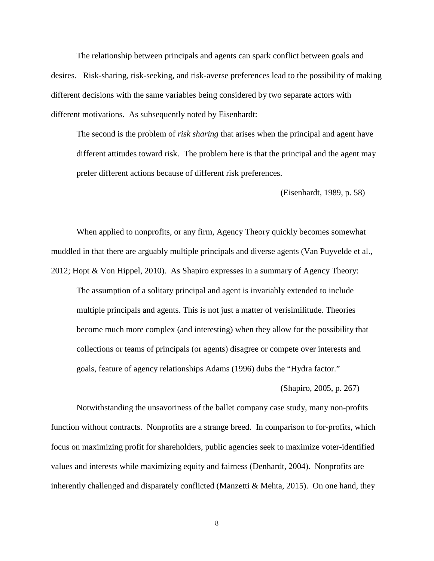The relationship between principals and agents can spark conflict between goals and desires. Risk-sharing, risk-seeking, and risk-averse preferences lead to the possibility of making different decisions with the same variables being considered by two separate actors with different motivations. As subsequently noted by Eisenhardt:

The second is the problem of *risk sharing* that arises when the principal and agent have different attitudes toward risk. The problem here is that the principal and the agent may prefer different actions because of different risk preferences.

(Eisenhardt, 1989, p. 58)

When applied to nonprofits, or any firm, Agency Theory quickly becomes somewhat muddled in that there are arguably multiple principals and diverse agents (Van Puyvelde et al., 2012; Hopt & Von Hippel, 2010). As Shapiro expresses in a summary of Agency Theory:

The assumption of a solitary principal and agent is invariably extended to include multiple principals and agents. This is not just a matter of verisimilitude. Theories become much more complex (and interesting) when they allow for the possibility that collections or teams of principals (or agents) disagree or compete over interests and goals, feature of agency relationships Adams (1996) dubs the "Hydra factor."

(Shapiro, 2005, p. 267)

Notwithstanding the unsavoriness of the ballet company case study, many non-profits function without contracts. Nonprofits are a strange breed. In comparison to for-profits, which focus on maximizing profit for shareholders, public agencies seek to maximize voter-identified values and interests while maximizing equity and fairness (Denhardt, 2004). Nonprofits are inherently challenged and disparately conflicted (Manzetti & Mehta, 2015). On one hand, they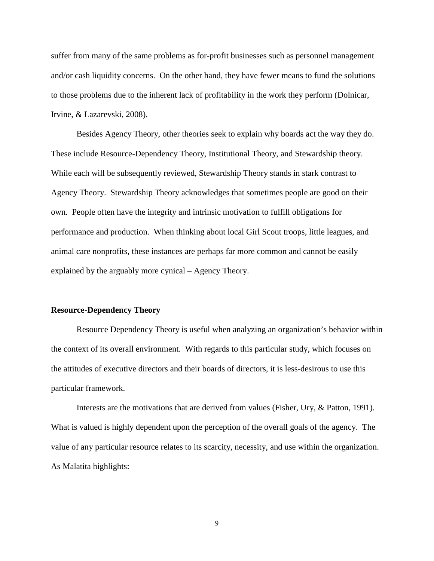suffer from many of the same problems as for-profit businesses such as personnel management and/or cash liquidity concerns. On the other hand, they have fewer means to fund the solutions to those problems due to the inherent lack of profitability in the work they perform (Dolnicar, Irvine, & Lazarevski, 2008).

Besides Agency Theory, other theories seek to explain why boards act the way they do. These include Resource-Dependency Theory, Institutional Theory, and Stewardship theory. While each will be subsequently reviewed, Stewardship Theory stands in stark contrast to Agency Theory. Stewardship Theory acknowledges that sometimes people are good on their own. People often have the integrity and intrinsic motivation to fulfill obligations for performance and production. When thinking about local Girl Scout troops, little leagues, and animal care nonprofits, these instances are perhaps far more common and cannot be easily explained by the arguably more cynical – Agency Theory.

#### **Resource-Dependency Theory**

Resource Dependency Theory is useful when analyzing an organization's behavior within the context of its overall environment. With regards to this particular study, which focuses on the attitudes of executive directors and their boards of directors, it is less-desirous to use this particular framework.

Interests are the motivations that are derived from values (Fisher, Ury, & Patton, 1991). What is valued is highly dependent upon the perception of the overall goals of the agency. The value of any particular resource relates to its scarcity, necessity, and use within the organization. As Malatita highlights: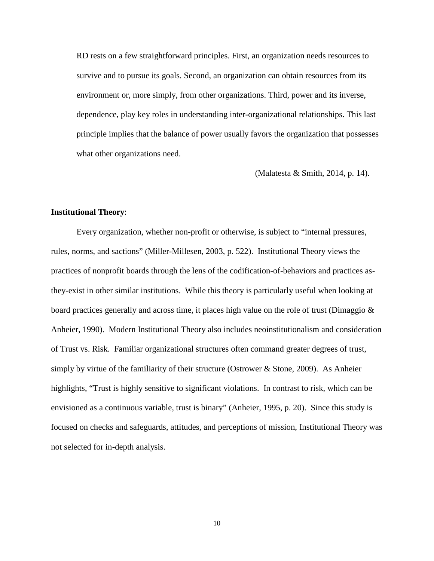RD rests on a few straightforward principles. First, an organization needs resources to survive and to pursue its goals. Second, an organization can obtain resources from its environment or, more simply, from other organizations. Third, power and its inverse, dependence, play key roles in understanding inter-organizational relationships. This last principle implies that the balance of power usually favors the organization that possesses what other organizations need.

(Malatesta & Smith, 2014, p. 14).

#### **Institutional Theory**:

Every organization, whether non-profit or otherwise, is subject to "internal pressures, rules, norms, and sactions" (Miller-Millesen, 2003, p. 522). Institutional Theory views the practices of nonprofit boards through the lens of the codification-of-behaviors and practices asthey-exist in other similar institutions. While this theory is particularly useful when looking at board practices generally and across time, it places high value on the role of trust (Dimaggio & Anheier, 1990). Modern Institutional Theory also includes neoinstitutionalism and consideration of Trust vs. Risk. Familiar organizational structures often command greater degrees of trust, simply by virtue of the familiarity of their structure (Ostrower  $\&$  Stone, 2009). As Anheier highlights, "Trust is highly sensitive to significant violations. In contrast to risk, which can be envisioned as a continuous variable, trust is binary" (Anheier, 1995, p. 20). Since this study is focused on checks and safeguards, attitudes, and perceptions of mission, Institutional Theory was not selected for in-depth analysis.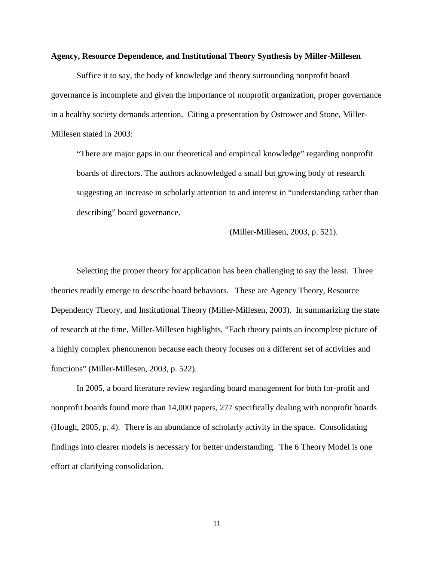#### **Agency, Resource Dependence, and Institutional Theory Synthesis by Miller-Millesen**

Suffice it to say, the body of knowledge and theory surrounding nonprofit board governance is incomplete and given the importance of nonprofit organization, proper governance in a healthy society demands attention. Citing a presentation by Ostrower and Stone, Miller-Millesen stated in 2003:

"There are major gaps in our theoretical and empirical knowledge" regarding nonprofit boards of directors. The authors acknowledged a small but growing body of research suggesting an increase in scholarly attention to and interest in "understanding rather than describing" board governance.

(Miller-Millesen, 2003, p. 521).

Selecting the proper theory for application has been challenging to say the least. Three theories readily emerge to describe board behaviors. These are Agency Theory, Resource Dependency Theory, and Institutional Theory (Miller-Millesen, 2003). In summarizing the state of research at the time, Miller-Millesen highlights, "Each theory paints an incomplete picture of a highly complex phenomenon because each theory focuses on a different set of activities and functions" (Miller-Millesen, 2003, p. 522).

In 2005, a board literature review regarding board management for both for-profit and nonprofit boards found more than 14,000 papers, 277 specifically dealing with nonprofit boards (Hough, 2005, p. 4). There is an abundance of scholarly activity in the space. Consolidating findings into clearer models is necessary for better understanding. The 6 Theory Model is one effort at clarifying consolidation.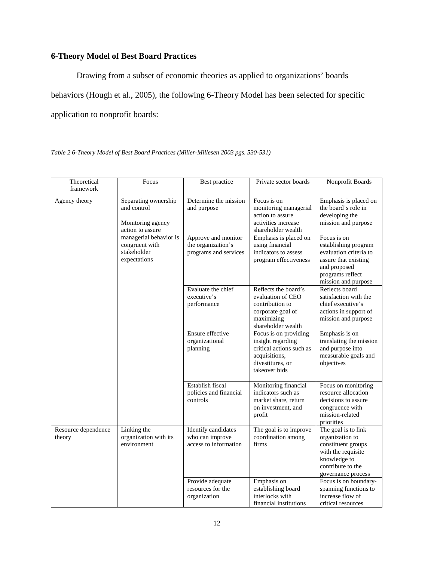## **6-Theory Model of Best Board Practices**

Drawing from a subset of economic theories as applied to organizations' boards behaviors (Hough et al., 2005), the following 6-Theory Model has been selected for specific application to nonprofit boards:

*Table 2 6-Theory Model of Best Board Practices (Miller-Millesen 2003 pgs. 530-531)*

| Theoretical<br>framework      | Focus                                                                        | Best practice                                                      | Private sector boards                                                                                                        | Nonprofit Boards                                                                                                                                 |
|-------------------------------|------------------------------------------------------------------------------|--------------------------------------------------------------------|------------------------------------------------------------------------------------------------------------------------------|--------------------------------------------------------------------------------------------------------------------------------------------------|
| Agency theory                 | Separating ownership<br>and control<br>Monitoring agency<br>action to assure | Determine the mission<br>and purpose                               | Focus is on<br>monitoring managerial<br>action to assure<br>activities increase<br>shareholder wealth                        | Emphasis is placed on<br>the board's role in<br>developing the<br>mission and purpose                                                            |
|                               | managerial behavior is<br>congruent with<br>stakeholder<br>expectations      | Approve and monitor<br>the organization's<br>programs and services | Emphasis is placed on<br>using financial<br>indicators to assess<br>program effectiveness                                    | Focus is on<br>establishing program<br>evaluation criteria to<br>assure that existing<br>and proposed<br>programs reflect<br>mission and purpose |
|                               |                                                                              | Evaluate the chief<br>executive's<br>performance                   | Reflects the board's<br>evaluation of CEO<br>contribution to<br>corporate goal of<br>maximizing<br>shareholder wealth        | Reflects board<br>satisfaction with the<br>chief executive's<br>actions in support of<br>mission and purpose                                     |
|                               |                                                                              | Ensure effective<br>organizational<br>planning                     | Focus is on providing<br>insight regarding<br>critical actions such as<br>acquisitions,<br>divestitures, or<br>takeover bids | Emphasis is on<br>translating the mission<br>and purpose into<br>measurable goals and<br>objectives                                              |
|                               |                                                                              | Establish fiscal<br>policies and financial<br>controls             | Monitoring financial<br>indicators such as<br>market share, return<br>on investment, and<br>profit                           | Focus on monitoring<br>resource allocation<br>decisions to assure<br>congruence with<br>mission-related<br>priorities                            |
| Resource dependence<br>theory | Linking the<br>organization with its<br>environment                          | Identify candidates<br>who can improve<br>access to information    | The goal is to improve<br>coordination among<br>firms                                                                        | The goal is to link<br>organization to<br>constituent groups<br>with the requisite<br>knowledge to<br>contribute to the<br>governance process    |
|                               |                                                                              | Provide adequate<br>resources for the<br>organization              | Emphasis on<br>establishing board<br>interlocks with<br>financial institutions                                               | Focus is on boundary-<br>spanning functions to<br>increase flow of<br>critical resources                                                         |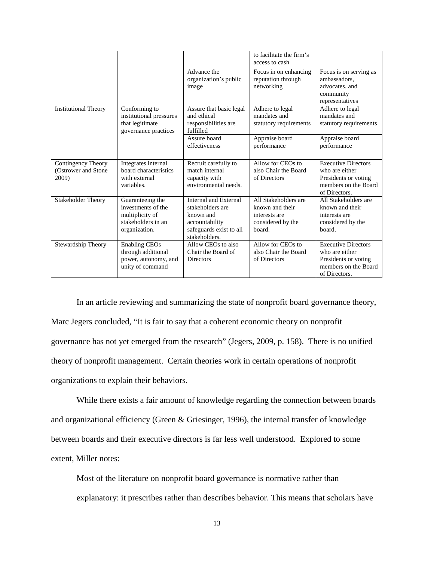|                                                     |                                                                                                  |                                                                                                                             | to facilitate the firm's<br>access to cash                                              |                                                                                                               |
|-----------------------------------------------------|--------------------------------------------------------------------------------------------------|-----------------------------------------------------------------------------------------------------------------------------|-----------------------------------------------------------------------------------------|---------------------------------------------------------------------------------------------------------------|
|                                                     |                                                                                                  | Advance the<br>organization's public<br>image                                                                               | Focus in on enhancing<br>reputation through<br>networking                               | Focus is on serving as<br>ambassadors.<br>advocates, and<br>community<br>representatives                      |
| <b>Institutional Theory</b>                         | Conforming to<br>institutional pressures<br>that legitimate<br>governance practices              | Assure that basic legal<br>and ethical<br>responsibilities are<br>fulfilled                                                 | Adhere to legal<br>mandates and<br>statutory requirements                               | Adhere to legal<br>mandates and<br>statutory requirements                                                     |
|                                                     |                                                                                                  | Assure board<br>effectiveness                                                                                               | Appraise board<br>performance                                                           | Appraise board<br>performance                                                                                 |
| Contingency Theory<br>(Ostrower and Stone)<br>2009) | Integrates internal<br>board characteristics<br>with external<br>variables.                      | Recruit carefully to<br>match internal<br>capacity with<br>environmental needs.                                             | Allow for CEOs to<br>also Chair the Board<br>of Directors                               | <b>Executive Directors</b><br>who are either<br>Presidents or voting<br>members on the Board<br>of Directors. |
| <b>Stakeholder Theory</b>                           | Guaranteeing the<br>investments of the<br>multiplicity of<br>stakeholders in an<br>organization. | <b>Internal and External</b><br>stakeholders are<br>known and<br>accountability<br>safeguards exist to all<br>stakeholders. | All Stakeholders are<br>known and their<br>interests are<br>considered by the<br>board. | All Stakeholders are<br>known and their<br>interests are<br>considered by the<br>board.                       |
| Stewardship Theory                                  | <b>Enabling CEOs</b><br>through additional<br>power, autonomy, and<br>unity of command           | Allow CEOs to also<br>Chair the Board of<br><b>Directors</b>                                                                | Allow for CEOs to<br>also Chair the Board<br>of Directors                               | <b>Executive Directors</b><br>who are either<br>Presidents or voting<br>members on the Board<br>of Directors. |

In an article reviewing and summarizing the state of nonprofit board governance theory, Marc Jegers concluded, "It is fair to say that a coherent economic theory on nonprofit governance has not yet emerged from the research" (Jegers, 2009, p. 158). There is no unified theory of nonprofit management. Certain theories work in certain operations of nonprofit organizations to explain their behaviors.

While there exists a fair amount of knowledge regarding the connection between boards and organizational efficiency (Green & Griesinger, 1996), the internal transfer of knowledge between boards and their executive directors is far less well understood. Explored to some extent, Miller notes:

Most of the literature on nonprofit board governance is normative rather than explanatory: it prescribes rather than describes behavior. This means that scholars have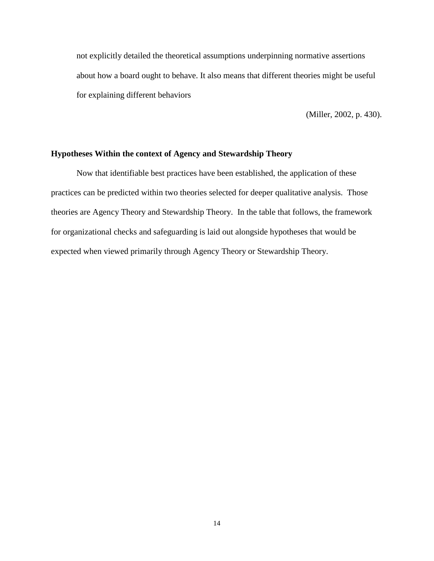not explicitly detailed the theoretical assumptions underpinning normative assertions about how a board ought to behave. It also means that different theories might be useful for explaining different behaviors

(Miller, 2002, p. 430).

#### **Hypotheses Within the context of Agency and Stewardship Theory**

Now that identifiable best practices have been established, the application of these practices can be predicted within two theories selected for deeper qualitative analysis. Those theories are Agency Theory and Stewardship Theory. In the table that follows, the framework for organizational checks and safeguarding is laid out alongside hypotheses that would be expected when viewed primarily through Agency Theory or Stewardship Theory.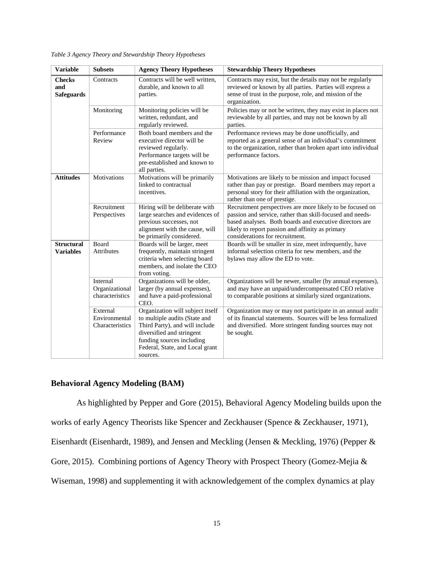*Table 3 Agency Theory and Stewardship Theory Hypotheses*

| <b>Variable</b>                           | <b>Subsets</b>                                | <b>Agency Theory Hypotheses</b>                                                                                                                                                                              | <b>Stewardship Theory Hypotheses</b>                                                                                                                                                                                                                                     |
|-------------------------------------------|-----------------------------------------------|--------------------------------------------------------------------------------------------------------------------------------------------------------------------------------------------------------------|--------------------------------------------------------------------------------------------------------------------------------------------------------------------------------------------------------------------------------------------------------------------------|
| <b>Checks</b><br>and<br><b>Safeguards</b> | Contracts                                     | Contracts will be well written,<br>durable, and known to all<br>parties.                                                                                                                                     | Contracts may exist, but the details may not be regularly<br>reviewed or known by all parties. Parties will express a<br>sense of trust in the purpose, role, and mission of the<br>organization.                                                                        |
|                                           | Monitoring                                    | Monitoring policies will be<br>written, redundant, and<br>regularly reviewed.                                                                                                                                | Policies may or not be written, they may exist in places not<br>reviewable by all parties, and may not be known by all<br>parties.                                                                                                                                       |
|                                           | Performance<br>Review                         | Both board members and the<br>executive director will be<br>reviewed regularly.<br>Performance targets will be<br>pre-established and known to<br>all parties.                                               | Performance reviews may be done unofficially, and<br>reported as a general sense of an individual's commitment<br>to the organization, rather than broken apart into individual<br>performance factors.                                                                  |
| <b>Attitudes</b>                          | Motivations                                   | Motivations will be primarily<br>linked to contractual<br>incentives.                                                                                                                                        | Motivations are likely to be mission and impact focused<br>rather than pay or prestige. Board members may report a<br>personal story for their affiliation with the organization,<br>rather than one of prestige.                                                        |
|                                           | Recruitment<br>Perspectives                   | Hiring will be deliberate with<br>large searches and evidences of<br>previous successes, not<br>alignment with the cause, will<br>be primarily considered.                                                   | Recruitment perspectives are more likely to be focused on<br>passion and service, rather than skill-focused and needs-<br>based analyses. Both boards and executive directors are<br>likely to report passion and affinity as primary<br>considerations for recruitment. |
| <b>Structural</b><br><b>Variables</b>     | Board<br><b>Attributes</b>                    | Boards will be larger, meet<br>frequently, maintain stringent<br>criteria when selecting board<br>members, and isolate the CEO<br>from voting.                                                               | Boards will be smaller in size, meet infrequently, have<br>informal selection criteria for new members, and the<br>bylaws may allow the ED to vote.                                                                                                                      |
|                                           | Internal<br>Organizational<br>characteristics | Organizations will be older,<br>larger (by annual expenses),<br>and have a paid-professional<br>CEO.                                                                                                         | Organizations will be newer, smaller (by annual expenses),<br>and may have an unpaid/undercompensated CEO relative<br>to comparable positions at similarly sized organizations.                                                                                          |
|                                           | External<br>Environmental<br>Characteristics  | Organization will subject itself<br>to multiple audits (State and<br>Third Party), and will include<br>diversified and stringent<br>funding sources including<br>Federal, State, and Local grant<br>sources. | Organization may or may not participate in an annual audit<br>of its financial statements. Sources will be less formalized<br>and diversified. More stringent funding sources may not<br>be sought.                                                                      |

## **Behavioral Agency Modeling (BAM)**

As highlighted by Pepper and Gore (2015), Behavioral Agency Modeling builds upon the

works of early Agency Theorists like Spencer and Zeckhauser (Spence & Zeckhauser, 1971),

Eisenhardt (Eisenhardt, 1989), and Jensen and Meckling (Jensen & Meckling, 1976) (Pepper &

Gore, 2015). Combining portions of Agency Theory with Prospect Theory (Gomez-Mejia &

Wiseman, 1998) and supplementing it with acknowledgement of the complex dynamics at play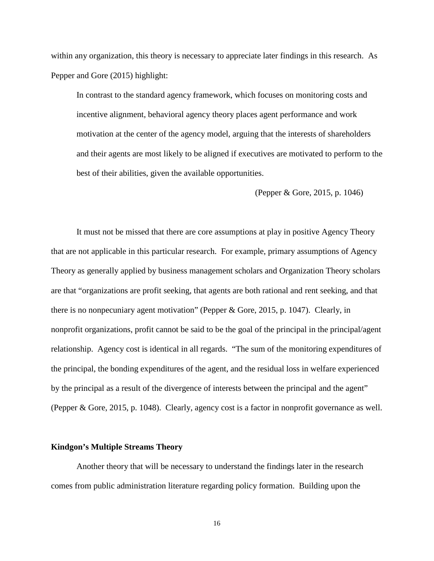within any organization, this theory is necessary to appreciate later findings in this research. As Pepper and Gore (2015) highlight:

In contrast to the standard agency framework, which focuses on monitoring costs and incentive alignment, behavioral agency theory places agent performance and work motivation at the center of the agency model, arguing that the interests of shareholders and their agents are most likely to be aligned if executives are motivated to perform to the best of their abilities, given the available opportunities.

(Pepper & Gore, 2015, p. 1046)

It must not be missed that there are core assumptions at play in positive Agency Theory that are not applicable in this particular research. For example, primary assumptions of Agency Theory as generally applied by business management scholars and Organization Theory scholars are that "organizations are profit seeking, that agents are both rational and rent seeking, and that there is no nonpecuniary agent motivation" (Pepper & Gore, 2015, p. 1047). Clearly, in nonprofit organizations, profit cannot be said to be the goal of the principal in the principal/agent relationship. Agency cost is identical in all regards. "The sum of the monitoring expenditures of the principal, the bonding expenditures of the agent, and the residual loss in welfare experienced by the principal as a result of the divergence of interests between the principal and the agent" (Pepper & Gore, 2015, p. 1048). Clearly, agency cost is a factor in nonprofit governance as well.

#### **Kindgon's Multiple Streams Theory**

Another theory that will be necessary to understand the findings later in the research comes from public administration literature regarding policy formation. Building upon the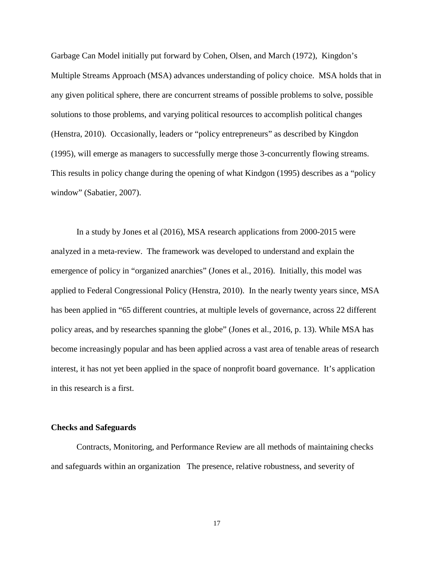Garbage Can Model initially put forward by Cohen, Olsen, and March (1972), Kingdon's Multiple Streams Approach (MSA) advances understanding of policy choice. MSA holds that in any given political sphere, there are concurrent streams of possible problems to solve, possible solutions to those problems, and varying political resources to accomplish political changes (Henstra, 2010). Occasionally, leaders or "policy entrepreneurs" as described by Kingdon (1995), will emerge as managers to successfully merge those 3-concurrently flowing streams. This results in policy change during the opening of what Kindgon (1995) describes as a "policy window" (Sabatier, 2007).

In a study by Jones et al (2016), MSA research applications from 2000-2015 were analyzed in a meta-review. The framework was developed to understand and explain the emergence of policy in "organized anarchies" (Jones et al., 2016). Initially, this model was applied to Federal Congressional Policy (Henstra, 2010). In the nearly twenty years since, MSA has been applied in "65 different countries, at multiple levels of governance, across 22 different policy areas, and by researches spanning the globe" (Jones et al., 2016, p. 13). While MSA has become increasingly popular and has been applied across a vast area of tenable areas of research interest, it has not yet been applied in the space of nonprofit board governance. It's application in this research is a first.

#### **Checks and Safeguards**

Contracts, Monitoring, and Performance Review are all methods of maintaining checks and safeguards within an organization The presence, relative robustness, and severity of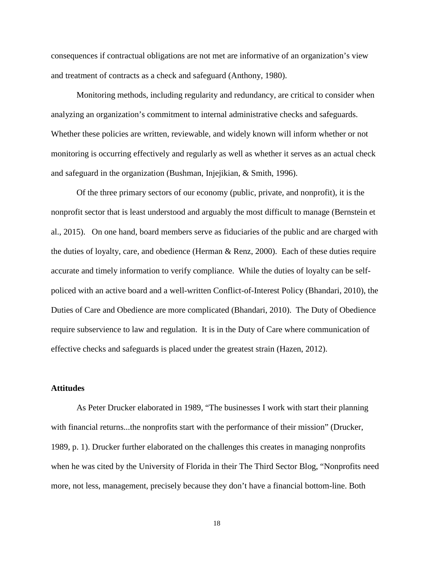consequences if contractual obligations are not met are informative of an organization's view and treatment of contracts as a check and safeguard (Anthony, 1980).

Monitoring methods, including regularity and redundancy, are critical to consider when analyzing an organization's commitment to internal administrative checks and safeguards. Whether these policies are written, reviewable, and widely known will inform whether or not monitoring is occurring effectively and regularly as well as whether it serves as an actual check and safeguard in the organization (Bushman, Injejikian, & Smith, 1996).

Of the three primary sectors of our economy (public, private, and nonprofit), it is the nonprofit sector that is least understood and arguably the most difficult to manage (Bernstein et al., 2015). On one hand, board members serve as fiduciaries of the public and are charged with the duties of loyalty, care, and obedience (Herman & Renz, 2000). Each of these duties require accurate and timely information to verify compliance. While the duties of loyalty can be selfpoliced with an active board and a well-written Conflict-of-Interest Policy (Bhandari, 2010), the Duties of Care and Obedience are more complicated (Bhandari, 2010). The Duty of Obedience require subservience to law and regulation. It is in the Duty of Care where communication of effective checks and safeguards is placed under the greatest strain (Hazen, 2012).

#### **Attitudes**

As Peter Drucker elaborated in 1989, "The businesses I work with start their planning with financial returns...the nonprofits start with the performance of their mission" (Drucker, 1989, p. 1). Drucker further elaborated on the challenges this creates in managing nonprofits when he was cited by the University of Florida in their The Third Sector Blog, "Nonprofits need more, not less, management, precisely because they don't have a financial bottom-line. Both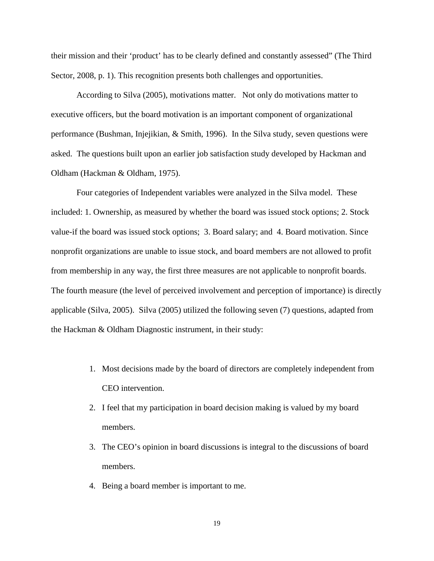their mission and their 'product' has to be clearly defined and constantly assessed" (The Third Sector, 2008, p. 1). This recognition presents both challenges and opportunities.

According to Silva (2005), motivations matter. Not only do motivations matter to executive officers, but the board motivation is an important component of organizational performance (Bushman, Injejikian, & Smith, 1996). In the Silva study, seven questions were asked. The questions built upon an earlier job satisfaction study developed by Hackman and Oldham (Hackman & Oldham, 1975).

Four categories of Independent variables were analyzed in the Silva model. These included: 1. Ownership, as measured by whether the board was issued stock options; 2. Stock value-if the board was issued stock options; 3. Board salary; and 4. Board motivation. Since nonprofit organizations are unable to issue stock, and board members are not allowed to profit from membership in any way, the first three measures are not applicable to nonprofit boards. The fourth measure (the level of perceived involvement and perception of importance) is directly applicable (Silva, 2005). Silva (2005) utilized the following seven (7) questions, adapted from the Hackman & Oldham Diagnostic instrument, in their study:

- 1. Most decisions made by the board of directors are completely independent from CEO intervention.
- 2. I feel that my participation in board decision making is valued by my board members.
- 3. The CEO's opinion in board discussions is integral to the discussions of board members.
- 4. Being a board member is important to me.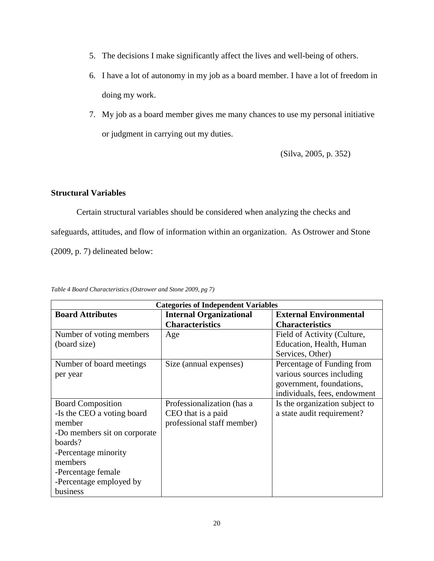- 5. The decisions I make significantly affect the lives and well-being of others.
- 6. I have a lot of autonomy in my job as a board member. I have a lot of freedom in doing my work.
- 7. My job as a board member gives me many chances to use my personal initiative or judgment in carrying out my duties.

(Silva, 2005, p. 352)

#### **Structural Variables**

Certain structural variables should be considered when analyzing the checks and safeguards, attitudes, and flow of information within an organization. As Ostrower and Stone (2009, p. 7) delineated below:

| <b>Categories of Independent Variables</b> |                                |                                |  |
|--------------------------------------------|--------------------------------|--------------------------------|--|
| <b>Board Attributes</b>                    | <b>Internal Organizational</b> | <b>External Environmental</b>  |  |
|                                            | <b>Characteristics</b>         | <b>Characteristics</b>         |  |
| Number of voting members                   | Age                            | Field of Activity (Culture,    |  |
| (board size)                               |                                | Education, Health, Human       |  |
|                                            |                                | Services, Other)               |  |
| Number of board meetings                   | Size (annual expenses)         | Percentage of Funding from     |  |
| per year                                   |                                | various sources including      |  |
|                                            |                                | government, foundations,       |  |
|                                            |                                | individuals, fees, endowment   |  |
| <b>Board Composition</b>                   | Professionalization (has a     | Is the organization subject to |  |
| -Is the CEO a voting board                 | CEO that is a paid             | a state audit requirement?     |  |
| member                                     | professional staff member)     |                                |  |
| -Do members sit on corporate               |                                |                                |  |
| boards?                                    |                                |                                |  |
| -Percentage minority                       |                                |                                |  |
| members                                    |                                |                                |  |
| -Percentage female                         |                                |                                |  |
| -Percentage employed by                    |                                |                                |  |
| business                                   |                                |                                |  |

*Table 4 Board Characteristics (Ostrower and Stone 2009, pg 7)*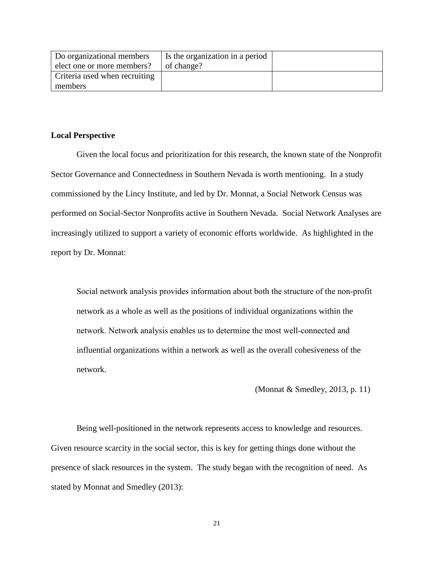| Do organizational members     | Is the organization in a period |  |
|-------------------------------|---------------------------------|--|
| elect one or more members?    | of change?                      |  |
| Criteria used when recruiting |                                 |  |
| members                       |                                 |  |

#### **Local Perspective**

Given the local focus and prioritization for this research, the known state of the Nonprofit Sector Governance and Connectedness in Southern Nevada is worth mentioning. In a study commissioned by the Lincy Institute, and led by Dr. Monnat, a Social Network Census was performed on Social-Sector Nonprofits active in Southern Nevada. Social Network Analyses are increasingly utilized to support a variety of economic efforts worldwide. As highlighted in the report by Dr. Monnat:

Social network analysis provides information about both the structure of the non-profit network as a whole as well as the positions of individual organizations within the network. Network analysis enables us to determine the most well‐connected and influential organizations within a network as well as the overall cohesiveness of the network.

(Monnat & Smedley, 2013, p. 11)

Being well-positioned in the network represents access to knowledge and resources. Given resource scarcity in the social sector, this is key for getting things done without the presence of slack resources in the system. The study began with the recognition of need. As stated by Monnat and Smedley (2013):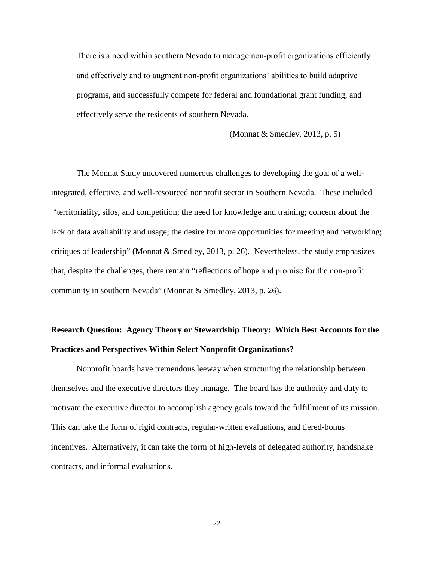There is a need within southern Nevada to manage non‐profit organizations efficiently and effectively and to augment non‐profit organizations' abilities to build adaptive programs, and successfully compete for federal and foundational grant funding, and effectively serve the residents of southern Nevada.

(Monnat & Smedley, 2013, p. 5)

The Monnat Study uncovered numerous challenges to developing the goal of a wellintegrated, effective, and well-resourced nonprofit sector in Southern Nevada. These included "territoriality, silos, and competition; the need for knowledge and training; concern about the lack of data availability and usage; the desire for more opportunities for meeting and networking; critiques of leadership" (Monnat & Smedley, 2013, p. 26). Nevertheless, the study emphasizes that, despite the challenges, there remain "reflections of hope and promise for the non‐profit community in southern Nevada" (Monnat & Smedley, 2013, p. 26).

## **Research Question: Agency Theory or Stewardship Theory: Which Best Accounts for the Practices and Perspectives Within Select Nonprofit Organizations?**

Nonprofit boards have tremendous leeway when structuring the relationship between themselves and the executive directors they manage. The board has the authority and duty to motivate the executive director to accomplish agency goals toward the fulfillment of its mission. This can take the form of rigid contracts, regular-written evaluations, and tiered-bonus incentives. Alternatively, it can take the form of high-levels of delegated authority, handshake contracts, and informal evaluations.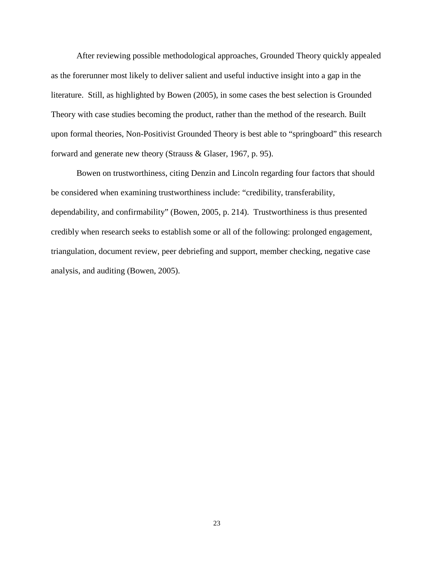After reviewing possible methodological approaches, Grounded Theory quickly appealed as the forerunner most likely to deliver salient and useful inductive insight into a gap in the literature. Still, as highlighted by Bowen (2005), in some cases the best selection is Grounded Theory with case studies becoming the product, rather than the method of the research. Built upon formal theories, Non-Positivist Grounded Theory is best able to "springboard" this research forward and generate new theory (Strauss & Glaser, 1967, p. 95).

Bowen on trustworthiness, citing Denzin and Lincoln regarding four factors that should be considered when examining trustworthiness include: "credibility, transferability, dependability, and confirmability" (Bowen, 2005, p. 214). Trustworthiness is thus presented credibly when research seeks to establish some or all of the following: prolonged engagement, triangulation, document review, peer debriefing and support, member checking, negative case analysis, and auditing (Bowen, 2005).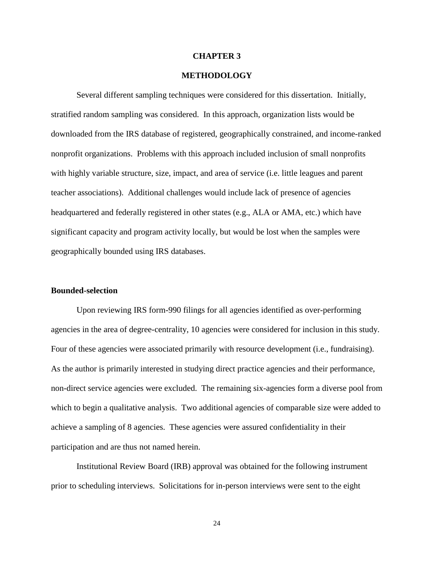#### **CHAPTER 3**

#### **METHODOLOGY**

Several different sampling techniques were considered for this dissertation. Initially, stratified random sampling was considered. In this approach, organization lists would be downloaded from the IRS database of registered, geographically constrained, and income-ranked nonprofit organizations. Problems with this approach included inclusion of small nonprofits with highly variable structure, size, impact, and area of service (i.e. little leagues and parent teacher associations). Additional challenges would include lack of presence of agencies headquartered and federally registered in other states (e.g., ALA or AMA, etc.) which have significant capacity and program activity locally, but would be lost when the samples were geographically bounded using IRS databases.

#### **Bounded-selection**

Upon reviewing IRS form-990 filings for all agencies identified as over-performing agencies in the area of degree-centrality, 10 agencies were considered for inclusion in this study. Four of these agencies were associated primarily with resource development (i.e., fundraising). As the author is primarily interested in studying direct practice agencies and their performance, non-direct service agencies were excluded. The remaining six-agencies form a diverse pool from which to begin a qualitative analysis. Two additional agencies of comparable size were added to achieve a sampling of 8 agencies. These agencies were assured confidentiality in their participation and are thus not named herein.

Institutional Review Board (IRB) approval was obtained for the following instrument prior to scheduling interviews. Solicitations for in-person interviews were sent to the eight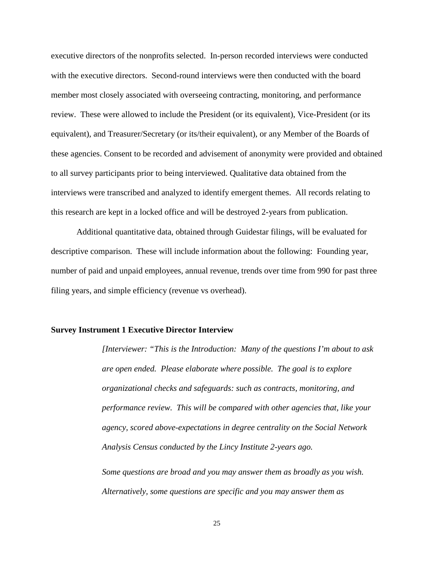executive directors of the nonprofits selected. In-person recorded interviews were conducted with the executive directors. Second-round interviews were then conducted with the board member most closely associated with overseeing contracting, monitoring, and performance review. These were allowed to include the President (or its equivalent), Vice-President (or its equivalent), and Treasurer/Secretary (or its/their equivalent), or any Member of the Boards of these agencies. Consent to be recorded and advisement of anonymity were provided and obtained to all survey participants prior to being interviewed. Qualitative data obtained from the interviews were transcribed and analyzed to identify emergent themes. All records relating to this research are kept in a locked office and will be destroyed 2-years from publication.

Additional quantitative data, obtained through Guidestar filings, will be evaluated for descriptive comparison. These will include information about the following: Founding year, number of paid and unpaid employees, annual revenue, trends over time from 990 for past three filing years, and simple efficiency (revenue vs overhead).

#### **Survey Instrument 1 Executive Director Interview**

*[Interviewer: "This is the Introduction: Many of the questions I'm about to ask are open ended. Please elaborate where possible. The goal is to explore organizational checks and safeguards: such as contracts, monitoring, and performance review. This will be compared with other agencies that, like your agency, scored above-expectations in degree centrality on the Social Network Analysis Census conducted by the Lincy Institute 2-years ago.*

*Some questions are broad and you may answer them as broadly as you wish. Alternatively, some questions are specific and you may answer them as*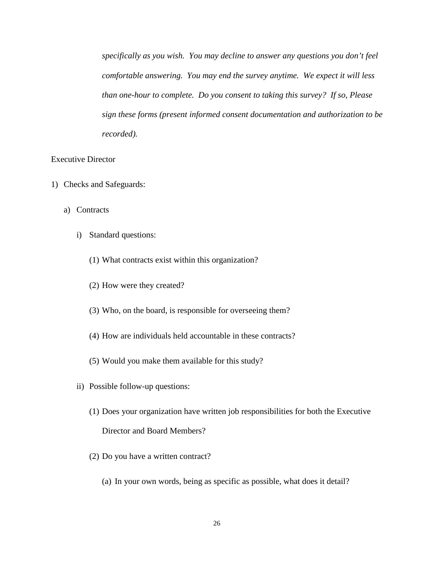*specifically as you wish. You may decline to answer any questions you don't feel comfortable answering. You may end the survey anytime. We expect it will less than one-hour to complete. Do you consent to taking this survey? If so, Please sign these forms (present informed consent documentation and authorization to be recorded).*

#### Executive Director

- 1) Checks and Safeguards:
	- a) Contracts
		- i) Standard questions:
			- (1) What contracts exist within this organization?
			- (2) How were they created?
			- (3) Who, on the board, is responsible for overseeing them?
			- (4) How are individuals held accountable in these contracts?
			- (5) Would you make them available for this study?
		- ii) Possible follow-up questions:
			- (1) Does your organization have written job responsibilities for both the Executive Director and Board Members?
			- (2) Do you have a written contract?
				- (a) In your own words, being as specific as possible, what does it detail?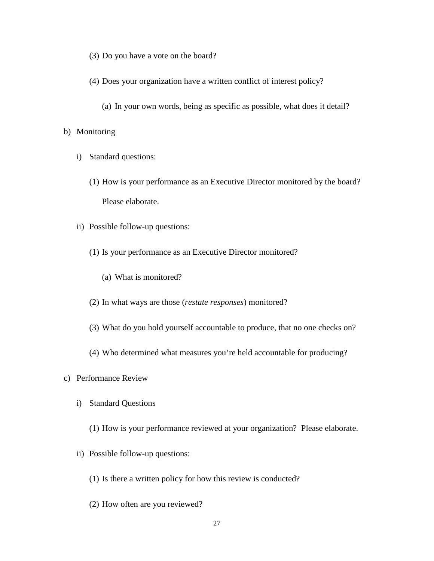- (3) Do you have a vote on the board?
- (4) Does your organization have a written conflict of interest policy?
	- (a) In your own words, being as specific as possible, what does it detail?

#### b) Monitoring

- i) Standard questions:
	- (1) How is your performance as an Executive Director monitored by the board? Please elaborate.
- ii) Possible follow-up questions:
	- (1) Is your performance as an Executive Director monitored?
		- (a) What is monitored?
	- (2) In what ways are those (*restate responses*) monitored?
	- (3) What do you hold yourself accountable to produce, that no one checks on?
	- (4) Who determined what measures you're held accountable for producing?
- c) Performance Review
	- i) Standard Questions
		- (1) How is your performance reviewed at your organization? Please elaborate.
	- ii) Possible follow-up questions:
		- (1) Is there a written policy for how this review is conducted?
		- (2) How often are you reviewed?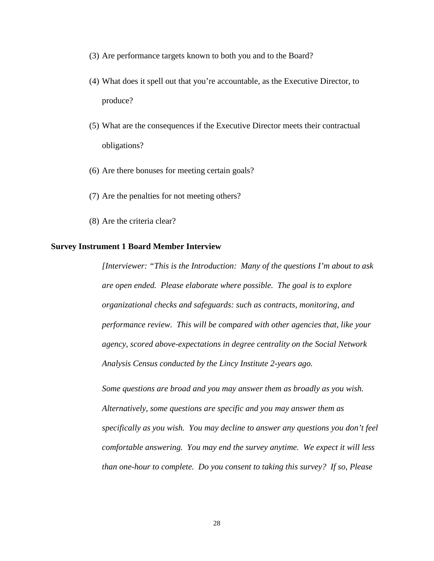- (3) Are performance targets known to both you and to the Board?
- (4) What does it spell out that you're accountable, as the Executive Director, to produce?
- (5) What are the consequences if the Executive Director meets their contractual obligations?
- (6) Are there bonuses for meeting certain goals?
- (7) Are the penalties for not meeting others?
- (8) Are the criteria clear?

#### **Survey Instrument 1 Board Member Interview**

*[Interviewer: "This is the Introduction: Many of the questions I'm about to ask are open ended. Please elaborate where possible. The goal is to explore organizational checks and safeguards: such as contracts, monitoring, and performance review. This will be compared with other agencies that, like your agency, scored above-expectations in degree centrality on the Social Network Analysis Census conducted by the Lincy Institute 2-years ago.*

*Some questions are broad and you may answer them as broadly as you wish. Alternatively, some questions are specific and you may answer them as specifically as you wish. You may decline to answer any questions you don't feel comfortable answering. You may end the survey anytime. We expect it will less than one-hour to complete. Do you consent to taking this survey? If so, Please*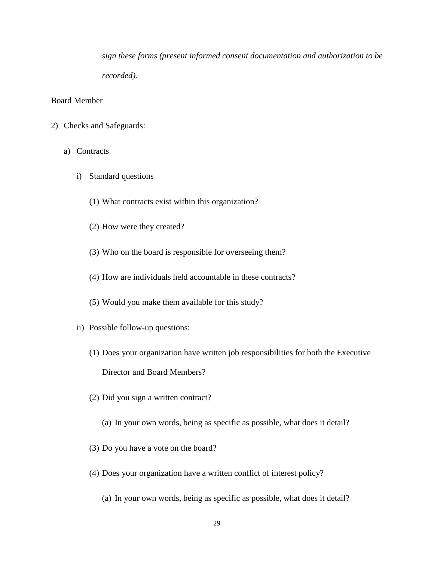*sign these forms (present informed consent documentation and authorization to be recorded).*

## Board Member

- 2) Checks and Safeguards:
	- a) Contracts
		- i) Standard questions
			- (1) What contracts exist within this organization?
			- (2) How were they created?
			- (3) Who on the board is responsible for overseeing them?
			- (4) How are individuals held accountable in these contracts?
			- (5) Would you make them available for this study?
		- ii) Possible follow-up questions:
			- (1) Does your organization have written job responsibilities for both the Executive Director and Board Members?
			- (2) Did you sign a written contract?
				- (a) In your own words, being as specific as possible, what does it detail?
			- (3) Do you have a vote on the board?
			- (4) Does your organization have a written conflict of interest policy?
				- (a) In your own words, being as specific as possible, what does it detail?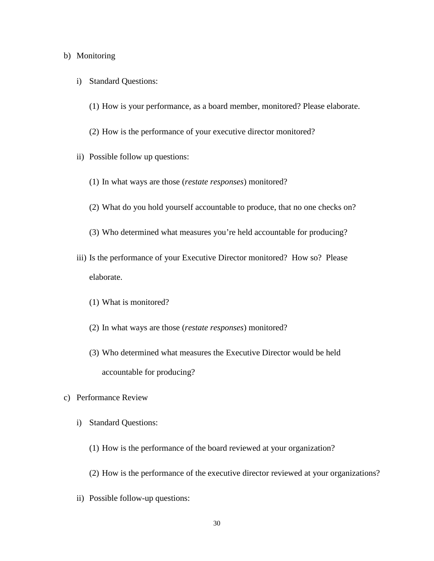#### b) Monitoring

- i) Standard Questions:
	- (1) How is your performance, as a board member, monitored? Please elaborate.
	- (2) How is the performance of your executive director monitored?
- ii) Possible follow up questions:
	- (1) In what ways are those (*restate responses*) monitored?
	- (2) What do you hold yourself accountable to produce, that no one checks on?
	- (3) Who determined what measures you're held accountable for producing?
- iii) Is the performance of your Executive Director monitored? How so? Please elaborate.
	- (1) What is monitored?
	- (2) In what ways are those (*restate responses*) monitored?
	- (3) Who determined what measures the Executive Director would be held accountable for producing?
- c) Performance Review
	- i) Standard Questions:
		- (1) How is the performance of the board reviewed at your organization?
		- (2) How is the performance of the executive director reviewed at your organizations?
	- ii) Possible follow-up questions: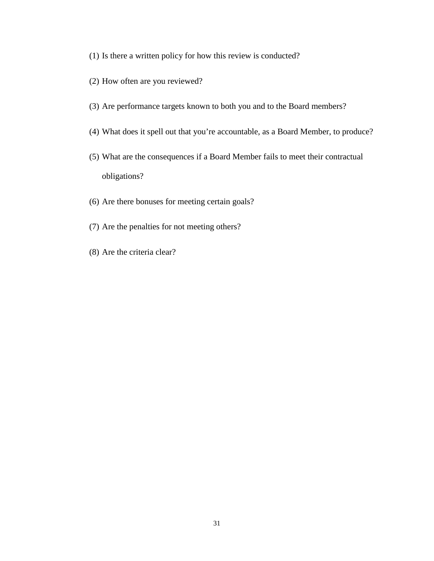- (1) Is there a written policy for how this review is conducted?
- (2) How often are you reviewed?
- (3) Are performance targets known to both you and to the Board members?
- (4) What does it spell out that you're accountable, as a Board Member, to produce?
- (5) What are the consequences if a Board Member fails to meet their contractual obligations?
- (6) Are there bonuses for meeting certain goals?
- (7) Are the penalties for not meeting others?
- (8) Are the criteria clear?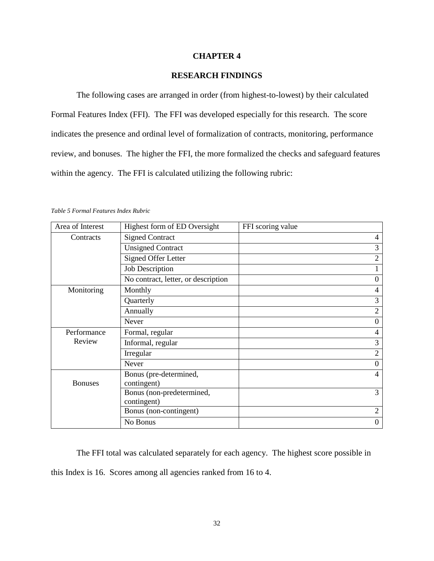## **CHAPTER 4**

# **RESEARCH FINDINGS**

The following cases are arranged in order (from highest-to-lowest) by their calculated Formal Features Index (FFI). The FFI was developed especially for this research. The score indicates the presence and ordinal level of formalization of contracts, monitoring, performance review, and bonuses. The higher the FFI, the more formalized the checks and safeguard features within the agency. The FFI is calculated utilizing the following rubric:

*Table 5 Formal Features Index Rubric*

| Area of Interest | Highest form of ED Oversight             | FFI scoring value |
|------------------|------------------------------------------|-------------------|
| Contracts        | <b>Signed Contract</b>                   | 4                 |
|                  | <b>Unsigned Contract</b>                 | 3                 |
|                  | <b>Signed Offer Letter</b>               | $\overline{2}$    |
|                  | <b>Job Description</b>                   |                   |
|                  | No contract, letter, or description      | $\theta$          |
| Monitoring       | Monthly                                  | 4                 |
|                  | Quarterly                                | 3                 |
|                  | Annually                                 | $\overline{2}$    |
|                  | <b>Never</b>                             | $\theta$          |
| Performance      | Formal, regular                          | $\overline{4}$    |
| Review           | Informal, regular                        | 3                 |
|                  | Irregular                                | $\overline{2}$    |
|                  | Never                                    | $\theta$          |
| <b>Bonuses</b>   | Bonus (pre-determined,<br>contingent)    | 4                 |
|                  | Bonus (non-predetermined,<br>contingent) | 3                 |
|                  | Bonus (non-contingent)                   | $\overline{2}$    |
|                  | No Bonus                                 | $\Omega$          |

The FFI total was calculated separately for each agency. The highest score possible in this Index is 16. Scores among all agencies ranked from 16 to 4.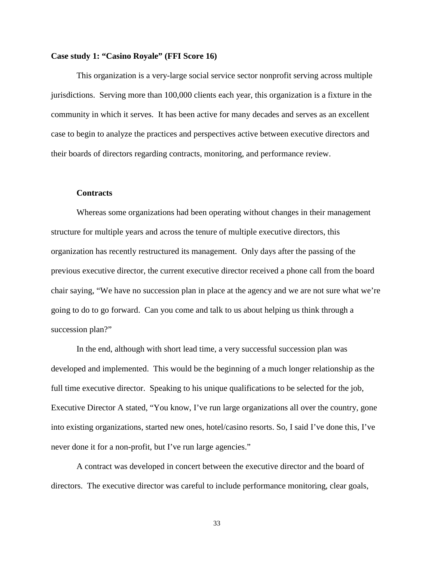## **Case study 1: "Casino Royale" (FFI Score 16)**

This organization is a very-large social service sector nonprofit serving across multiple jurisdictions. Serving more than 100,000 clients each year, this organization is a fixture in the community in which it serves. It has been active for many decades and serves as an excellent case to begin to analyze the practices and perspectives active between executive directors and their boards of directors regarding contracts, monitoring, and performance review.

#### **Contracts**

Whereas some organizations had been operating without changes in their management structure for multiple years and across the tenure of multiple executive directors, this organization has recently restructured its management. Only days after the passing of the previous executive director, the current executive director received a phone call from the board chair saying, "We have no succession plan in place at the agency and we are not sure what we're going to do to go forward. Can you come and talk to us about helping us think through a succession plan?"

In the end, although with short lead time, a very successful succession plan was developed and implemented. This would be the beginning of a much longer relationship as the full time executive director. Speaking to his unique qualifications to be selected for the job, Executive Director A stated, "You know, I've run large organizations all over the country, gone into existing organizations, started new ones, hotel/casino resorts. So, I said I've done this, I've never done it for a non-profit, but I've run large agencies."

A contract was developed in concert between the executive director and the board of directors. The executive director was careful to include performance monitoring, clear goals,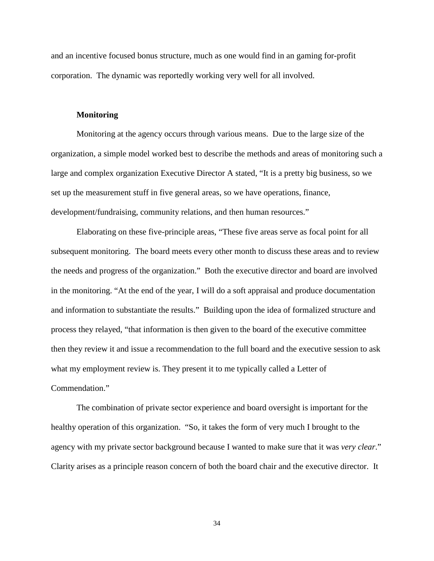and an incentive focused bonus structure, much as one would find in an gaming for-profit corporation. The dynamic was reportedly working very well for all involved.

#### **Monitoring**

Monitoring at the agency occurs through various means. Due to the large size of the organization, a simple model worked best to describe the methods and areas of monitoring such a large and complex organization Executive Director A stated, "It is a pretty big business, so we set up the measurement stuff in five general areas, so we have operations, finance, development/fundraising, community relations, and then human resources."

Elaborating on these five-principle areas, "These five areas serve as focal point for all subsequent monitoring. The board meets every other month to discuss these areas and to review the needs and progress of the organization." Both the executive director and board are involved in the monitoring. "At the end of the year, I will do a soft appraisal and produce documentation and information to substantiate the results." Building upon the idea of formalized structure and process they relayed, "that information is then given to the board of the executive committee then they review it and issue a recommendation to the full board and the executive session to ask what my employment review is. They present it to me typically called a Letter of Commendation."

The combination of private sector experience and board oversight is important for the healthy operation of this organization. "So, it takes the form of very much I brought to the agency with my private sector background because I wanted to make sure that it was *very clear*." Clarity arises as a principle reason concern of both the board chair and the executive director. It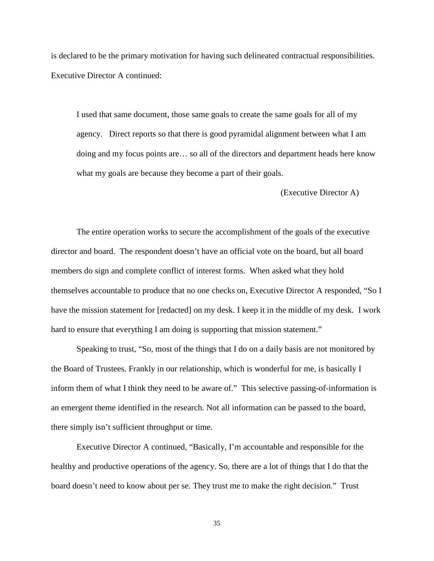is declared to be the primary motivation for having such delineated contractual responsibilities. Executive Director A continued:

I used that same document, those same goals to create the same goals for all of my agency. Direct reports so that there is good pyramidal alignment between what I am doing and my focus points are… so all of the directors and department heads here know what my goals are because they become a part of their goals.

(Executive Director A)

The entire operation works to secure the accomplishment of the goals of the executive director and board. The respondent doesn't have an official vote on the board, but all board members do sign and complete conflict of interest forms. When asked what they hold themselves accountable to produce that no one checks on, Executive Director A responded, "So I have the mission statement for [redacted] on my desk. I keep it in the middle of my desk. I work hard to ensure that everything I am doing is supporting that mission statement."

Speaking to trust, "So, most of the things that I do on a daily basis are not monitored by the Board of Trustees. Frankly in our relationship, which is wonderful for me, is basically I inform them of what I think they need to be aware of." This selective passing-of-information is an emergent theme identified in the research. Not all information can be passed to the board, there simply isn't sufficient throughput or time.

Executive Director A continued, "Basically, I'm accountable and responsible for the healthy and productive operations of the agency. So, there are a lot of things that I do that the board doesn't need to know about per se. They trust me to make the right decision." Trust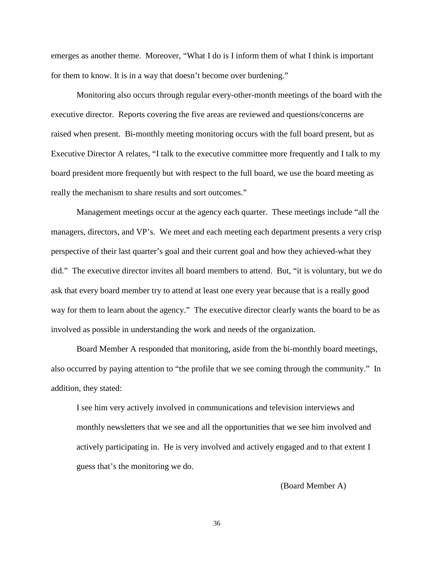emerges as another theme. Moreover, "What I do is I inform them of what I think is important for them to know. It is in a way that doesn't become over burdening."

Monitoring also occurs through regular every-other-month meetings of the board with the executive director. Reports covering the five areas are reviewed and questions/concerns are raised when present. Bi-monthly meeting monitoring occurs with the full board present, but as Executive Director A relates, "I talk to the executive committee more frequently and I talk to my board president more frequently but with respect to the full board, we use the board meeting as really the mechanism to share results and sort outcomes."

Management meetings occur at the agency each quarter. These meetings include "all the managers, directors, and VP's. We meet and each meeting each department presents a very crisp perspective of their last quarter's goal and their current goal and how they achieved-what they did." The executive director invites all board members to attend. But, "it is voluntary, but we do ask that every board member try to attend at least one every year because that is a really good way for them to learn about the agency." The executive director clearly wants the board to be as involved as possible in understanding the work and needs of the organization.

Board Member A responded that monitoring, aside from the bi-monthly board meetings, also occurred by paying attention to "the profile that we see coming through the community." In addition, they stated:

I see him very actively involved in communications and television interviews and monthly newsletters that we see and all the opportunities that we see him involved and actively participating in. He is very involved and actively engaged and to that extent I guess that's the monitoring we do.

(Board Member A)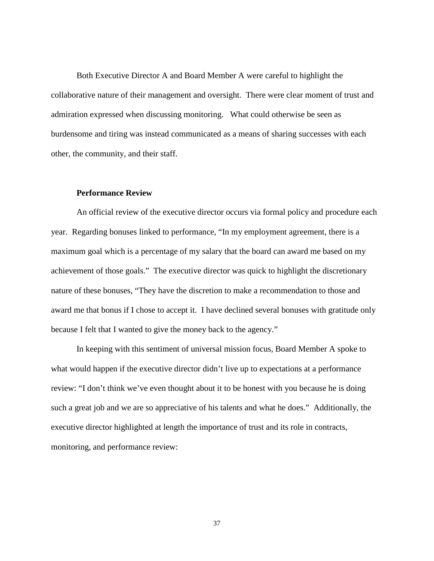Both Executive Director A and Board Member A were careful to highlight the collaborative nature of their management and oversight. There were clear moment of trust and admiration expressed when discussing monitoring. What could otherwise be seen as burdensome and tiring was instead communicated as a means of sharing successes with each other, the community, and their staff.

#### **Performance Review**

An official review of the executive director occurs via formal policy and procedure each year. Regarding bonuses linked to performance, "In my employment agreement, there is a maximum goal which is a percentage of my salary that the board can award me based on my achievement of those goals." The executive director was quick to highlight the discretionary nature of these bonuses, "They have the discretion to make a recommendation to those and award me that bonus if I chose to accept it. I have declined several bonuses with gratitude only because I felt that I wanted to give the money back to the agency."

In keeping with this sentiment of universal mission focus, Board Member A spoke to what would happen if the executive director didn't live up to expectations at a performance review: "I don't think we've even thought about it to be honest with you because he is doing such a great job and we are so appreciative of his talents and what he does." Additionally, the executive director highlighted at length the importance of trust and its role in contracts, monitoring, and performance review: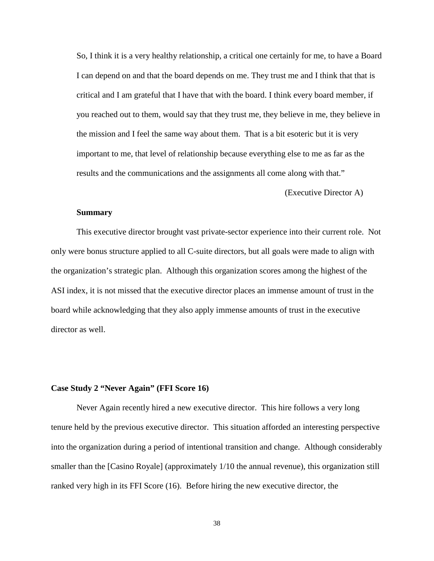So, I think it is a very healthy relationship, a critical one certainly for me, to have a Board I can depend on and that the board depends on me. They trust me and I think that that is critical and I am grateful that I have that with the board. I think every board member, if you reached out to them, would say that they trust me, they believe in me, they believe in the mission and I feel the same way about them. That is a bit esoteric but it is very important to me, that level of relationship because everything else to me as far as the results and the communications and the assignments all come along with that."

### (Executive Director A)

## **Summary**

This executive director brought vast private-sector experience into their current role. Not only were bonus structure applied to all C-suite directors, but all goals were made to align with the organization's strategic plan. Although this organization scores among the highest of the ASI index, it is not missed that the executive director places an immense amount of trust in the board while acknowledging that they also apply immense amounts of trust in the executive director as well.

#### **Case Study 2 "Never Again" (FFI Score 16)**

Never Again recently hired a new executive director. This hire follows a very long tenure held by the previous executive director. This situation afforded an interesting perspective into the organization during a period of intentional transition and change. Although considerably smaller than the [Casino Royale] (approximately 1/10 the annual revenue), this organization still ranked very high in its FFI Score (16). Before hiring the new executive director, the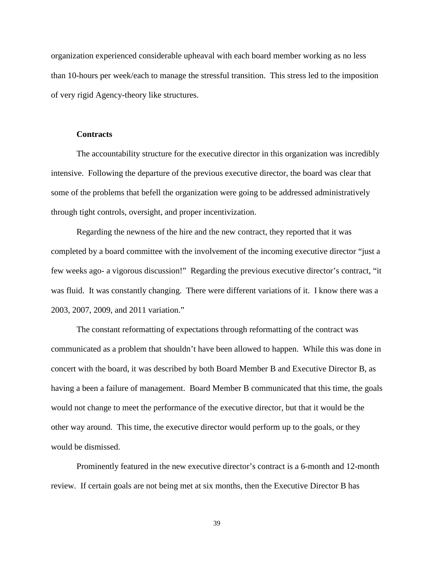organization experienced considerable upheaval with each board member working as no less than 10-hours per week/each to manage the stressful transition. This stress led to the imposition of very rigid Agency-theory like structures.

#### **Contracts**

The accountability structure for the executive director in this organization was incredibly intensive. Following the departure of the previous executive director, the board was clear that some of the problems that befell the organization were going to be addressed administratively through tight controls, oversight, and proper incentivization.

Regarding the newness of the hire and the new contract, they reported that it was completed by a board committee with the involvement of the incoming executive director "just a few weeks ago- a vigorous discussion!" Regarding the previous executive director's contract, "it was fluid. It was constantly changing. There were different variations of it. I know there was a 2003, 2007, 2009, and 2011 variation."

The constant reformatting of expectations through reformatting of the contract was communicated as a problem that shouldn't have been allowed to happen. While this was done in concert with the board, it was described by both Board Member B and Executive Director B, as having a been a failure of management. Board Member B communicated that this time, the goals would not change to meet the performance of the executive director, but that it would be the other way around. This time, the executive director would perform up to the goals, or they would be dismissed.

Prominently featured in the new executive director's contract is a 6-month and 12-month review. If certain goals are not being met at six months, then the Executive Director B has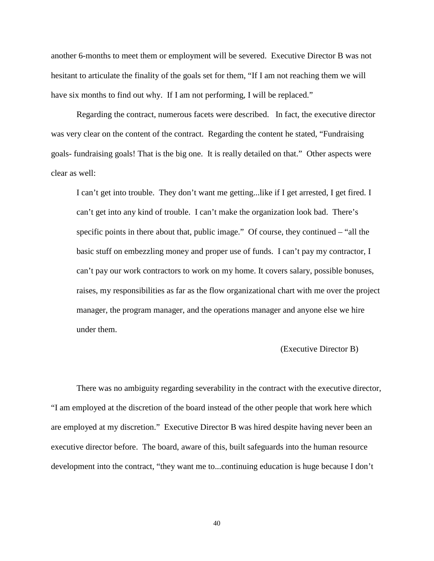another 6-months to meet them or employment will be severed. Executive Director B was not hesitant to articulate the finality of the goals set for them, "If I am not reaching them we will have six months to find out why. If I am not performing, I will be replaced."

Regarding the contract, numerous facets were described. In fact, the executive director was very clear on the content of the contract. Regarding the content he stated, "Fundraising goals- fundraising goals! That is the big one. It is really detailed on that." Other aspects were clear as well:

I can't get into trouble. They don't want me getting...like if I get arrested, I get fired. I can't get into any kind of trouble. I can't make the organization look bad. There's specific points in there about that, public image." Of course, they continued – "all the basic stuff on embezzling money and proper use of funds. I can't pay my contractor, I can't pay our work contractors to work on my home. It covers salary, possible bonuses, raises, my responsibilities as far as the flow organizational chart with me over the project manager, the program manager, and the operations manager and anyone else we hire under them.

# (Executive Director B)

There was no ambiguity regarding severability in the contract with the executive director, "I am employed at the discretion of the board instead of the other people that work here which are employed at my discretion." Executive Director B was hired despite having never been an executive director before. The board, aware of this, built safeguards into the human resource development into the contract, "they want me to...continuing education is huge because I don't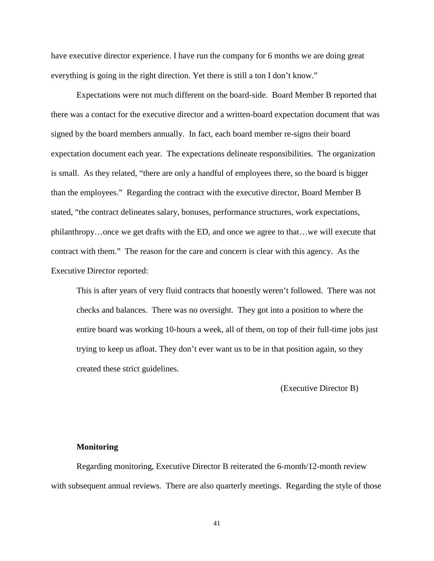have executive director experience. I have run the company for 6 months we are doing great everything is going in the right direction. Yet there is still a ton I don't know."

Expectations were not much different on the board-side. Board Member B reported that there was a contact for the executive director and a written-board expectation document that was signed by the board members annually. In fact, each board member re-signs their board expectation document each year. The expectations delineate responsibilities. The organization is small. As they related, "there are only a handful of employees there, so the board is bigger than the employees." Regarding the contract with the executive director, Board Member B stated, "the contract delineates salary, bonuses, performance structures, work expectations, philanthropy…once we get drafts with the ED, and once we agree to that…we will execute that contract with them." The reason for the care and concern is clear with this agency. As the Executive Director reported:

This is after years of very fluid contracts that honestly weren't followed. There was not checks and balances. There was no oversight. They got into a position to where the entire board was working 10-hours a week, all of them, on top of their full-time jobs just trying to keep us afloat. They don't ever want us to be in that position again, so they created these strict guidelines.

(Executive Director B)

#### **Monitoring**

Regarding monitoring, Executive Director B reiterated the 6-month/12-month review with subsequent annual reviews. There are also quarterly meetings. Regarding the style of those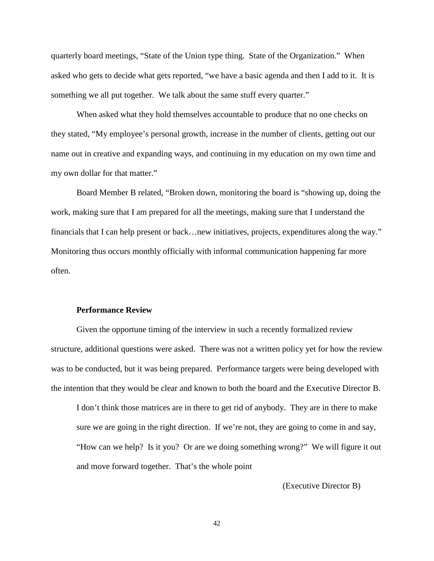quarterly board meetings, "State of the Union type thing. State of the Organization." When asked who gets to decide what gets reported, "we have a basic agenda and then I add to it. It is something we all put together. We talk about the same stuff every quarter."

When asked what they hold themselves accountable to produce that no one checks on they stated, "My employee's personal growth, increase in the number of clients, getting out our name out in creative and expanding ways, and continuing in my education on my own time and my own dollar for that matter."

Board Member B related, "Broken down, monitoring the board is "showing up, doing the work, making sure that I am prepared for all the meetings, making sure that I understand the financials that I can help present or back…new initiatives, projects, expenditures along the way." Monitoring thus occurs monthly officially with informal communication happening far more often.

#### **Performance Review**

Given the opportune timing of the interview in such a recently formalized review structure, additional questions were asked. There was not a written policy yet for how the review was to be conducted, but it was being prepared. Performance targets were being developed with the intention that they would be clear and known to both the board and the Executive Director B.

I don't think those matrices are in there to get rid of anybody. They are in there to make sure we are going in the right direction. If we're not, they are going to come in and say, "How can we help? Is it you? Or are we doing something wrong?" We will figure it out and move forward together. That's the whole point

(Executive Director B)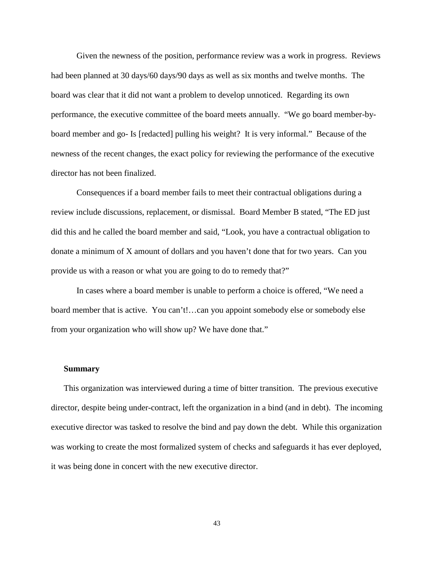Given the newness of the position, performance review was a work in progress. Reviews had been planned at 30 days/60 days/90 days as well as six months and twelve months. The board was clear that it did not want a problem to develop unnoticed. Regarding its own performance, the executive committee of the board meets annually. "We go board member-byboard member and go- Is [redacted] pulling his weight? It is very informal." Because of the newness of the recent changes, the exact policy for reviewing the performance of the executive director has not been finalized.

Consequences if a board member fails to meet their contractual obligations during a review include discussions, replacement, or dismissal. Board Member B stated, "The ED just did this and he called the board member and said, "Look, you have a contractual obligation to donate a minimum of X amount of dollars and you haven't done that for two years. Can you provide us with a reason or what you are going to do to remedy that?"

In cases where a board member is unable to perform a choice is offered, "We need a board member that is active. You can't!…can you appoint somebody else or somebody else from your organization who will show up? We have done that."

#### **Summary**

This organization was interviewed during a time of bitter transition. The previous executive director, despite being under-contract, left the organization in a bind (and in debt). The incoming executive director was tasked to resolve the bind and pay down the debt. While this organization was working to create the most formalized system of checks and safeguards it has ever deployed, it was being done in concert with the new executive director.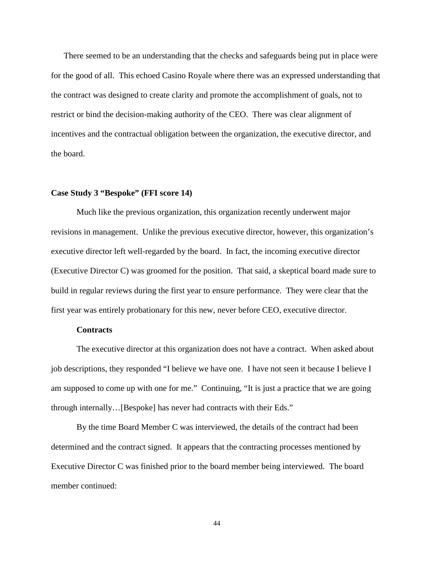There seemed to be an understanding that the checks and safeguards being put in place were for the good of all. This echoed Casino Royale where there was an expressed understanding that the contract was designed to create clarity and promote the accomplishment of goals, not to restrict or bind the decision-making authority of the CEO. There was clear alignment of incentives and the contractual obligation between the organization, the executive director, and the board.

#### **Case Study 3 "Bespoke" (FFI score 14)**

Much like the previous organization, this organization recently underwent major revisions in management. Unlike the previous executive director, however, this organization's executive director left well-regarded by the board. In fact, the incoming executive director (Executive Director C) was groomed for the position. That said, a skeptical board made sure to build in regular reviews during the first year to ensure performance. They were clear that the first year was entirely probationary for this new, never before CEO, executive director.

## **Contracts**

The executive director at this organization does not have a contract. When asked about job descriptions, they responded "I believe we have one. I have not seen it because I believe I am supposed to come up with one for me." Continuing, "It is just a practice that we are going through internally…[Bespoke] has never had contracts with their Eds."

By the time Board Member C was interviewed, the details of the contract had been determined and the contract signed. It appears that the contracting processes mentioned by Executive Director C was finished prior to the board member being interviewed. The board member continued: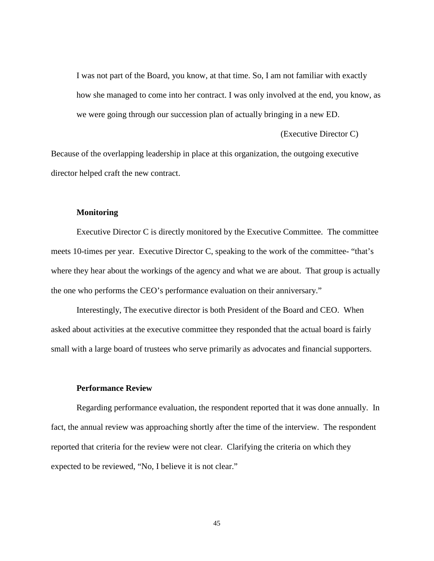I was not part of the Board, you know, at that time. So, I am not familiar with exactly how she managed to come into her contract. I was only involved at the end, you know, as we were going through our succession plan of actually bringing in a new ED.

(Executive Director C)

Because of the overlapping leadership in place at this organization, the outgoing executive director helped craft the new contract.

### **Monitoring**

Executive Director C is directly monitored by the Executive Committee. The committee meets 10-times per year. Executive Director C, speaking to the work of the committee- "that's where they hear about the workings of the agency and what we are about. That group is actually the one who performs the CEO's performance evaluation on their anniversary."

Interestingly, The executive director is both President of the Board and CEO. When asked about activities at the executive committee they responded that the actual board is fairly small with a large board of trustees who serve primarily as advocates and financial supporters.

#### **Performance Review**

Regarding performance evaluation, the respondent reported that it was done annually. In fact, the annual review was approaching shortly after the time of the interview. The respondent reported that criteria for the review were not clear. Clarifying the criteria on which they expected to be reviewed, "No, I believe it is not clear."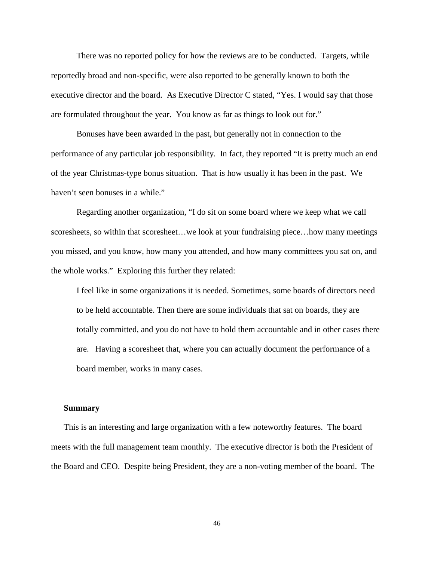There was no reported policy for how the reviews are to be conducted. Targets, while reportedly broad and non-specific, were also reported to be generally known to both the executive director and the board. As Executive Director C stated, "Yes. I would say that those are formulated throughout the year. You know as far as things to look out for."

Bonuses have been awarded in the past, but generally not in connection to the performance of any particular job responsibility. In fact, they reported "It is pretty much an end of the year Christmas-type bonus situation. That is how usually it has been in the past. We haven't seen bonuses in a while."

Regarding another organization, "I do sit on some board where we keep what we call scoresheets, so within that scoresheet…we look at your fundraising piece…how many meetings you missed, and you know, how many you attended, and how many committees you sat on, and the whole works." Exploring this further they related:

I feel like in some organizations it is needed. Sometimes, some boards of directors need to be held accountable. Then there are some individuals that sat on boards, they are totally committed, and you do not have to hold them accountable and in other cases there are. Having a scoresheet that, where you can actually document the performance of a board member, works in many cases.

#### **Summary**

This is an interesting and large organization with a few noteworthy features. The board meets with the full management team monthly. The executive director is both the President of the Board and CEO. Despite being President, they are a non-voting member of the board. The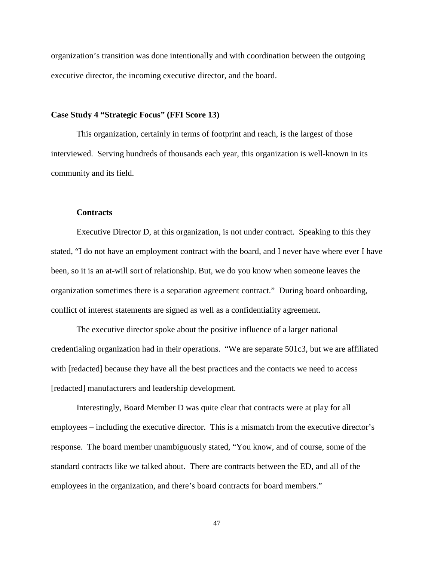organization's transition was done intentionally and with coordination between the outgoing executive director, the incoming executive director, and the board.

### **Case Study 4 "Strategic Focus" (FFI Score 13)**

This organization, certainly in terms of footprint and reach, is the largest of those interviewed. Serving hundreds of thousands each year, this organization is well-known in its community and its field.

#### **Contracts**

Executive Director D, at this organization, is not under contract. Speaking to this they stated, "I do not have an employment contract with the board, and I never have where ever I have been, so it is an at-will sort of relationship. But, we do you know when someone leaves the organization sometimes there is a separation agreement contract." During board onboarding, conflict of interest statements are signed as well as a confidentiality agreement.

The executive director spoke about the positive influence of a larger national credentialing organization had in their operations. "We are separate 501c3, but we are affiliated with [redacted] because they have all the best practices and the contacts we need to access [redacted] manufacturers and leadership development.

Interestingly, Board Member D was quite clear that contracts were at play for all employees – including the executive director. This is a mismatch from the executive director's response. The board member unambiguously stated, "You know, and of course, some of the standard contracts like we talked about. There are contracts between the ED, and all of the employees in the organization, and there's board contracts for board members."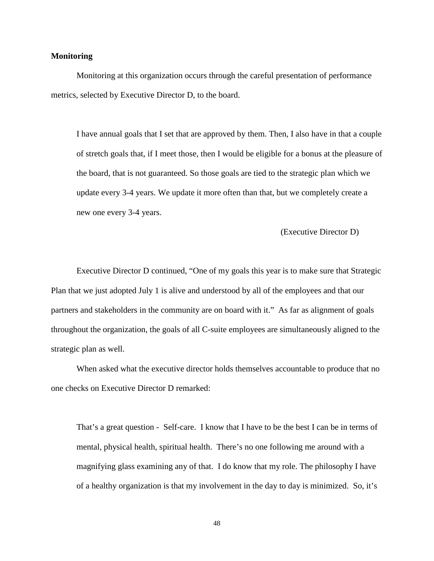## **Monitoring**

Monitoring at this organization occurs through the careful presentation of performance metrics, selected by Executive Director D, to the board.

I have annual goals that I set that are approved by them. Then, I also have in that a couple of stretch goals that, if I meet those, then I would be eligible for a bonus at the pleasure of the board, that is not guaranteed. So those goals are tied to the strategic plan which we update every 3-4 years. We update it more often than that, but we completely create a new one every 3-4 years.

(Executive Director D)

Executive Director D continued, "One of my goals this year is to make sure that Strategic Plan that we just adopted July 1 is alive and understood by all of the employees and that our partners and stakeholders in the community are on board with it." As far as alignment of goals throughout the organization, the goals of all C-suite employees are simultaneously aligned to the strategic plan as well.

When asked what the executive director holds themselves accountable to produce that no one checks on Executive Director D remarked:

That's a great question - Self-care. I know that I have to be the best I can be in terms of mental, physical health, spiritual health. There's no one following me around with a magnifying glass examining any of that. I do know that my role. The philosophy I have of a healthy organization is that my involvement in the day to day is minimized. So, it's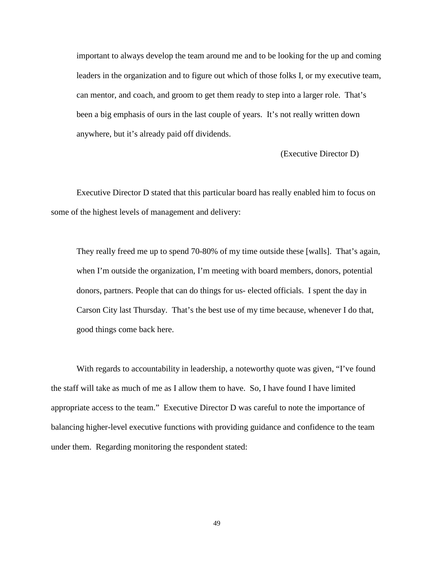important to always develop the team around me and to be looking for the up and coming leaders in the organization and to figure out which of those folks I, or my executive team, can mentor, and coach, and groom to get them ready to step into a larger role. That's been a big emphasis of ours in the last couple of years. It's not really written down anywhere, but it's already paid off dividends.

(Executive Director D)

Executive Director D stated that this particular board has really enabled him to focus on some of the highest levels of management and delivery:

They really freed me up to spend 70-80% of my time outside these [walls]. That's again, when I'm outside the organization, I'm meeting with board members, donors, potential donors, partners. People that can do things for us- elected officials. I spent the day in Carson City last Thursday. That's the best use of my time because, whenever I do that, good things come back here.

With regards to accountability in leadership, a noteworthy quote was given, "I've found the staff will take as much of me as I allow them to have. So, I have found I have limited appropriate access to the team." Executive Director D was careful to note the importance of balancing higher-level executive functions with providing guidance and confidence to the team under them. Regarding monitoring the respondent stated: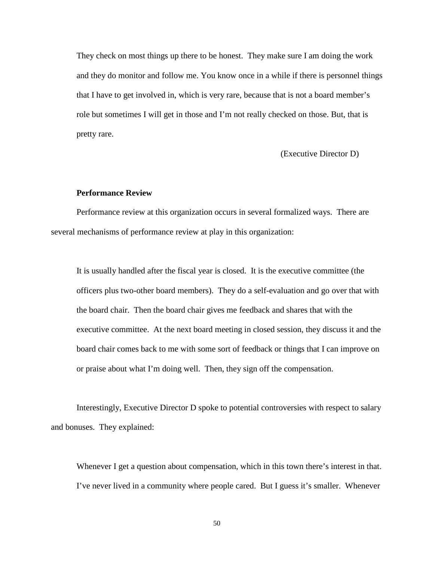They check on most things up there to be honest. They make sure I am doing the work and they do monitor and follow me. You know once in a while if there is personnel things that I have to get involved in, which is very rare, because that is not a board member's role but sometimes I will get in those and I'm not really checked on those. But, that is pretty rare.

(Executive Director D)

#### **Performance Review**

Performance review at this organization occurs in several formalized ways. There are several mechanisms of performance review at play in this organization:

It is usually handled after the fiscal year is closed. It is the executive committee (the officers plus two-other board members). They do a self-evaluation and go over that with the board chair. Then the board chair gives me feedback and shares that with the executive committee. At the next board meeting in closed session, they discuss it and the board chair comes back to me with some sort of feedback or things that I can improve on or praise about what I'm doing well. Then, they sign off the compensation.

Interestingly, Executive Director D spoke to potential controversies with respect to salary and bonuses. They explained:

Whenever I get a question about compensation, which in this town there's interest in that. I've never lived in a community where people cared. But I guess it's smaller. Whenever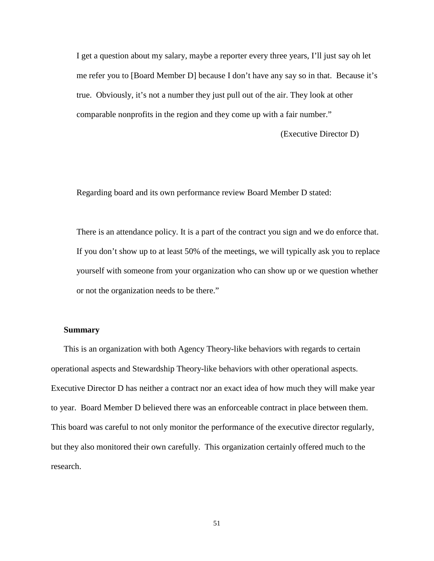I get a question about my salary, maybe a reporter every three years, I'll just say oh let me refer you to [Board Member D] because I don't have any say so in that. Because it's true. Obviously, it's not a number they just pull out of the air. They look at other comparable nonprofits in the region and they come up with a fair number."

(Executive Director D)

Regarding board and its own performance review Board Member D stated:

There is an attendance policy. It is a part of the contract you sign and we do enforce that. If you don't show up to at least 50% of the meetings, we will typically ask you to replace yourself with someone from your organization who can show up or we question whether or not the organization needs to be there."

### **Summary**

This is an organization with both Agency Theory-like behaviors with regards to certain operational aspects and Stewardship Theory-like behaviors with other operational aspects. Executive Director D has neither a contract nor an exact idea of how much they will make year to year. Board Member D believed there was an enforceable contract in place between them. This board was careful to not only monitor the performance of the executive director regularly, but they also monitored their own carefully. This organization certainly offered much to the research.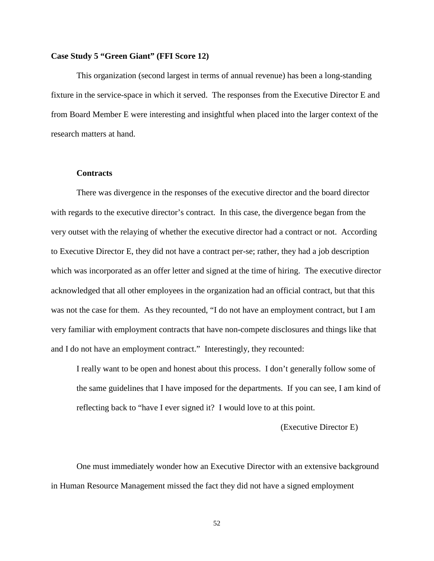### **Case Study 5 "Green Giant" (FFI Score 12)**

This organization (second largest in terms of annual revenue) has been a long-standing fixture in the service-space in which it served. The responses from the Executive Director E and from Board Member E were interesting and insightful when placed into the larger context of the research matters at hand.

#### **Contracts**

There was divergence in the responses of the executive director and the board director with regards to the executive director's contract. In this case, the divergence began from the very outset with the relaying of whether the executive director had a contract or not. According to Executive Director E, they did not have a contract per-se; rather, they had a job description which was incorporated as an offer letter and signed at the time of hiring. The executive director acknowledged that all other employees in the organization had an official contract, but that this was not the case for them. As they recounted, "I do not have an employment contract, but I am very familiar with employment contracts that have non-compete disclosures and things like that and I do not have an employment contract." Interestingly, they recounted:

I really want to be open and honest about this process. I don't generally follow some of the same guidelines that I have imposed for the departments. If you can see, I am kind of reflecting back to "have I ever signed it? I would love to at this point.

(Executive Director E)

One must immediately wonder how an Executive Director with an extensive background in Human Resource Management missed the fact they did not have a signed employment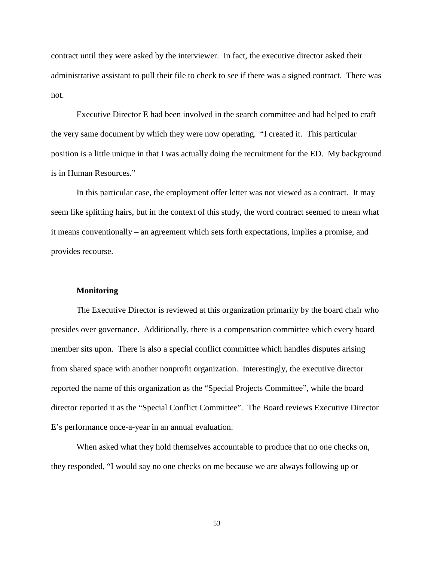contract until they were asked by the interviewer. In fact, the executive director asked their administrative assistant to pull their file to check to see if there was a signed contract. There was not.

Executive Director E had been involved in the search committee and had helped to craft the very same document by which they were now operating. "I created it. This particular position is a little unique in that I was actually doing the recruitment for the ED. My background is in Human Resources."

In this particular case, the employment offer letter was not viewed as a contract. It may seem like splitting hairs, but in the context of this study, the word contract seemed to mean what it means conventionally – an agreement which sets forth expectations, implies a promise, and provides recourse.

#### **Monitoring**

The Executive Director is reviewed at this organization primarily by the board chair who presides over governance. Additionally, there is a compensation committee which every board member sits upon. There is also a special conflict committee which handles disputes arising from shared space with another nonprofit organization. Interestingly, the executive director reported the name of this organization as the "Special Projects Committee", while the board director reported it as the "Special Conflict Committee". The Board reviews Executive Director E's performance once-a-year in an annual evaluation.

When asked what they hold themselves accountable to produce that no one checks on, they responded, "I would say no one checks on me because we are always following up or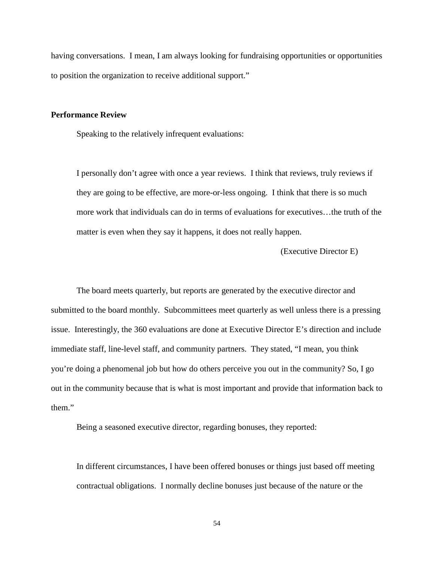having conversations. I mean, I am always looking for fundraising opportunities or opportunities to position the organization to receive additional support."

#### **Performance Review**

Speaking to the relatively infrequent evaluations:

I personally don't agree with once a year reviews. I think that reviews, truly reviews if they are going to be effective, are more-or-less ongoing. I think that there is so much more work that individuals can do in terms of evaluations for executives…the truth of the matter is even when they say it happens, it does not really happen.

(Executive Director E)

The board meets quarterly, but reports are generated by the executive director and submitted to the board monthly. Subcommittees meet quarterly as well unless there is a pressing issue. Interestingly, the 360 evaluations are done at Executive Director E's direction and include immediate staff, line-level staff, and community partners. They stated, "I mean, you think you're doing a phenomenal job but how do others perceive you out in the community? So, I go out in the community because that is what is most important and provide that information back to them."

Being a seasoned executive director, regarding bonuses, they reported:

In different circumstances, I have been offered bonuses or things just based off meeting contractual obligations. I normally decline bonuses just because of the nature or the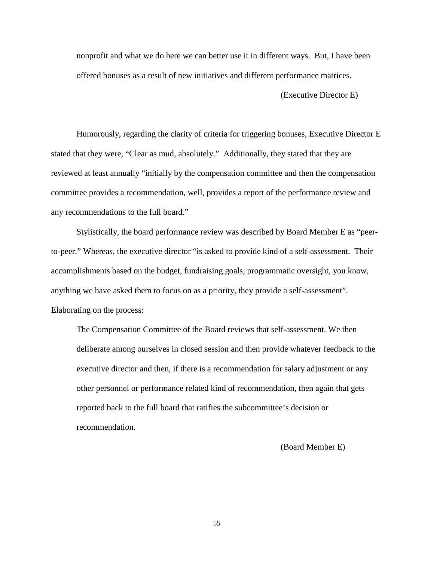nonprofit and what we do here we can better use it in different ways. But, I have been offered bonuses as a result of new initiatives and different performance matrices.

(Executive Director E)

Humorously, regarding the clarity of criteria for triggering bonuses, Executive Director E stated that they were, "Clear as mud, absolutely." Additionally, they stated that they are reviewed at least annually "initially by the compensation committee and then the compensation committee provides a recommendation, well, provides a report of the performance review and any recommendations to the full board."

Stylistically, the board performance review was described by Board Member E as "peerto-peer." Whereas, the executive director "is asked to provide kind of a self-assessment. Their accomplishments based on the budget, fundraising goals, programmatic oversight, you know, anything we have asked them to focus on as a priority, they provide a self-assessment". Elaborating on the process:

The Compensation Committee of the Board reviews that self-assessment. We then deliberate among ourselves in closed session and then provide whatever feedback to the executive director and then, if there is a recommendation for salary adjustment or any other personnel or performance related kind of recommendation, then again that gets reported back to the full board that ratifies the subcommittee's decision or recommendation.

(Board Member E)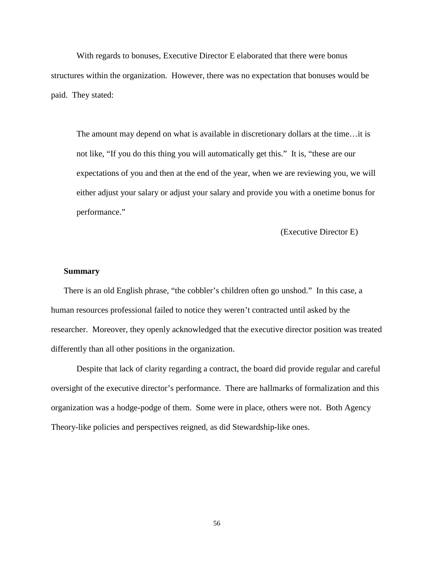With regards to bonuses, Executive Director E elaborated that there were bonus structures within the organization. However, there was no expectation that bonuses would be paid. They stated:

The amount may depend on what is available in discretionary dollars at the time…it is not like, "If you do this thing you will automatically get this." It is, "these are our expectations of you and then at the end of the year, when we are reviewing you, we will either adjust your salary or adjust your salary and provide you with a onetime bonus for performance."

(Executive Director E)

### **Summary**

There is an old English phrase, "the cobbler's children often go unshod." In this case, a human resources professional failed to notice they weren't contracted until asked by the researcher. Moreover, they openly acknowledged that the executive director position was treated differently than all other positions in the organization.

Despite that lack of clarity regarding a contract, the board did provide regular and careful oversight of the executive director's performance. There are hallmarks of formalization and this organization was a hodge-podge of them. Some were in place, others were not. Both Agency Theory-like policies and perspectives reigned, as did Stewardship-like ones.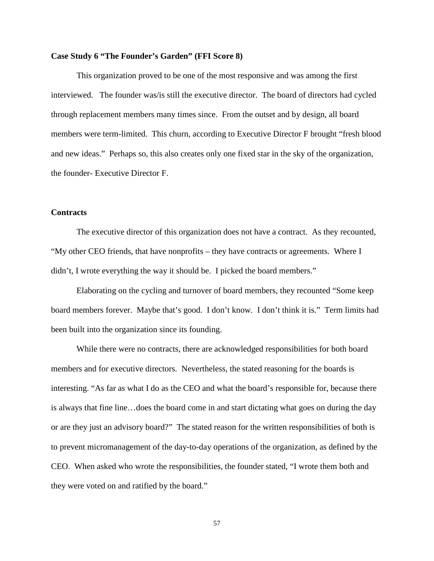### **Case Study 6 "The Founder's Garden" (FFI Score 8)**

This organization proved to be one of the most responsive and was among the first interviewed. The founder was/is still the executive director. The board of directors had cycled through replacement members many times since. From the outset and by design, all board members were term-limited. This churn, according to Executive Director F brought "fresh blood and new ideas." Perhaps so, this also creates only one fixed star in the sky of the organization, the founder- Executive Director F.

## **Contracts**

The executive director of this organization does not have a contract. As they recounted, "My other CEO friends, that have nonprofits – they have contracts or agreements. Where I didn't, I wrote everything the way it should be. I picked the board members."

Elaborating on the cycling and turnover of board members, they recounted "Some keep board members forever. Maybe that's good. I don't know. I don't think it is." Term limits had been built into the organization since its founding.

While there were no contracts, there are acknowledged responsibilities for both board members and for executive directors. Nevertheless, the stated reasoning for the boards is interesting. "As far as what I do as the CEO and what the board's responsible for, because there is always that fine line…does the board come in and start dictating what goes on during the day or are they just an advisory board?" The stated reason for the written responsibilities of both is to prevent micromanagement of the day-to-day operations of the organization, as defined by the CEO. When asked who wrote the responsibilities, the founder stated, "I wrote them both and they were voted on and ratified by the board."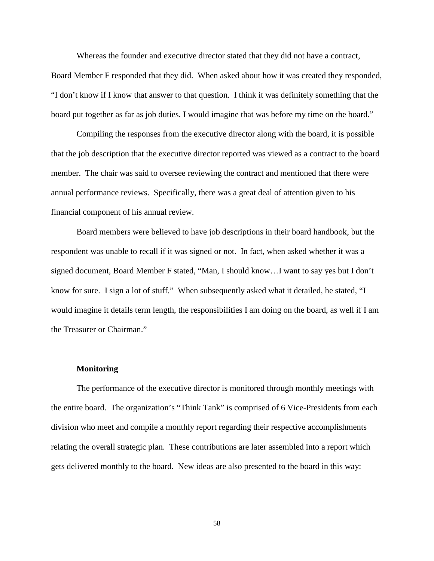Whereas the founder and executive director stated that they did not have a contract,

Board Member F responded that they did. When asked about how it was created they responded, "I don't know if I know that answer to that question. I think it was definitely something that the board put together as far as job duties. I would imagine that was before my time on the board."

Compiling the responses from the executive director along with the board, it is possible that the job description that the executive director reported was viewed as a contract to the board member. The chair was said to oversee reviewing the contract and mentioned that there were annual performance reviews. Specifically, there was a great deal of attention given to his financial component of his annual review.

Board members were believed to have job descriptions in their board handbook, but the respondent was unable to recall if it was signed or not. In fact, when asked whether it was a signed document, Board Member F stated, "Man, I should know…I want to say yes but I don't know for sure. I sign a lot of stuff." When subsequently asked what it detailed, he stated, "I would imagine it details term length, the responsibilities I am doing on the board, as well if I am the Treasurer or Chairman."

#### **Monitoring**

The performance of the executive director is monitored through monthly meetings with the entire board. The organization's "Think Tank" is comprised of 6 Vice-Presidents from each division who meet and compile a monthly report regarding their respective accomplishments relating the overall strategic plan. These contributions are later assembled into a report which gets delivered monthly to the board. New ideas are also presented to the board in this way: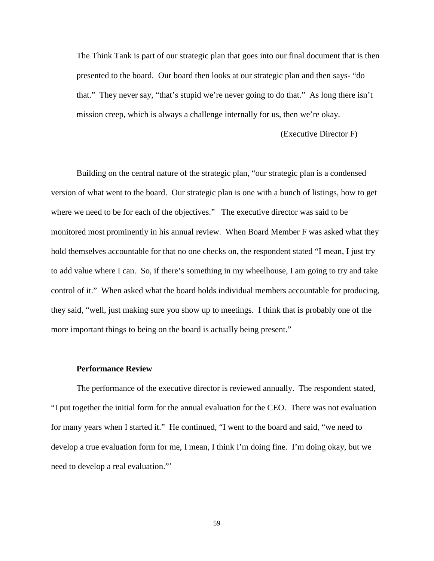The Think Tank is part of our strategic plan that goes into our final document that is then presented to the board. Our board then looks at our strategic plan and then says- "do that." They never say, "that's stupid we're never going to do that." As long there isn't mission creep, which is always a challenge internally for us, then we're okay.

(Executive Director F)

Building on the central nature of the strategic plan, "our strategic plan is a condensed version of what went to the board. Our strategic plan is one with a bunch of listings, how to get where we need to be for each of the objectives." The executive director was said to be monitored most prominently in his annual review. When Board Member F was asked what they hold themselves accountable for that no one checks on, the respondent stated "I mean, I just try to add value where I can. So, if there's something in my wheelhouse, I am going to try and take control of it." When asked what the board holds individual members accountable for producing, they said, "well, just making sure you show up to meetings. I think that is probably one of the more important things to being on the board is actually being present."

#### **Performance Review**

The performance of the executive director is reviewed annually. The respondent stated, "I put together the initial form for the annual evaluation for the CEO. There was not evaluation for many years when I started it." He continued, "I went to the board and said, "we need to develop a true evaluation form for me, I mean, I think I'm doing fine. I'm doing okay, but we need to develop a real evaluation."'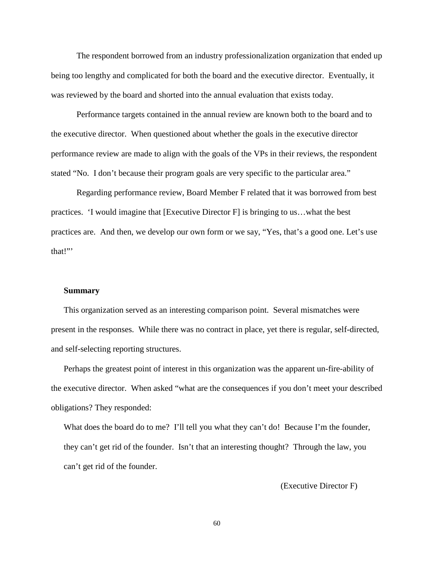The respondent borrowed from an industry professionalization organization that ended up being too lengthy and complicated for both the board and the executive director. Eventually, it was reviewed by the board and shorted into the annual evaluation that exists today.

Performance targets contained in the annual review are known both to the board and to the executive director. When questioned about whether the goals in the executive director performance review are made to align with the goals of the VPs in their reviews, the respondent stated "No. I don't because their program goals are very specific to the particular area."

Regarding performance review, Board Member F related that it was borrowed from best practices. 'I would imagine that [Executive Director F] is bringing to us…what the best practices are. And then, we develop our own form or we say, "Yes, that's a good one. Let's use that!"'

### **Summary**

This organization served as an interesting comparison point. Several mismatches were present in the responses. While there was no contract in place, yet there is regular, self-directed, and self-selecting reporting structures.

Perhaps the greatest point of interest in this organization was the apparent un-fire-ability of the executive director. When asked "what are the consequences if you don't meet your described obligations? They responded:

What does the board do to me? I'll tell you what they can't do! Because I'm the founder, they can't get rid of the founder. Isn't that an interesting thought? Through the law, you can't get rid of the founder.

(Executive Director F)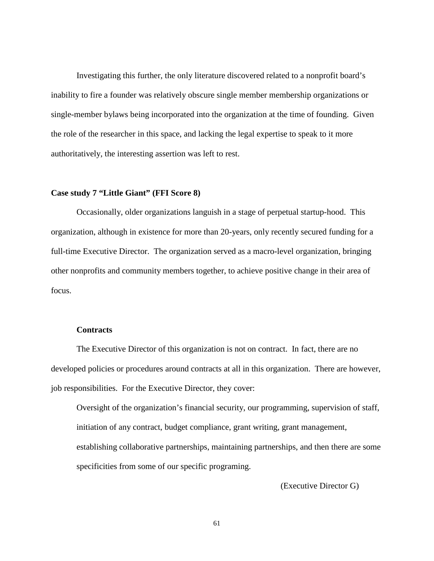Investigating this further, the only literature discovered related to a nonprofit board's inability to fire a founder was relatively obscure single member membership organizations or single-member bylaws being incorporated into the organization at the time of founding. Given the role of the researcher in this space, and lacking the legal expertise to speak to it more authoritatively, the interesting assertion was left to rest.

#### **Case study 7 "Little Giant" (FFI Score 8)**

Occasionally, older organizations languish in a stage of perpetual startup-hood. This organization, although in existence for more than 20-years, only recently secured funding for a full-time Executive Director. The organization served as a macro-level organization, bringing other nonprofits and community members together, to achieve positive change in their area of focus.

## **Contracts**

The Executive Director of this organization is not on contract. In fact, there are no developed policies or procedures around contracts at all in this organization. There are however, job responsibilities. For the Executive Director, they cover:

Oversight of the organization's financial security, our programming, supervision of staff, initiation of any contract, budget compliance, grant writing, grant management, establishing collaborative partnerships, maintaining partnerships, and then there are some specificities from some of our specific programing.

(Executive Director G)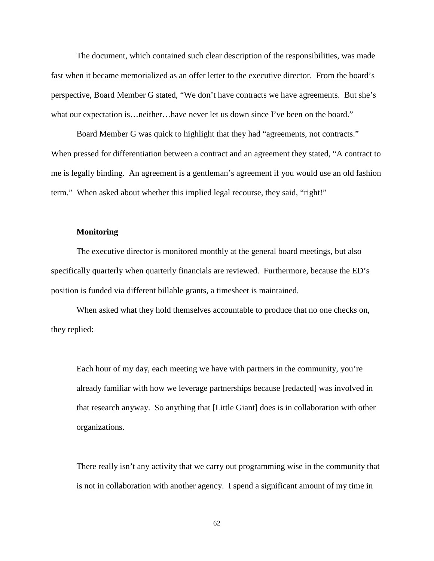The document, which contained such clear description of the responsibilities, was made fast when it became memorialized as an offer letter to the executive director. From the board's perspective, Board Member G stated, "We don't have contracts we have agreements. But she's what our expectation is…neither…have never let us down since I've been on the board."

Board Member G was quick to highlight that they had "agreements, not contracts." When pressed for differentiation between a contract and an agreement they stated, "A contract to me is legally binding. An agreement is a gentleman's agreement if you would use an old fashion term." When asked about whether this implied legal recourse, they said, "right!"

#### **Monitoring**

The executive director is monitored monthly at the general board meetings, but also specifically quarterly when quarterly financials are reviewed. Furthermore, because the ED's position is funded via different billable grants, a timesheet is maintained.

When asked what they hold themselves accountable to produce that no one checks on, they replied:

Each hour of my day, each meeting we have with partners in the community, you're already familiar with how we leverage partnerships because [redacted] was involved in that research anyway. So anything that [Little Giant] does is in collaboration with other organizations.

There really isn't any activity that we carry out programming wise in the community that is not in collaboration with another agency. I spend a significant amount of my time in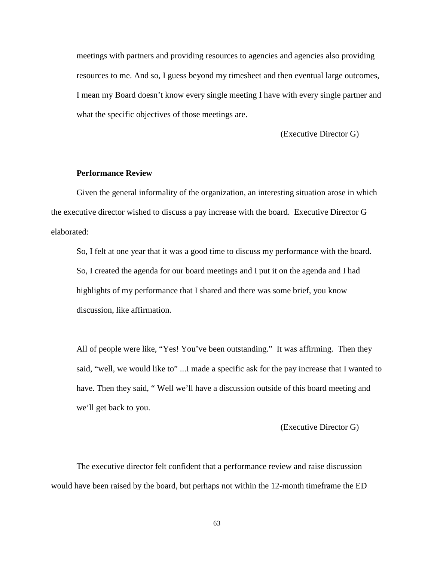meetings with partners and providing resources to agencies and agencies also providing resources to me. And so, I guess beyond my timesheet and then eventual large outcomes, I mean my Board doesn't know every single meeting I have with every single partner and what the specific objectives of those meetings are.

(Executive Director G)

# **Performance Review**

Given the general informality of the organization, an interesting situation arose in which the executive director wished to discuss a pay increase with the board. Executive Director G elaborated:

So, I felt at one year that it was a good time to discuss my performance with the board. So, I created the agenda for our board meetings and I put it on the agenda and I had highlights of my performance that I shared and there was some brief, you know discussion, like affirmation.

All of people were like, "Yes! You've been outstanding." It was affirming. Then they said, "well, we would like to" ...I made a specific ask for the pay increase that I wanted to have. Then they said, "Well we'll have a discussion outside of this board meeting and we'll get back to you.

(Executive Director G)

The executive director felt confident that a performance review and raise discussion would have been raised by the board, but perhaps not within the 12-month timeframe the ED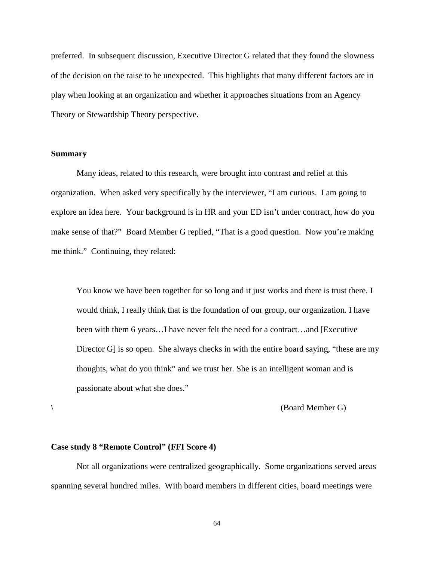preferred. In subsequent discussion, Executive Director G related that they found the slowness of the decision on the raise to be unexpected. This highlights that many different factors are in play when looking at an organization and whether it approaches situations from an Agency Theory or Stewardship Theory perspective.

### **Summary**

Many ideas, related to this research, were brought into contrast and relief at this organization. When asked very specifically by the interviewer, "I am curious. I am going to explore an idea here. Your background is in HR and your ED isn't under contract, how do you make sense of that?" Board Member G replied, "That is a good question. Now you're making me think." Continuing, they related:

You know we have been together for so long and it just works and there is trust there. I would think, I really think that is the foundation of our group, our organization. I have been with them 6 years…I have never felt the need for a contract…and [Executive Director G is so open. She always checks in with the entire board saying, "these are my thoughts, what do you think" and we trust her. She is an intelligent woman and is passionate about what she does."

 $\setminus$  (Board Member G)

#### **Case study 8 "Remote Control" (FFI Score 4)**

Not all organizations were centralized geographically. Some organizations served areas spanning several hundred miles. With board members in different cities, board meetings were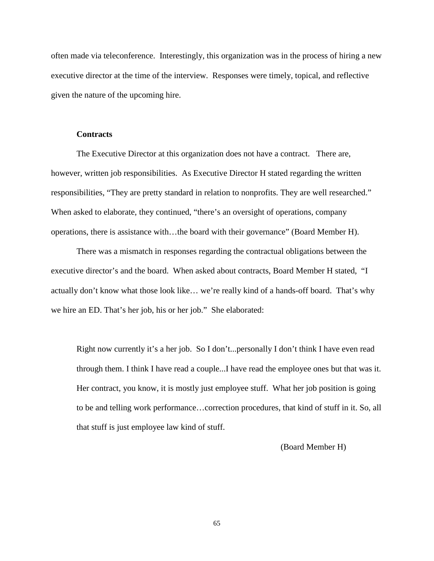often made via teleconference. Interestingly, this organization was in the process of hiring a new executive director at the time of the interview. Responses were timely, topical, and reflective given the nature of the upcoming hire.

#### **Contracts**

The Executive Director at this organization does not have a contract. There are, however, written job responsibilities. As Executive Director H stated regarding the written responsibilities, "They are pretty standard in relation to nonprofits. They are well researched." When asked to elaborate, they continued, "there's an oversight of operations, company operations, there is assistance with…the board with their governance" (Board Member H).

There was a mismatch in responses regarding the contractual obligations between the executive director's and the board. When asked about contracts, Board Member H stated, "I actually don't know what those look like… we're really kind of a hands-off board. That's why we hire an ED. That's her job, his or her job." She elaborated:

Right now currently it's a her job. So I don't...personally I don't think I have even read through them. I think I have read a couple...I have read the employee ones but that was it. Her contract, you know, it is mostly just employee stuff. What her job position is going to be and telling work performance…correction procedures, that kind of stuff in it. So, all that stuff is just employee law kind of stuff.

(Board Member H)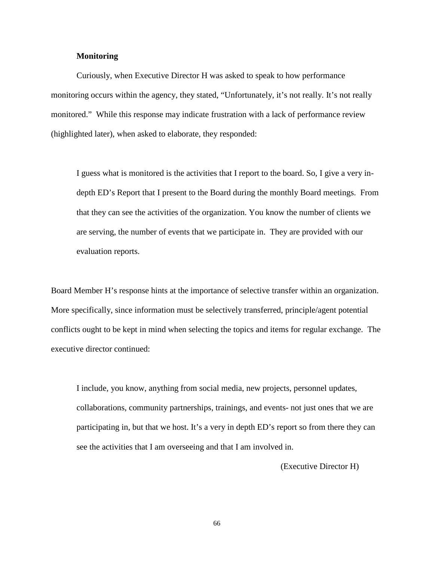### **Monitoring**

Curiously, when Executive Director H was asked to speak to how performance monitoring occurs within the agency, they stated, "Unfortunately, it's not really. It's not really monitored." While this response may indicate frustration with a lack of performance review (highlighted later), when asked to elaborate, they responded:

I guess what is monitored is the activities that I report to the board. So, I give a very indepth ED's Report that I present to the Board during the monthly Board meetings. From that they can see the activities of the organization. You know the number of clients we are serving, the number of events that we participate in. They are provided with our evaluation reports.

Board Member H's response hints at the importance of selective transfer within an organization. More specifically, since information must be selectively transferred, principle/agent potential conflicts ought to be kept in mind when selecting the topics and items for regular exchange. The executive director continued:

I include, you know, anything from social media, new projects, personnel updates, collaborations, community partnerships, trainings, and events- not just ones that we are participating in, but that we host. It's a very in depth ED's report so from there they can see the activities that I am overseeing and that I am involved in.

(Executive Director H)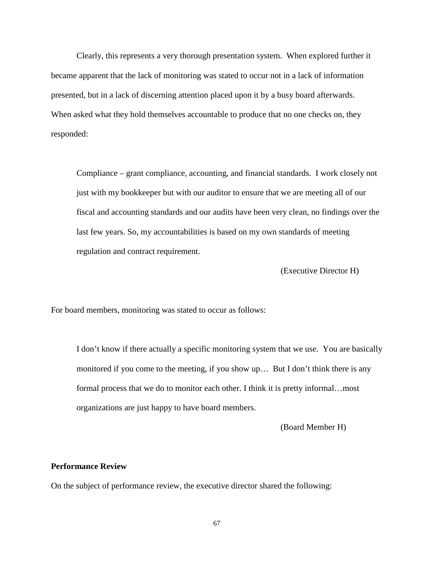Clearly, this represents a very thorough presentation system. When explored further it became apparent that the lack of monitoring was stated to occur not in a lack of information presented, but in a lack of discerning attention placed upon it by a busy board afterwards. When asked what they hold themselves accountable to produce that no one checks on, they responded:

Compliance – grant compliance, accounting, and financial standards. I work closely not just with my bookkeeper but with our auditor to ensure that we are meeting all of our fiscal and accounting standards and our audits have been very clean, no findings over the last few years. So, my accountabilities is based on my own standards of meeting regulation and contract requirement.

(Executive Director H)

For board members, monitoring was stated to occur as follows:

I don't know if there actually a specific monitoring system that we use. You are basically monitored if you come to the meeting, if you show up… But I don't think there is any formal process that we do to monitor each other. I think it is pretty informal…most organizations are just happy to have board members.

(Board Member H)

### **Performance Review**

On the subject of performance review, the executive director shared the following: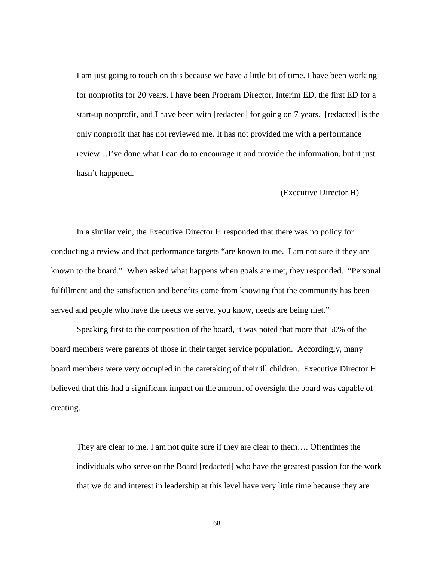I am just going to touch on this because we have a little bit of time. I have been working for nonprofits for 20 years. I have been Program Director, Interim ED, the first ED for a start-up nonprofit, and I have been with [redacted] for going on 7 years. [redacted] is the only nonprofit that has not reviewed me. It has not provided me with a performance review…I've done what I can do to encourage it and provide the information, but it just hasn't happened.

#### (Executive Director H)

In a similar vein, the Executive Director H responded that there was no policy for conducting a review and that performance targets "are known to me. I am not sure if they are known to the board." When asked what happens when goals are met, they responded. "Personal fulfillment and the satisfaction and benefits come from knowing that the community has been served and people who have the needs we serve, you know, needs are being met."

Speaking first to the composition of the board, it was noted that more that 50% of the board members were parents of those in their target service population. Accordingly, many board members were very occupied in the caretaking of their ill children. Executive Director H believed that this had a significant impact on the amount of oversight the board was capable of creating.

They are clear to me. I am not quite sure if they are clear to them…. Oftentimes the individuals who serve on the Board [redacted] who have the greatest passion for the work that we do and interest in leadership at this level have very little time because they are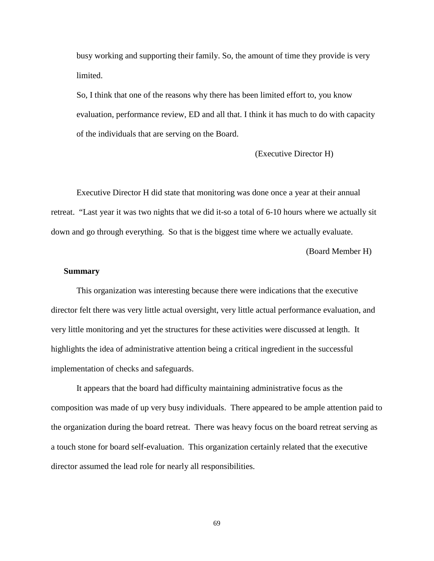busy working and supporting their family. So, the amount of time they provide is very limited.

So, I think that one of the reasons why there has been limited effort to, you know evaluation, performance review, ED and all that. I think it has much to do with capacity of the individuals that are serving on the Board.

(Executive Director H)

Executive Director H did state that monitoring was done once a year at their annual retreat. "Last year it was two nights that we did it-so a total of 6-10 hours where we actually sit down and go through everything. So that is the biggest time where we actually evaluate.

(Board Member H)

#### **Summary**

This organization was interesting because there were indications that the executive director felt there was very little actual oversight, very little actual performance evaluation, and very little monitoring and yet the structures for these activities were discussed at length. It highlights the idea of administrative attention being a critical ingredient in the successful implementation of checks and safeguards.

It appears that the board had difficulty maintaining administrative focus as the composition was made of up very busy individuals. There appeared to be ample attention paid to the organization during the board retreat. There was heavy focus on the board retreat serving as a touch stone for board self-evaluation. This organization certainly related that the executive director assumed the lead role for nearly all responsibilities.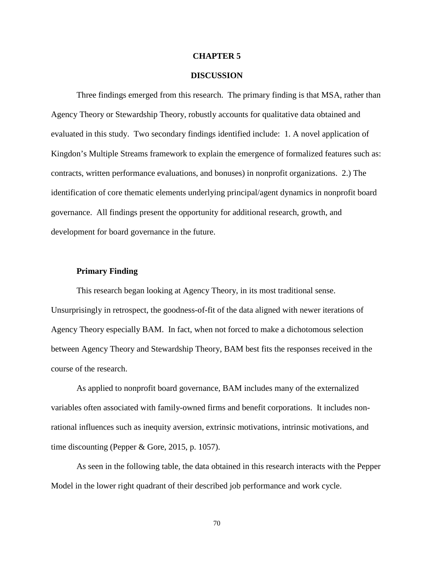#### **CHAPTER 5**

#### **DISCUSSION**

Three findings emerged from this research. The primary finding is that MSA, rather than Agency Theory or Stewardship Theory, robustly accounts for qualitative data obtained and evaluated in this study. Two secondary findings identified include: 1. A novel application of Kingdon's Multiple Streams framework to explain the emergence of formalized features such as: contracts, written performance evaluations, and bonuses) in nonprofit organizations. 2.) The identification of core thematic elements underlying principal/agent dynamics in nonprofit board governance. All findings present the opportunity for additional research, growth, and development for board governance in the future.

### **Primary Finding**

This research began looking at Agency Theory, in its most traditional sense. Unsurprisingly in retrospect, the goodness-of-fit of the data aligned with newer iterations of Agency Theory especially BAM. In fact, when not forced to make a dichotomous selection between Agency Theory and Stewardship Theory, BAM best fits the responses received in the course of the research.

As applied to nonprofit board governance, BAM includes many of the externalized variables often associated with family-owned firms and benefit corporations. It includes nonrational influences such as inequity aversion, extrinsic motivations, intrinsic motivations, and time discounting (Pepper & Gore, 2015, p. 1057).

As seen in the following table, the data obtained in this research interacts with the Pepper Model in the lower right quadrant of their described job performance and work cycle.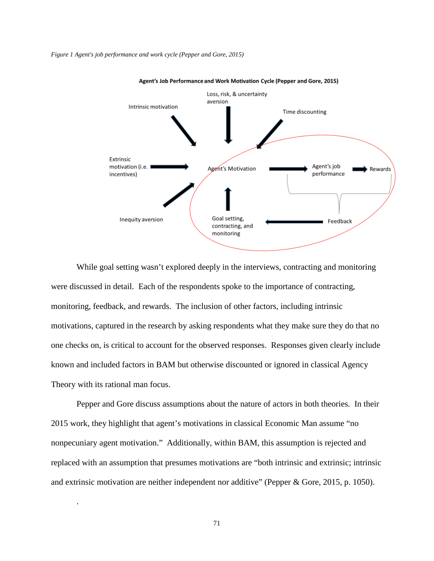#### *Figure 1 Agent's job performance and work cycle (Pepper and Gore, 2015)*



Agent's Job Performance and Work Motivation Cycle (Pepper and Gore, 2015)

While goal setting wasn't explored deeply in the interviews, contracting and monitoring were discussed in detail. Each of the respondents spoke to the importance of contracting, monitoring, feedback, and rewards. The inclusion of other factors, including intrinsic motivations, captured in the research by asking respondents what they make sure they do that no one checks on, is critical to account for the observed responses. Responses given clearly include known and included factors in BAM but otherwise discounted or ignored in classical Agency Theory with its rational man focus.

Pepper and Gore discuss assumptions about the nature of actors in both theories. In their 2015 work, they highlight that agent's motivations in classical Economic Man assume "no nonpecuniary agent motivation." Additionally, within BAM, this assumption is rejected and replaced with an assumption that presumes motivations are "both intrinsic and extrinsic; intrinsic and extrinsic motivation are neither independent nor additive" (Pepper & Gore, 2015, p. 1050).

.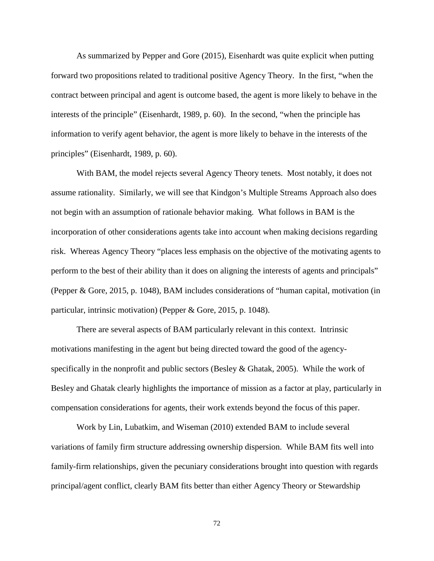As summarized by Pepper and Gore (2015), Eisenhardt was quite explicit when putting forward two propositions related to traditional positive Agency Theory. In the first, "when the contract between principal and agent is outcome based, the agent is more likely to behave in the interests of the principle" (Eisenhardt, 1989, p. 60). In the second, "when the principle has information to verify agent behavior, the agent is more likely to behave in the interests of the principles" (Eisenhardt, 1989, p. 60).

With BAM, the model rejects several Agency Theory tenets. Most notably, it does not assume rationality. Similarly, we will see that Kindgon's Multiple Streams Approach also does not begin with an assumption of rationale behavior making. What follows in BAM is the incorporation of other considerations agents take into account when making decisions regarding risk. Whereas Agency Theory "places less emphasis on the objective of the motivating agents to perform to the best of their ability than it does on aligning the interests of agents and principals" (Pepper & Gore, 2015, p. 1048), BAM includes considerations of "human capital, motivation (in particular, intrinsic motivation) (Pepper & Gore, 2015, p. 1048).

There are several aspects of BAM particularly relevant in this context. Intrinsic motivations manifesting in the agent but being directed toward the good of the agencyspecifically in the nonprofit and public sectors (Besley & Ghatak, 2005). While the work of Besley and Ghatak clearly highlights the importance of mission as a factor at play, particularly in compensation considerations for agents, their work extends beyond the focus of this paper.

Work by Lin, Lubatkim, and Wiseman (2010) extended BAM to include several variations of family firm structure addressing ownership dispersion. While BAM fits well into family-firm relationships, given the pecuniary considerations brought into question with regards principal/agent conflict, clearly BAM fits better than either Agency Theory or Stewardship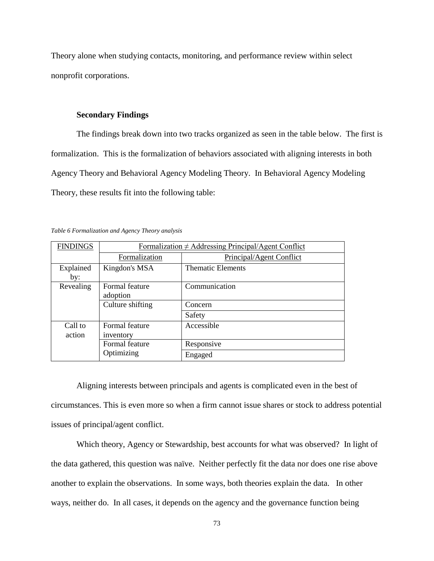Theory alone when studying contacts, monitoring, and performance review within select nonprofit corporations.

### **Secondary Findings**

The findings break down into two tracks organized as seen in the table below. The first is formalization. This is the formalization of behaviors associated with aligning interests in both Agency Theory and Behavioral Agency Modeling Theory. In Behavioral Agency Modeling Theory, these results fit into the following table:

| <b>FINDINGS</b>   | Formalization $\neq$ Addressing Principal/Agent Conflict |                          |  |
|-------------------|----------------------------------------------------------|--------------------------|--|
|                   | Formalization                                            | Principal/Agent Conflict |  |
| Explained<br>by:  | Kingdon's MSA                                            | <b>Thematic Elements</b> |  |
| Revealing         | Formal feature<br>adoption                               | Communication            |  |
|                   | Culture shifting                                         | Concern                  |  |
|                   |                                                          | Safety                   |  |
| Call to<br>action | Formal feature<br>inventory                              | Accessible               |  |
|                   | Formal feature<br>Optimizing                             | Responsive               |  |
|                   |                                                          | Engaged                  |  |

*Table 6 Formalization and Agency Theory analysis*

Aligning interests between principals and agents is complicated even in the best of circumstances. This is even more so when a firm cannot issue shares or stock to address potential issues of principal/agent conflict.

Which theory, Agency or Stewardship, best accounts for what was observed? In light of the data gathered, this question was naïve. Neither perfectly fit the data nor does one rise above another to explain the observations. In some ways, both theories explain the data. In other ways, neither do. In all cases, it depends on the agency and the governance function being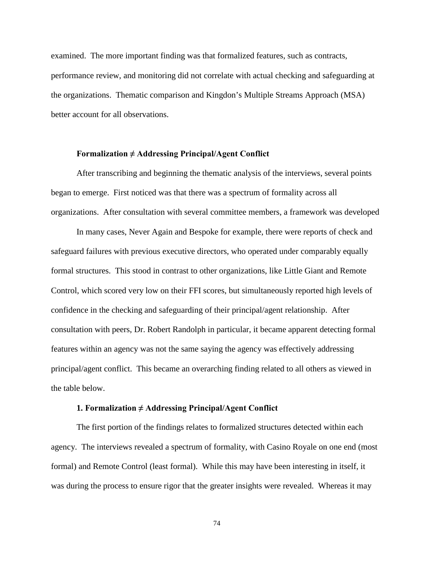examined. The more important finding was that formalized features, such as contracts, performance review, and monitoring did not correlate with actual checking and safeguarding at the organizations. Thematic comparison and Kingdon's Multiple Streams Approach (MSA) better account for all observations.

### **Formalization ≠ Addressing Principal/Agent Conflict**

After transcribing and beginning the thematic analysis of the interviews, several points began to emerge. First noticed was that there was a spectrum of formality across all organizations. After consultation with several committee members, a framework was developed

In many cases, Never Again and Bespoke for example, there were reports of check and safeguard failures with previous executive directors, who operated under comparably equally formal structures. This stood in contrast to other organizations, like Little Giant and Remote Control, which scored very low on their FFI scores, but simultaneously reported high levels of confidence in the checking and safeguarding of their principal/agent relationship. After consultation with peers, Dr. Robert Randolph in particular, it became apparent detecting formal features within an agency was not the same saying the agency was effectively addressing principal/agent conflict. This became an overarching finding related to all others as viewed in the table below.

#### **1. Formalization ≠ Addressing Principal/Agent Conflict**

The first portion of the findings relates to formalized structures detected within each agency. The interviews revealed a spectrum of formality, with Casino Royale on one end (most formal) and Remote Control (least formal). While this may have been interesting in itself, it was during the process to ensure rigor that the greater insights were revealed. Whereas it may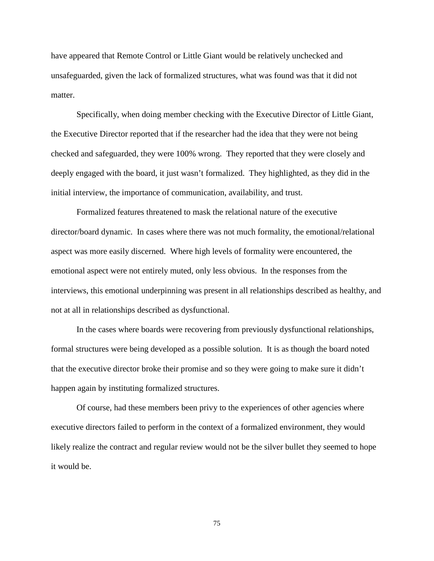have appeared that Remote Control or Little Giant would be relatively unchecked and unsafeguarded, given the lack of formalized structures, what was found was that it did not matter.

Specifically, when doing member checking with the Executive Director of Little Giant, the Executive Director reported that if the researcher had the idea that they were not being checked and safeguarded, they were 100% wrong. They reported that they were closely and deeply engaged with the board, it just wasn't formalized. They highlighted, as they did in the initial interview, the importance of communication, availability, and trust.

Formalized features threatened to mask the relational nature of the executive director/board dynamic. In cases where there was not much formality, the emotional/relational aspect was more easily discerned. Where high levels of formality were encountered, the emotional aspect were not entirely muted, only less obvious. In the responses from the interviews, this emotional underpinning was present in all relationships described as healthy, and not at all in relationships described as dysfunctional.

In the cases where boards were recovering from previously dysfunctional relationships, formal structures were being developed as a possible solution. It is as though the board noted that the executive director broke their promise and so they were going to make sure it didn't happen again by instituting formalized structures.

Of course, had these members been privy to the experiences of other agencies where executive directors failed to perform in the context of a formalized environment, they would likely realize the contract and regular review would not be the silver bullet they seemed to hope it would be.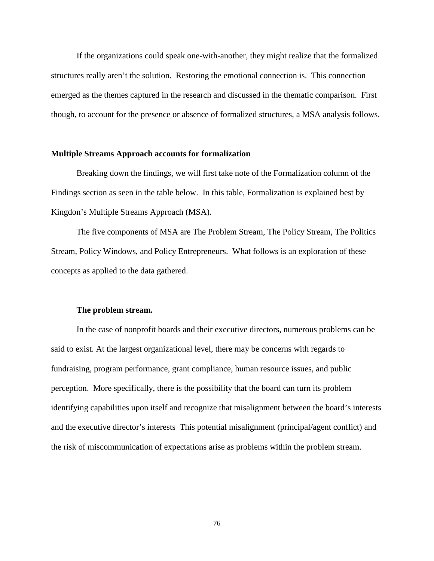If the organizations could speak one-with-another, they might realize that the formalized structures really aren't the solution. Restoring the emotional connection is. This connection emerged as the themes captured in the research and discussed in the thematic comparison. First though, to account for the presence or absence of formalized structures, a MSA analysis follows.

#### **Multiple Streams Approach accounts for formalization**

Breaking down the findings, we will first take note of the Formalization column of the Findings section as seen in the table below. In this table, Formalization is explained best by Kingdon's Multiple Streams Approach (MSA).

The five components of MSA are The Problem Stream, The Policy Stream, The Politics Stream, Policy Windows, and Policy Entrepreneurs. What follows is an exploration of these concepts as applied to the data gathered.

#### **The problem stream.**

In the case of nonprofit boards and their executive directors, numerous problems can be said to exist. At the largest organizational level, there may be concerns with regards to fundraising, program performance, grant compliance, human resource issues, and public perception. More specifically, there is the possibility that the board can turn its problem identifying capabilities upon itself and recognize that misalignment between the board's interests and the executive director's interests This potential misalignment (principal/agent conflict) and the risk of miscommunication of expectations arise as problems within the problem stream.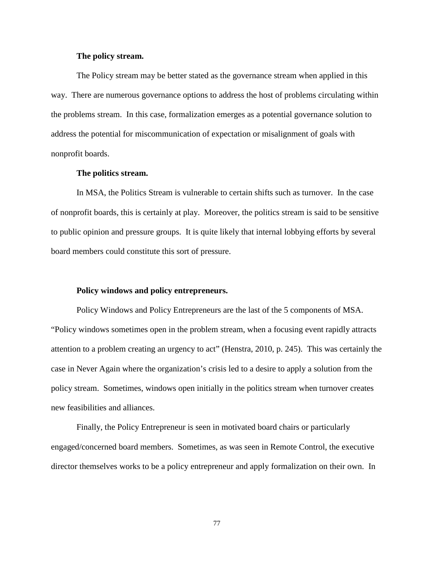#### **The policy stream.**

The Policy stream may be better stated as the governance stream when applied in this way. There are numerous governance options to address the host of problems circulating within the problems stream. In this case, formalization emerges as a potential governance solution to address the potential for miscommunication of expectation or misalignment of goals with nonprofit boards.

#### **The politics stream.**

In MSA, the Politics Stream is vulnerable to certain shifts such as turnover. In the case of nonprofit boards, this is certainly at play. Moreover, the politics stream is said to be sensitive to public opinion and pressure groups. It is quite likely that internal lobbying efforts by several board members could constitute this sort of pressure.

### **Policy windows and policy entrepreneurs.**

Policy Windows and Policy Entrepreneurs are the last of the 5 components of MSA. "Policy windows sometimes open in the problem stream, when a focusing event rapidly attracts attention to a problem creating an urgency to act" (Henstra, 2010, p. 245). This was certainly the case in Never Again where the organization's crisis led to a desire to apply a solution from the policy stream. Sometimes, windows open initially in the politics stream when turnover creates new feasibilities and alliances.

Finally, the Policy Entrepreneur is seen in motivated board chairs or particularly engaged/concerned board members. Sometimes, as was seen in Remote Control, the executive director themselves works to be a policy entrepreneur and apply formalization on their own. In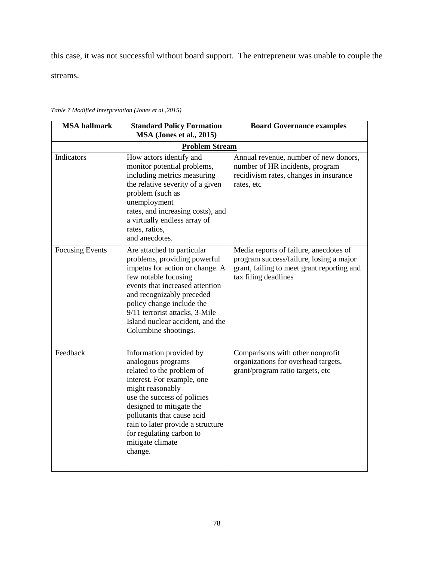this case, it was not successful without board support. The entrepreneur was unable to couple the

streams.

| <b>MSA</b> hallmark    | <b>Standard Policy Formation</b><br>MSA (Jones et al., 2015)                                                                                                                                                                                                                                                          | <b>Board Governance examples</b>                                                                                                                        |  |  |
|------------------------|-----------------------------------------------------------------------------------------------------------------------------------------------------------------------------------------------------------------------------------------------------------------------------------------------------------------------|---------------------------------------------------------------------------------------------------------------------------------------------------------|--|--|
| <b>Problem Stream</b>  |                                                                                                                                                                                                                                                                                                                       |                                                                                                                                                         |  |  |
| Indicators             | How actors identify and<br>monitor potential problems,<br>including metrics measuring<br>the relative severity of a given<br>problem (such as<br>unemployment<br>rates, and increasing costs), and<br>a virtually endless array of<br>rates, ratios,<br>and anecdotes.                                                | Annual revenue, number of new donors,<br>number of HR incidents, program<br>recidivism rates, changes in insurance<br>rates, etc                        |  |  |
| <b>Focusing Events</b> | Are attached to particular<br>problems, providing powerful<br>impetus for action or change. A<br>few notable focusing<br>events that increased attention<br>and recognizably preceded<br>policy change include the<br>9/11 terrorist attacks, 3-Mile<br>Island nuclear accident, and the<br>Columbine shootings.      | Media reports of failure, anecdotes of<br>program success/failure, losing a major<br>grant, failing to meet grant reporting and<br>tax filing deadlines |  |  |
| Feedback               | Information provided by<br>analogous programs<br>related to the problem of<br>interest. For example, one<br>might reasonably<br>use the success of policies<br>designed to mitigate the<br>pollutants that cause acid<br>rain to later provide a structure<br>for regulating carbon to<br>mitigate climate<br>change. | Comparisons with other nonprofit<br>organizations for overhead targets,<br>grant/program ratio targets, etc                                             |  |  |

*Table 7 Modified Interpretation (Jones et al.,2015)*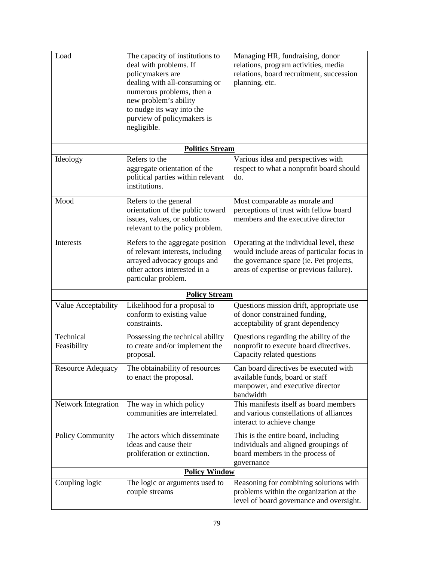| Load                     | The capacity of institutions to<br>deal with problems. If<br>policymakers are<br>dealing with all-consuming or<br>numerous problems, then a<br>new problem's ability<br>to nudge its way into the<br>purview of policymakers is<br>negligible. | Managing HR, fundraising, donor<br>relations, program activities, media<br>relations, board recruitment, succession<br>planning, etc.                                         |  |  |
|--------------------------|------------------------------------------------------------------------------------------------------------------------------------------------------------------------------------------------------------------------------------------------|-------------------------------------------------------------------------------------------------------------------------------------------------------------------------------|--|--|
|                          | <b>Politics Stream</b>                                                                                                                                                                                                                         |                                                                                                                                                                               |  |  |
| Ideology                 | Refers to the<br>aggregate orientation of the<br>political parties within relevant<br>institutions.                                                                                                                                            | Various idea and perspectives with<br>respect to what a nonprofit board should<br>do.                                                                                         |  |  |
| Mood                     | Refers to the general<br>orientation of the public toward<br>issues, values, or solutions<br>relevant to the policy problem.                                                                                                                   | Most comparable as morale and<br>perceptions of trust with fellow board<br>members and the executive director                                                                 |  |  |
| Interests                | Refers to the aggregate position<br>of relevant interests, including<br>arrayed advocacy groups and<br>other actors interested in a<br>particular problem.                                                                                     | Operating at the individual level, these<br>would include areas of particular focus in<br>the governance space (ie. Pet projects,<br>areas of expertise or previous failure). |  |  |
|                          | <b>Policy Stream</b>                                                                                                                                                                                                                           |                                                                                                                                                                               |  |  |
| Value Acceptability      | Likelihood for a proposal to<br>conform to existing value<br>constraints.                                                                                                                                                                      | Questions mission drift, appropriate use<br>of donor constrained funding,<br>acceptability of grant dependency                                                                |  |  |
| Technical<br>Feasibility | Possessing the technical ability<br>to create and/or implement the<br>proposal.                                                                                                                                                                | Questions regarding the ability of the<br>nonprofit to execute board directives.<br>Capacity related questions                                                                |  |  |
| <b>Resource Adequacy</b> | The obtainability of resources<br>to enact the proposal.                                                                                                                                                                                       | Can board directives be executed with<br>available funds, board or staff<br>manpower, and executive director<br>bandwidth                                                     |  |  |
| Network Integration      | The way in which policy<br>communities are interrelated.                                                                                                                                                                                       | This manifests itself as board members<br>and various constellations of alliances<br>interact to achieve change                                                               |  |  |
| <b>Policy Community</b>  | The actors which disseminate<br>ideas and cause their<br>proliferation or extinction.                                                                                                                                                          | This is the entire board, including<br>individuals and aligned groupings of<br>board members in the process of<br>governance                                                  |  |  |
| <b>Policy Window</b>     |                                                                                                                                                                                                                                                |                                                                                                                                                                               |  |  |
| Coupling logic           | The logic or arguments used to<br>couple streams                                                                                                                                                                                               | Reasoning for combining solutions with<br>problems within the organization at the<br>level of board governance and oversight.                                                 |  |  |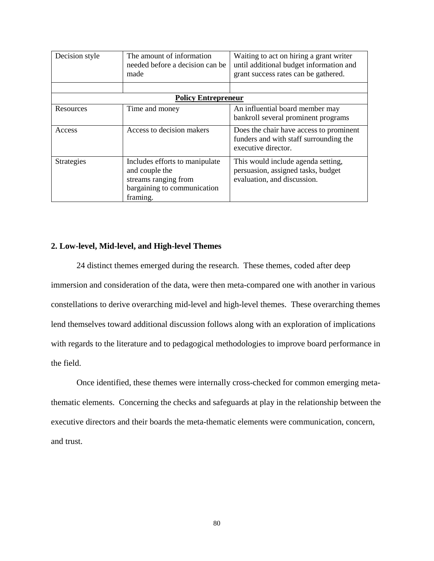| Decision style             | The amount of information<br>needed before a decision can be<br>made                                                | Waiting to act on hiring a grant writer<br>until additional budget information and<br>grant success rates can be gathered. |  |  |
|----------------------------|---------------------------------------------------------------------------------------------------------------------|----------------------------------------------------------------------------------------------------------------------------|--|--|
|                            |                                                                                                                     |                                                                                                                            |  |  |
| <b>Policy Entrepreneur</b> |                                                                                                                     |                                                                                                                            |  |  |
| Resources                  | Time and money                                                                                                      | An influential board member may<br>bankroll several prominent programs                                                     |  |  |
| Access                     | Access to decision makers                                                                                           | Does the chair have access to prominent<br>funders and with staff surrounding the<br>executive director.                   |  |  |
| <b>Strategies</b>          | Includes efforts to manipulate<br>and couple the<br>streams ranging from<br>bargaining to communication<br>framing. | This would include agenda setting,<br>persuasion, assigned tasks, budget<br>evaluation, and discussion.                    |  |  |

### **2. Low-level, Mid-level, and High-level Themes**

24 distinct themes emerged during the research. These themes, coded after deep immersion and consideration of the data, were then meta-compared one with another in various constellations to derive overarching mid-level and high-level themes. These overarching themes lend themselves toward additional discussion follows along with an exploration of implications with regards to the literature and to pedagogical methodologies to improve board performance in the field.

Once identified, these themes were internally cross-checked for common emerging metathematic elements. Concerning the checks and safeguards at play in the relationship between the executive directors and their boards the meta-thematic elements were communication, concern, and trust.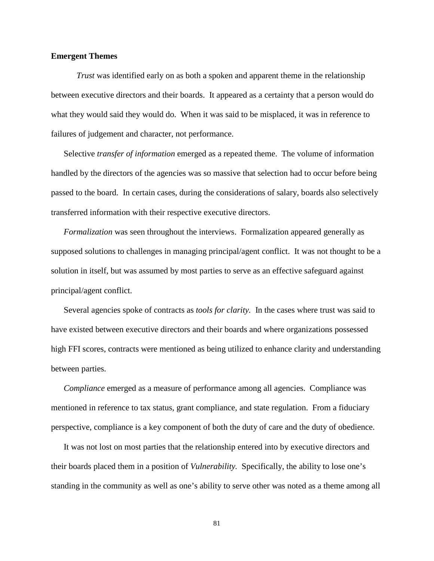### **Emergent Themes**

*Trust* was identified early on as both a spoken and apparent theme in the relationship between executive directors and their boards. It appeared as a certainty that a person would do what they would said they would do. When it was said to be misplaced, it was in reference to failures of judgement and character, not performance.

Selective *transfer of information* emerged as a repeated theme. The volume of information handled by the directors of the agencies was so massive that selection had to occur before being passed to the board. In certain cases, during the considerations of salary, boards also selectively transferred information with their respective executive directors.

*Formalization* was seen throughout the interviews. Formalization appeared generally as supposed solutions to challenges in managing principal/agent conflict. It was not thought to be a solution in itself, but was assumed by most parties to serve as an effective safeguard against principal/agent conflict.

Several agencies spoke of contracts as *tools for clarity.* In the cases where trust was said to have existed between executive directors and their boards and where organizations possessed high FFI scores, contracts were mentioned as being utilized to enhance clarity and understanding between parties.

*Compliance* emerged as a measure of performance among all agencies. Compliance was mentioned in reference to tax status, grant compliance, and state regulation. From a fiduciary perspective, compliance is a key component of both the duty of care and the duty of obedience.

It was not lost on most parties that the relationship entered into by executive directors and their boards placed them in a position of *Vulnerability.* Specifically, the ability to lose one's standing in the community as well as one's ability to serve other was noted as a theme among all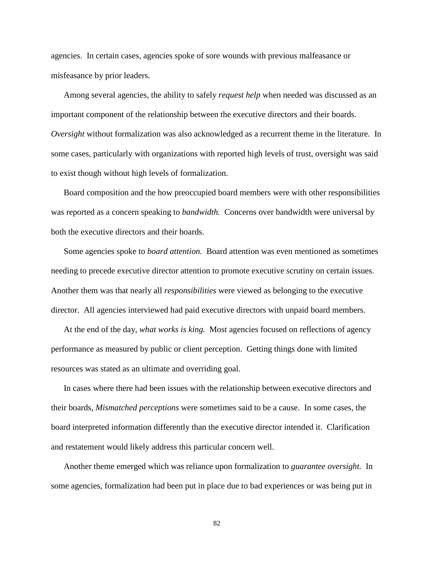agencies. In certain cases, agencies spoke of sore wounds with previous malfeasance or misfeasance by prior leaders.

Among several agencies, the ability to safely *request help* when needed was discussed as an important component of the relationship between the executive directors and their boards. *Oversight* without formalization was also acknowledged as a recurrent theme in the literature. In some cases, particularly with organizations with reported high levels of trust, oversight was said to exist though without high levels of formalization.

Board composition and the how preoccupied board members were with other responsibilities was reported as a concern speaking to *bandwidth.* Concerns over bandwidth were universal by both the executive directors and their boards.

Some agencies spoke to *board attention.* Board attention was even mentioned as sometimes needing to precede executive director attention to promote executive scrutiny on certain issues. Another them was that nearly all *responsibilities* were viewed as belonging to the executive director. All agencies interviewed had paid executive directors with unpaid board members.

At the end of the day, *what works is king.* Most agencies focused on reflections of agency performance as measured by public or client perception. Getting things done with limited resources was stated as an ultimate and overriding goal.

In cases where there had been issues with the relationship between executive directors and their boards, *Mismatched perceptions* were sometimes said to be a cause. In some cases, the board interpreted information differently than the executive director intended it. Clarification and restatement would likely address this particular concern well.

Another theme emerged which was reliance upon formalization to *guarantee oversight.* In some agencies, formalization had been put in place due to bad experiences or was being put in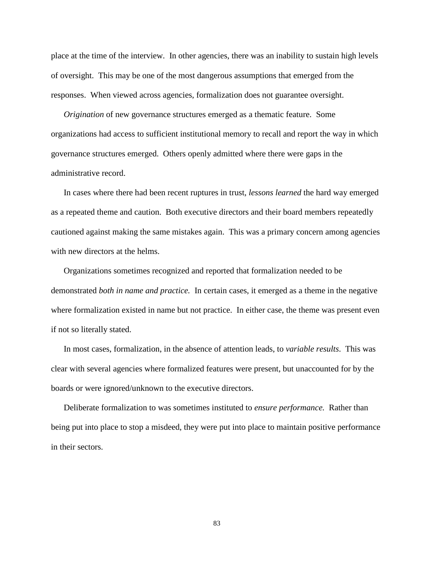place at the time of the interview. In other agencies, there was an inability to sustain high levels of oversight. This may be one of the most dangerous assumptions that emerged from the responses. When viewed across agencies, formalization does not guarantee oversight.

*Origination* of new governance structures emerged as a thematic feature. Some organizations had access to sufficient institutional memory to recall and report the way in which governance structures emerged. Others openly admitted where there were gaps in the administrative record.

In cases where there had been recent ruptures in trust, *lessons learned* the hard way emerged as a repeated theme and caution. Both executive directors and their board members repeatedly cautioned against making the same mistakes again. This was a primary concern among agencies with new directors at the helms.

Organizations sometimes recognized and reported that formalization needed to be demonstrated *both in name and practice.* In certain cases, it emerged as a theme in the negative where formalization existed in name but not practice. In either case, the theme was present even if not so literally stated.

In most cases, formalization, in the absence of attention leads, to *variable results*. This was clear with several agencies where formalized features were present, but unaccounted for by the boards or were ignored/unknown to the executive directors.

Deliberate formalization to was sometimes instituted to *ensure performance.* Rather than being put into place to stop a misdeed, they were put into place to maintain positive performance in their sectors.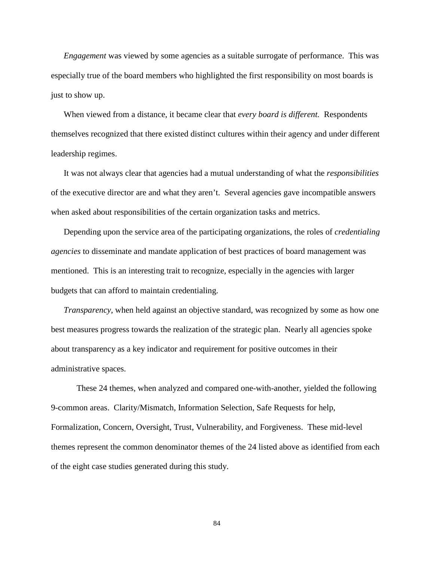*Engagement* was viewed by some agencies as a suitable surrogate of performance. This was especially true of the board members who highlighted the first responsibility on most boards is just to show up.

When viewed from a distance, it became clear that *every board is different.* Respondents themselves recognized that there existed distinct cultures within their agency and under different leadership regimes.

It was not always clear that agencies had a mutual understanding of what the *responsibilities* of the executive director are and what they aren't. Several agencies gave incompatible answers when asked about responsibilities of the certain organization tasks and metrics.

Depending upon the service area of the participating organizations, the roles of *credentialing agencies* to disseminate and mandate application of best practices of board management was mentioned. This is an interesting trait to recognize, especially in the agencies with larger budgets that can afford to maintain credentialing.

*Transparency,* when held against an objective standard, was recognized by some as how one best measures progress towards the realization of the strategic plan. Nearly all agencies spoke about transparency as a key indicator and requirement for positive outcomes in their administrative spaces.

These 24 themes, when analyzed and compared one-with-another, yielded the following 9-common areas. Clarity/Mismatch, Information Selection, Safe Requests for help, Formalization, Concern, Oversight, Trust, Vulnerability, and Forgiveness. These mid-level themes represent the common denominator themes of the 24 listed above as identified from each of the eight case studies generated during this study.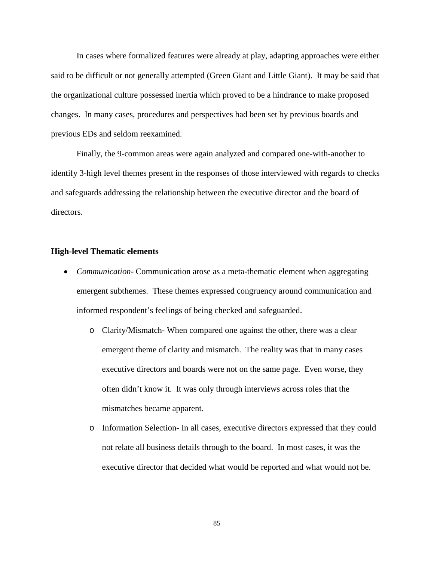In cases where formalized features were already at play, adapting approaches were either said to be difficult or not generally attempted (Green Giant and Little Giant). It may be said that the organizational culture possessed inertia which proved to be a hindrance to make proposed changes. In many cases, procedures and perspectives had been set by previous boards and previous EDs and seldom reexamined.

Finally, the 9-common areas were again analyzed and compared one-with-another to identify 3-high level themes present in the responses of those interviewed with regards to checks and safeguards addressing the relationship between the executive director and the board of directors.

#### **High-level Thematic elements**

- *Communication* Communication arose as a meta-thematic element when aggregating emergent subthemes. These themes expressed congruency around communication and informed respondent's feelings of being checked and safeguarded.
	- o Clarity/Mismatch- When compared one against the other, there was a clear emergent theme of clarity and mismatch. The reality was that in many cases executive directors and boards were not on the same page. Even worse, they often didn't know it. It was only through interviews across roles that the mismatches became apparent.
	- o Information Selection- In all cases, executive directors expressed that they could not relate all business details through to the board. In most cases, it was the executive director that decided what would be reported and what would not be.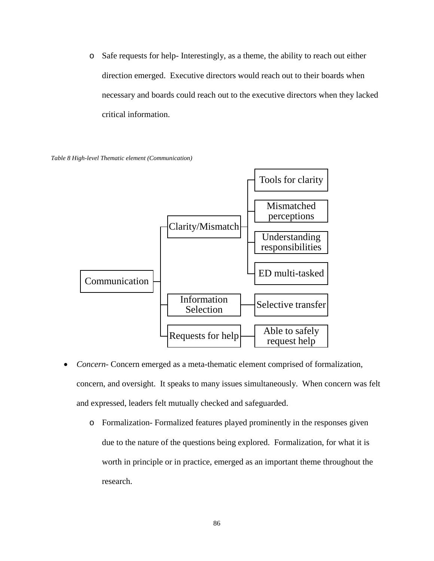o Safe requests for help- Interestingly, as a theme, the ability to reach out either direction emerged. Executive directors would reach out to their boards when necessary and boards could reach out to the executive directors when they lacked critical information.

*Table 8 High-level Thematic element (Communication)*



- *Concern-* Concern emerged as a meta-thematic element comprised of formalization, concern, and oversight. It speaks to many issues simultaneously. When concern was felt and expressed, leaders felt mutually checked and safeguarded.
	- o Formalization- Formalized features played prominently in the responses given due to the nature of the questions being explored. Formalization, for what it is worth in principle or in practice, emerged as an important theme throughout the research.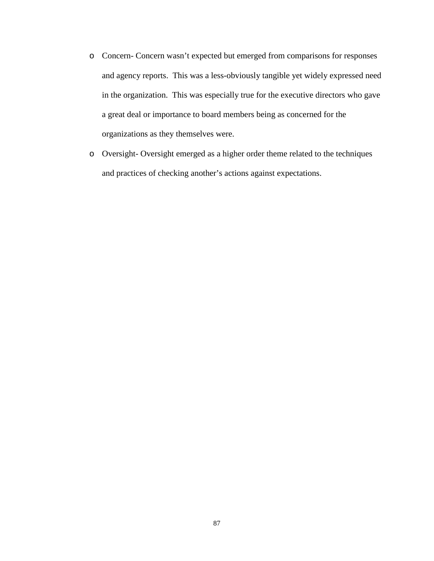- o Concern- Concern wasn't expected but emerged from comparisons for responses and agency reports. This was a less-obviously tangible yet widely expressed need in the organization. This was especially true for the executive directors who gave a great deal or importance to board members being as concerned for the organizations as they themselves were.
- o Oversight- Oversight emerged as a higher order theme related to the techniques and practices of checking another's actions against expectations.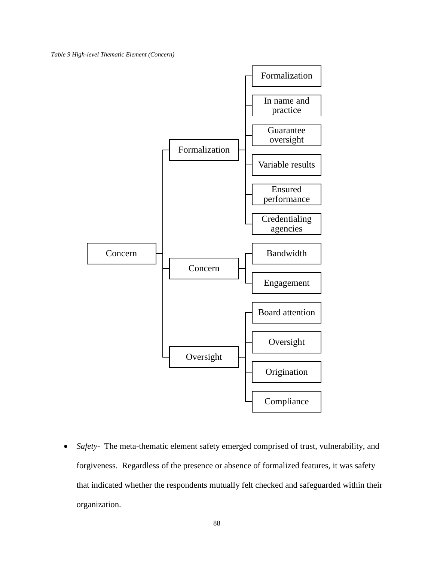*Table 9 High-level Thematic Element (Concern)*



• *Safety*- The meta-thematic element safety emerged comprised of trust, vulnerability, and forgiveness. Regardless of the presence or absence of formalized features, it was safety that indicated whether the respondents mutually felt checked and safeguarded within their organization.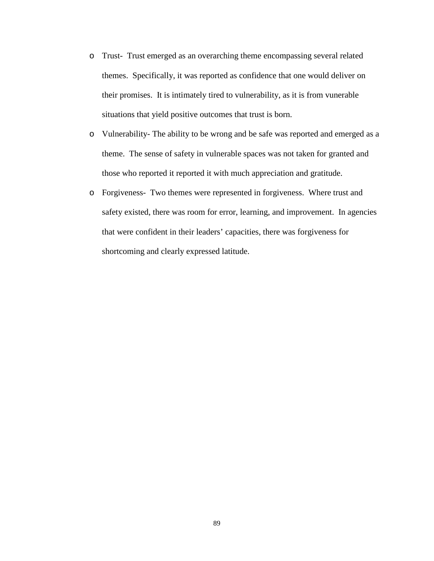- o Trust- Trust emerged as an overarching theme encompassing several related themes. Specifically, it was reported as confidence that one would deliver on their promises. It is intimately tired to vulnerability, as it is from vunerable situations that yield positive outcomes that trust is born.
- o Vulnerability- The ability to be wrong and be safe was reported and emerged as a theme. The sense of safety in vulnerable spaces was not taken for granted and those who reported it reported it with much appreciation and gratitude.
- o Forgiveness- Two themes were represented in forgiveness. Where trust and safety existed, there was room for error, learning, and improvement. In agencies that were confident in their leaders' capacities, there was forgiveness for shortcoming and clearly expressed latitude.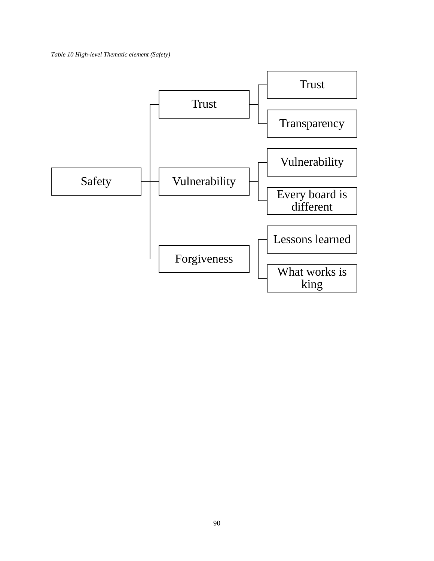*Table 10 High-level Thematic element (Safety)*

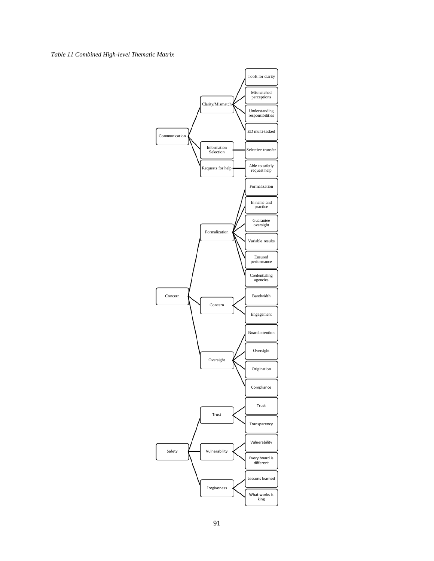#### *Table 11 Combined High-level Thematic Matrix*

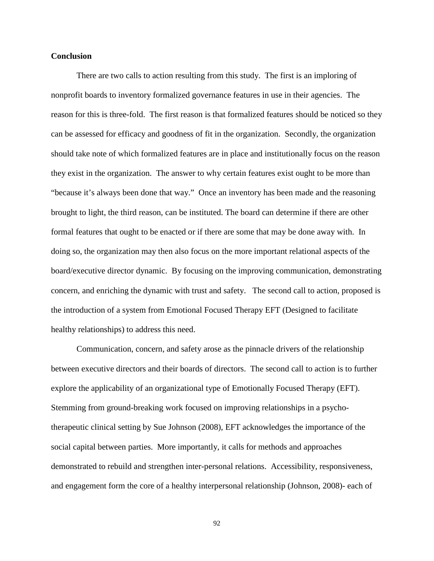### **Conclusion**

There are two calls to action resulting from this study. The first is an imploring of nonprofit boards to inventory formalized governance features in use in their agencies. The reason for this is three-fold. The first reason is that formalized features should be noticed so they can be assessed for efficacy and goodness of fit in the organization. Secondly, the organization should take note of which formalized features are in place and institutionally focus on the reason they exist in the organization. The answer to why certain features exist ought to be more than "because it's always been done that way." Once an inventory has been made and the reasoning brought to light, the third reason, can be instituted. The board can determine if there are other formal features that ought to be enacted or if there are some that may be done away with. In doing so, the organization may then also focus on the more important relational aspects of the board/executive director dynamic. By focusing on the improving communication, demonstrating concern, and enriching the dynamic with trust and safety. The second call to action, proposed is the introduction of a system from Emotional Focused Therapy EFT (Designed to facilitate healthy relationships) to address this need.

Communication, concern, and safety arose as the pinnacle drivers of the relationship between executive directors and their boards of directors. The second call to action is to further explore the applicability of an organizational type of Emotionally Focused Therapy (EFT). Stemming from ground-breaking work focused on improving relationships in a psychotherapeutic clinical setting by Sue Johnson (2008), EFT acknowledges the importance of the social capital between parties. More importantly, it calls for methods and approaches demonstrated to rebuild and strengthen inter-personal relations. Accessibility, responsiveness, and engagement form the core of a healthy interpersonal relationship (Johnson, 2008)- each of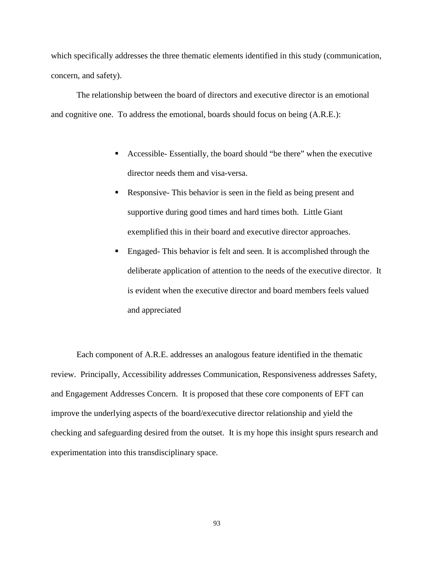which specifically addresses the three thematic elements identified in this study (communication, concern, and safety).

The relationship between the board of directors and executive director is an emotional and cognitive one. To address the emotional, boards should focus on being (A.R.E.):

- Accessible- Essentially, the board should "be there" when the executive director needs them and visa-versa.
- Responsive- This behavior is seen in the field as being present and supportive during good times and hard times both. Little Giant exemplified this in their board and executive director approaches.
- Engaged- This behavior is felt and seen. It is accomplished through the deliberate application of attention to the needs of the executive director. It is evident when the executive director and board members feels valued and appreciated

Each component of A.R.E. addresses an analogous feature identified in the thematic review. Principally, Accessibility addresses Communication, Responsiveness addresses Safety, and Engagement Addresses Concern. It is proposed that these core components of EFT can improve the underlying aspects of the board/executive director relationship and yield the checking and safeguarding desired from the outset. It is my hope this insight spurs research and experimentation into this transdisciplinary space.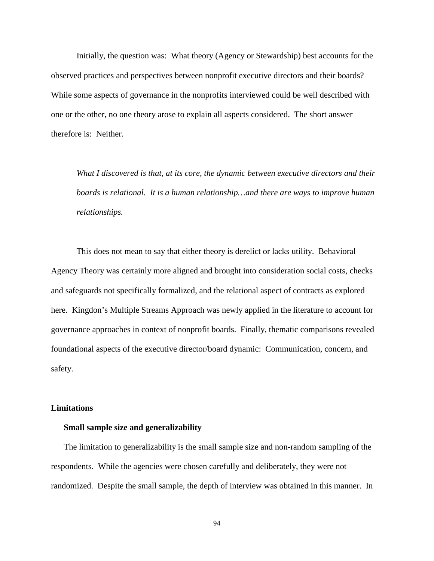Initially, the question was: What theory (Agency or Stewardship) best accounts for the observed practices and perspectives between nonprofit executive directors and their boards? While some aspects of governance in the nonprofits interviewed could be well described with one or the other, no one theory arose to explain all aspects considered. The short answer therefore is: Neither.

*What I discovered is that, at its core, the dynamic between executive directors and their boards is relational. It is a human relationship…and there are ways to improve human relationships.*

This does not mean to say that either theory is derelict or lacks utility. Behavioral Agency Theory was certainly more aligned and brought into consideration social costs, checks and safeguards not specifically formalized, and the relational aspect of contracts as explored here. Kingdon's Multiple Streams Approach was newly applied in the literature to account for governance approaches in context of nonprofit boards. Finally, thematic comparisons revealed foundational aspects of the executive director/board dynamic: Communication, concern, and safety.

#### **Limitations**

#### **Small sample size and generalizability**

The limitation to generalizability is the small sample size and non-random sampling of the respondents. While the agencies were chosen carefully and deliberately, they were not randomized. Despite the small sample, the depth of interview was obtained in this manner. In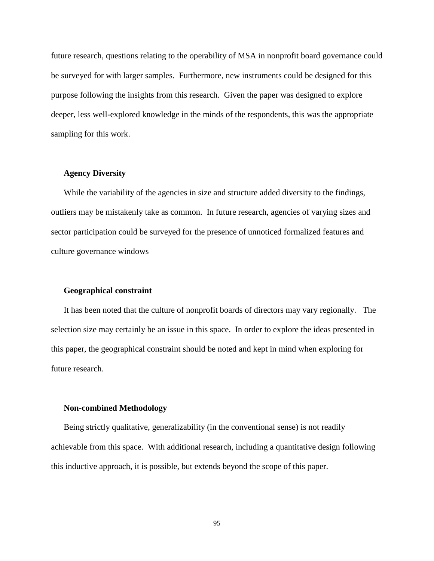future research, questions relating to the operability of MSA in nonprofit board governance could be surveyed for with larger samples. Furthermore, new instruments could be designed for this purpose following the insights from this research. Given the paper was designed to explore deeper, less well-explored knowledge in the minds of the respondents, this was the appropriate sampling for this work.

### **Agency Diversity**

While the variability of the agencies in size and structure added diversity to the findings, outliers may be mistakenly take as common. In future research, agencies of varying sizes and sector participation could be surveyed for the presence of unnoticed formalized features and culture governance windows

### **Geographical constraint**

It has been noted that the culture of nonprofit boards of directors may vary regionally. The selection size may certainly be an issue in this space. In order to explore the ideas presented in this paper, the geographical constraint should be noted and kept in mind when exploring for future research.

#### **Non-combined Methodology**

Being strictly qualitative, generalizability (in the conventional sense) is not readily achievable from this space. With additional research, including a quantitative design following this inductive approach, it is possible, but extends beyond the scope of this paper.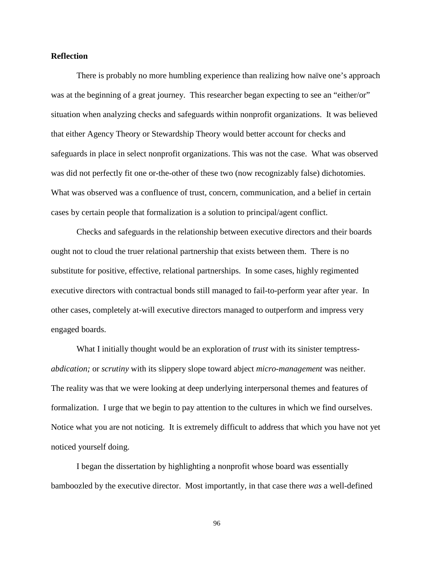### **Reflection**

There is probably no more humbling experience than realizing how naïve one's approach was at the beginning of a great journey. This researcher began expecting to see an "either/or" situation when analyzing checks and safeguards within nonprofit organizations. It was believed that either Agency Theory or Stewardship Theory would better account for checks and safeguards in place in select nonprofit organizations. This was not the case. What was observed was did not perfectly fit one or-the-other of these two (now recognizably false) dichotomies. What was observed was a confluence of trust, concern, communication, and a belief in certain cases by certain people that formalization is a solution to principal/agent conflict.

Checks and safeguards in the relationship between executive directors and their boards ought not to cloud the truer relational partnership that exists between them. There is no substitute for positive, effective, relational partnerships. In some cases, highly regimented executive directors with contractual bonds still managed to fail-to-perform year after year. In other cases, completely at-will executive directors managed to outperform and impress very engaged boards.

What I initially thought would be an exploration of *trust* with its sinister temptress*abdication;* or *scrutiny* with its slippery slope toward abject *micro-management* was neither. The reality was that we were looking at deep underlying interpersonal themes and features of formalization. I urge that we begin to pay attention to the cultures in which we find ourselves. Notice what you are not noticing. It is extremely difficult to address that which you have not yet noticed yourself doing.

I began the dissertation by highlighting a nonprofit whose board was essentially bamboozled by the executive director. Most importantly, in that case there *was* a well-defined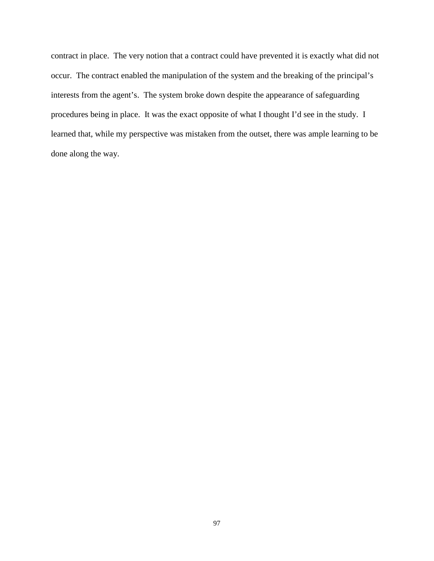contract in place. The very notion that a contract could have prevented it is exactly what did not occur. The contract enabled the manipulation of the system and the breaking of the principal's interests from the agent's. The system broke down despite the appearance of safeguarding procedures being in place. It was the exact opposite of what I thought I'd see in the study. I learned that, while my perspective was mistaken from the outset, there was ample learning to be done along the way.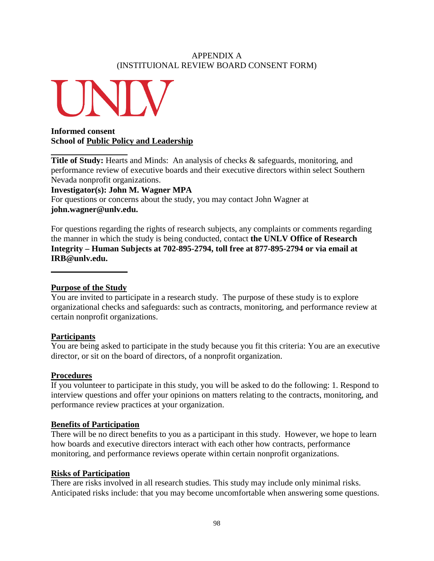## APPENDIX A (INSTITUIONAL REVIEW BOARD CONSENT FORM)



# **Informed consent School of Public Policy and Leadership**

**Title of Study:** Hearts and Minds: An analysis of checks & safeguards, monitoring, and performance review of executive boards and their executive directors within select Southern Nevada nonprofit organizations.

**Investigator(s): John M. Wagner MPA**

For questions or concerns about the study, you may contact John Wagner at **john.wagner@unlv.edu.**

For questions regarding the rights of research subjects, any complaints or comments regarding the manner in which the study is being conducted, contact **the UNLV Office of Research Integrity – Human Subjects at 702-895-2794, toll free at 877-895-2794 or via email at IRB@unlv.edu.**

# **Purpose of the Study**

You are invited to participate in a research study. The purpose of these study is to explore organizational checks and safeguards: such as contracts, monitoring, and performance review at certain nonprofit organizations.

# **Participants**

You are being asked to participate in the study because you fit this criteria: You are an executive director, or sit on the board of directors, of a nonprofit organization.

## **Procedures**

If you volunteer to participate in this study, you will be asked to do the following: 1. Respond to interview questions and offer your opinions on matters relating to the contracts, monitoring, and performance review practices at your organization.

## **Benefits of Participation**

There will be no direct benefits to you as a participant in this study. However, we hope to learn how boards and executive directors interact with each other how contracts, performance monitoring, and performance reviews operate within certain nonprofit organizations.

## **Risks of Participation**

There are risks involved in all research studies. This study may include only minimal risks. Anticipated risks include: that you may become uncomfortable when answering some questions.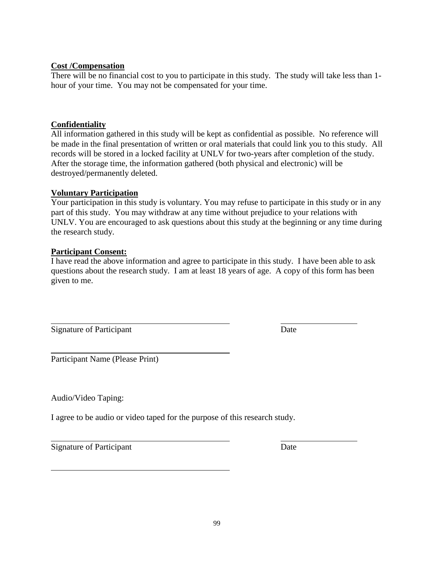## **Cost /Compensation**

There will be no financial cost to you to participate in this study. The study will take less than 1 hour of your time. You may not be compensated for your time.

## **Confidentiality**

All information gathered in this study will be kept as confidential as possible. No reference will be made in the final presentation of written or oral materials that could link you to this study. All records will be stored in a locked facility at UNLV for two-years after completion of the study. After the storage time, the information gathered (both physical and electronic) will be destroyed/permanently deleted.

## **Voluntary Participation**

Your participation in this study is voluntary. You may refuse to participate in this study or in any part of this study. You may withdraw at any time without prejudice to your relations with UNLV. You are encouraged to ask questions about this study at the beginning or any time during the research study.

## **Participant Consent:**

I have read the above information and agree to participate in this study. I have been able to ask questions about the research study. I am at least 18 years of age. A copy of this form has been given to me.

Signature of Participant Date

Participant Name (Please Print)

Audio/Video Taping:

I agree to be audio or video taped for the purpose of this research study.

Signature of Participant Date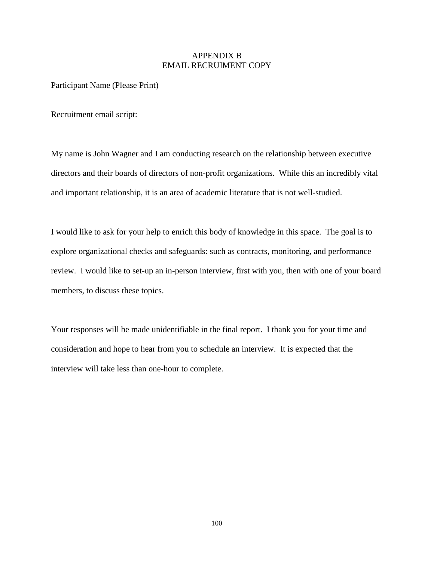## APPENDIX B EMAIL RECRUIMENT COPY

Participant Name (Please Print)

Recruitment email script:

My name is John Wagner and I am conducting research on the relationship between executive directors and their boards of directors of non-profit organizations. While this an incredibly vital and important relationship, it is an area of academic literature that is not well-studied.

I would like to ask for your help to enrich this body of knowledge in this space. The goal is to explore organizational checks and safeguards: such as contracts, monitoring, and performance review. I would like to set-up an in-person interview, first with you, then with one of your board members, to discuss these topics.

Your responses will be made unidentifiable in the final report. I thank you for your time and consideration and hope to hear from you to schedule an interview. It is expected that the interview will take less than one-hour to complete.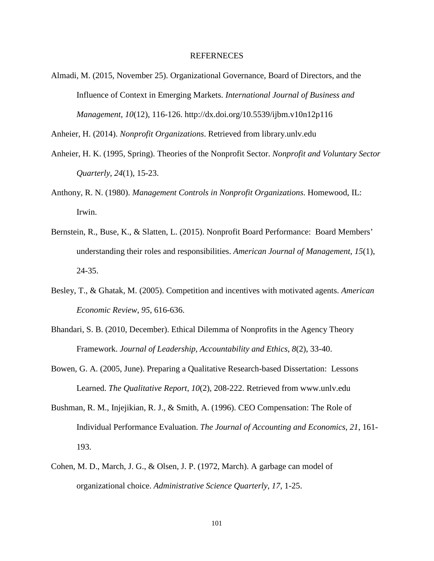#### REFERNECES

Almadi, M. (2015, November 25). Organizational Governance, Board of Directors, and the Influence of Context in Emerging Markets. *International Journal of Business and Management*, *10*(12), 116-126. http://dx.doi.org/10.5539/ijbm.v10n12p116

Anheier, H. (2014). *Nonprofit Organizations*. Retrieved from library.unlv.edu

- Anheier, H. K. (1995, Spring). Theories of the Nonprofit Sector. *Nonprofit and Voluntary Sector Quarterly*, *24*(1), 15-23.
- Anthony, R. N. (1980). *Management Controls in Nonprofit Organizations*. Homewood, IL: Irwin.
- Bernstein, R., Buse, K., & Slatten, L. (2015). Nonprofit Board Performance: Board Members' understanding their roles and responsibilities. *American Journal of Management*, *15*(1), 24-35.
- Besley, T., & Ghatak, M. (2005). Competition and incentives with motivated agents. *American Economic Review*, *95*, 616-636.
- Bhandari, S. B. (2010, December). Ethical Dilemma of Nonprofits in the Agency Theory Framework. *Journal of Leadership, Accountability and Ethics*, *8*(2), 33-40.
- Bowen, G. A. (2005, June). Preparing a Qualitative Research-based Dissertation: Lessons Learned. *The Qualitative Report*, *10*(2), 208-222. Retrieved from www.unlv.edu
- Bushman, R. M., Injejikian, R. J., & Smith, A. (1996). CEO Compensation: The Role of Individual Performance Evaluation. *The Journal of Accounting and Economics*, *21*, 161- 193.
- Cohen, M. D., March, J. G., & Olsen, J. P. (1972, March). A garbage can model of organizational choice. *Administrative Science Quarterly*, *17*, 1-25.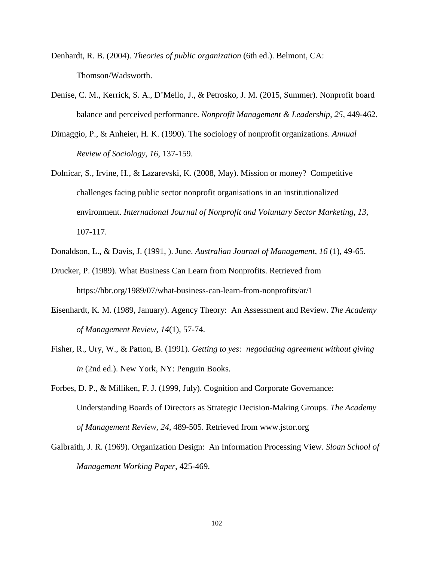- Denhardt, R. B. (2004). *Theories of public organization* (6th ed.). Belmont, CA: Thomson/Wadsworth.
- Denise, C. M., Kerrick, S. A., D'Mello, J., & Petrosko, J. M. (2015, Summer). Nonprofit board balance and perceived performance. *Nonprofit Management & Leadership*, *25*, 449-462.
- Dimaggio, P., & Anheier, H. K. (1990). The sociology of nonprofit organizations. *Annual Review of Sociology*, *16*, 137-159.
- Dolnicar, S., Irvine, H., & Lazarevski, K. (2008, May). Mission or money? Competitive challenges facing public sector nonprofit organisations in an institutionalized environment. *International Journal of Nonprofit and Voluntary Sector Marketing*, *13*, 107-117.
- Donaldson, L., & Davis, J. (1991, ). June. *Australian Journal of Management*, *16* (1), 49-65.
- Drucker, P. (1989). What Business Can Learn from Nonprofits. Retrieved from https://hbr.org/1989/07/what-business-can-learn-from-nonprofits/ar/1
- Eisenhardt, K. M. (1989, January). Agency Theory: An Assessment and Review. *The Academy of Management Review*, *14*(1), 57-74.
- Fisher, R., Ury, W., & Patton, B. (1991). *Getting to yes: negotiating agreement without giving in* (2nd ed.). New York, NY: Penguin Books.

Forbes, D. P., & Milliken, F. J. (1999, July). Cognition and Corporate Governance: Understanding Boards of Directors as Strategic Decision-Making Groups. *The Academy of Management Review*, *24*, 489-505. Retrieved from www.jstor.org

Galbraith, J. R. (1969). Organization Design: An Information Processing View. *Sloan School of Management Working Paper*, 425-469.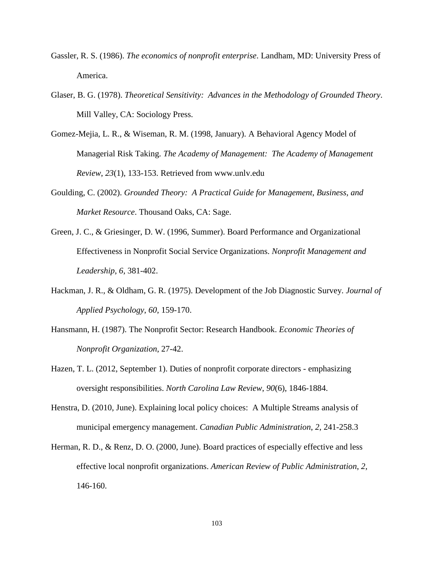- Gassler, R. S. (1986). *The economics of nonprofit enterprise*. Landham, MD: University Press of America.
- Glaser, B. G. (1978). *Theoretical Sensitivity: Advances in the Methodology of Grounded Theory*. Mill Valley, CA: Sociology Press.
- Gomez-Mejia, L. R., & Wiseman, R. M. (1998, January). A Behavioral Agency Model of Managerial Risk Taking. *The Academy of Management: The Academy of Management Review*, *23*(1), 133-153. Retrieved from www.unlv.edu
- Goulding, C. (2002). *Grounded Theory: A Practical Guide for Management, Business, and Market Resource*. Thousand Oaks, CA: Sage.
- Green, J. C., & Griesinger, D. W. (1996, Summer). Board Performance and Organizational Effectiveness in Nonprofit Social Service Organizations. *Nonprofit Management and Leadership*, *6*, 381-402.
- Hackman, J. R., & Oldham, G. R. (1975). Development of the Job Diagnostic Survey. *Journal of Applied Psychology*, *60*, 159-170.
- Hansmann, H. (1987). The Nonprofit Sector: Research Handbook. *Economic Theories of Nonprofit Organization*, 27-42.
- Hazen, T. L. (2012, September 1). Duties of nonprofit corporate directors emphasizing oversight responsibilities. *North Carolina Law Review*, *90*(6), 1846-1884.
- Henstra, D. (2010, June). Explaining local policy choices: A Multiple Streams analysis of municipal emergency management. *Canadian Public Administration*, *2*, 241-258.3
- Herman, R. D., & Renz, D. O. (2000, June). Board practices of especially effective and less effective local nonprofit organizations. *American Review of Public Administration*, *2*, 146-160.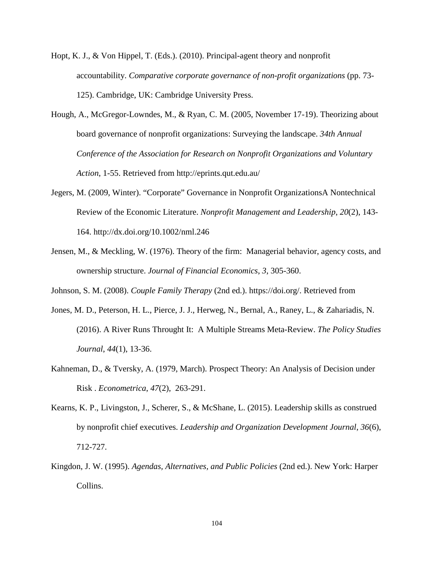- Hopt, K. J., & Von Hippel, T. (Eds.). (2010). Principal-agent theory and nonprofit accountability. *Comparative corporate governance of non-profit organizations* (pp. 73- 125). Cambridge, UK: Cambridge University Press.
- Hough, A., McGregor-Lowndes, M., & Ryan, C. M. (2005, November 17-19). Theorizing about board governance of nonprofit organizations: Surveying the landscape. *34th Annual Conference of the Association for Research on Nonprofit Organizations and Voluntary Action*, 1-55. Retrieved from http://eprints.qut.edu.au/
- Jegers, M. (2009, Winter). "Corporate" Governance in Nonprofit OrganizationsA Nontechnical Review of the Economic Literature. *Nonprofit Management and Leadership*, *20*(2), 143- 164. http://dx.doi.org/10.1002/nml.246
- Jensen, M., & Meckling, W. (1976). Theory of the firm: Managerial behavior, agency costs, and ownership structure. *Journal of Financial Economics*, *3*, 305-360.

Johnson, S. M. (2008). *Couple Family Therapy* (2nd ed.). https://doi.org/. Retrieved from

- Jones, M. D., Peterson, H. L., Pierce, J. J., Herweg, N., Bernal, A., Raney, L., & Zahariadis, N. (2016). A River Runs Throught It: A Multiple Streams Meta-Review. *The Policy Studies Journal*, *44*(1), 13-36.
- Kahneman, D., & Tversky, A. (1979, March). Prospect Theory: An Analysis of Decision under Risk . *Econometrica*, *47*(2), 263-291.
- Kearns, K. P., Livingston, J., Scherer, S., & McShane, L. (2015). Leadership skills as construed by nonprofit chief executives. *Leadership and Organization Development Journal*, *36*(6), 712-727.
- Kingdon, J. W. (1995). *Agendas, Alternatives, and Public Policies* (2nd ed.). New York: Harper Collins.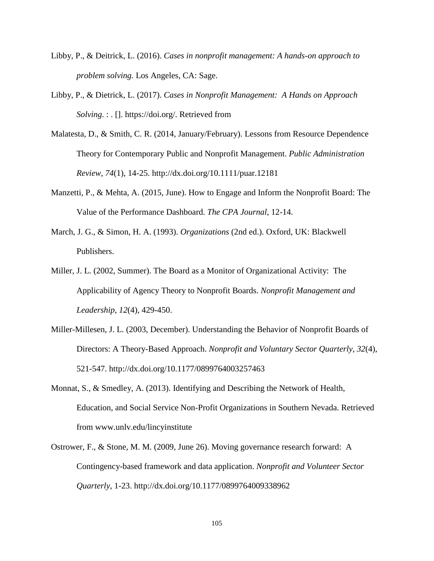- Libby, P., & Deitrick, L. (2016). *Cases in nonprofit management: A hands-on approach to problem solving.* Los Angeles, CA: Sage.
- Libby, P., & Dietrick, L. (2017). *Cases in Nonprofit Management: A Hands on Approach Solving*. : . []. https://doi.org/. Retrieved from
- Malatesta, D., & Smith, C. R. (2014, January/February). Lessons from Resource Dependence Theory for Contemporary Public and Nonprofit Management. *Public Administration Review*, *74*(1), 14-25. http://dx.doi.org/10.1111/puar.12181
- Manzetti, P., & Mehta, A. (2015, June). How to Engage and Inform the Nonprofit Board: The Value of the Performance Dashboard. *The CPA Journal*, 12-14.
- March, J. G., & Simon, H. A. (1993). *Organizations* (2nd ed.). Oxford, UK: Blackwell Publishers.
- Miller, J. L. (2002, Summer). The Board as a Monitor of Organizational Activity: The Applicability of Agency Theory to Nonprofit Boards. *Nonprofit Management and Leadership*, *12*(4), 429-450.
- Miller-Millesen, J. L. (2003, December). Understanding the Behavior of Nonprofit Boards of Directors: A Theory-Based Approach. *Nonprofit and Voluntary Sector Quarterly*, *32*(4), 521-547. http://dx.doi.org/10.1177/0899764003257463
- Monnat, S., & Smedley, A. (2013). Identifying and Describing the Network of Health, Education, and Social Service Non-Profit Organizations in Southern Nevada. Retrieved from www.unlv.edu/lincyinstitute
- Ostrower, F., & Stone, M. M. (2009, June 26). Moving governance research forward: A Contingency-based framework and data application. *Nonprofit and Volunteer Sector Quarterly*, 1-23. http://dx.doi.org/10.1177/0899764009338962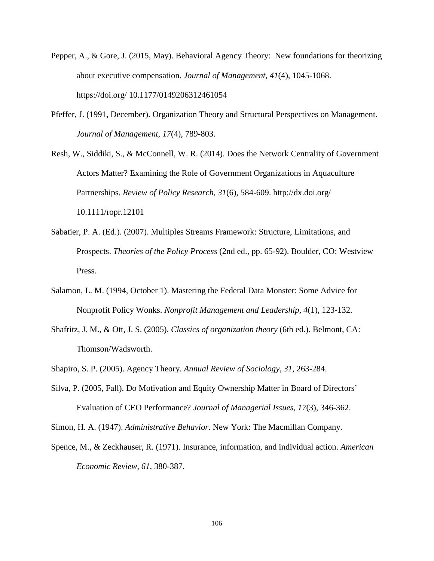- Pepper, A., & Gore, J. (2015, May). Behavioral Agency Theory: New foundations for theorizing about executive compensation. *Journal of Management*, *41*(4), 1045-1068. https://doi.org/ 10.1177/0149206312461054
- Pfeffer, J. (1991, December). Organization Theory and Structural Perspectives on Management. *Journal of Management*, *17*(4), 789-803.

Resh, W., Siddiki, S., & McConnell, W. R. (2014). Does the Network Centrality of Government Actors Matter? Examining the Role of Government Organizations in Aquaculture Partnerships. *Review of Policy Research*, *31*(6), 584-609. http://dx.doi.org/ 10.1111/ropr.12101

- Sabatier, P. A. (Ed.). (2007). Multiples Streams Framework: Structure, Limitations, and Prospects. *Theories of the Policy Process* (2nd ed., pp. 65-92). Boulder, CO: Westview Press.
- Salamon, L. M. (1994, October 1). Mastering the Federal Data Monster: Some Advice for Nonprofit Policy Wonks. *Nonprofit Management and Leadership*, *4*(1), 123-132.
- Shafritz, J. M., & Ott, J. S. (2005). *Classics of organization theory* (6th ed.). Belmont, CA: Thomson/Wadsworth.
- Shapiro, S. P. (2005). Agency Theory. *Annual Review of Sociology*, *31*, 263-284.
- Silva, P. (2005, Fall). Do Motivation and Equity Ownership Matter in Board of Directors' Evaluation of CEO Performance? *Journal of Managerial Issues*, *17*(3), 346-362.
- Simon, H. A. (1947). *Administrative Behavior*. New York: The Macmillan Company.
- Spence, M., & Zeckhauser, R. (1971). Insurance, information, and individual action. *American Economic Review*, *61*, 380-387.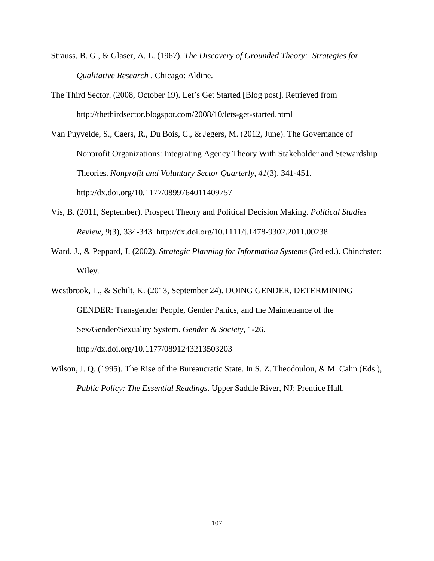- Strauss, B. G., & Glaser, A. L. (1967). *The Discovery of Grounded Theory: Strategies for Qualitative Research* . Chicago: Aldine.
- The Third Sector. (2008, October 19). Let's Get Started [Blog post]. Retrieved from http://thethirdsector.blogspot.com/2008/10/lets-get-started.html

Van Puyvelde, S., Caers, R., Du Bois, C., & Jegers, M. (2012, June). The Governance of Nonprofit Organizations: Integrating Agency Theory With Stakeholder and Stewardship Theories. *Nonprofit and Voluntary Sector Quarterly*, *41*(3), 341-451. http://dx.doi.org/10.1177/0899764011409757

- Vis, B. (2011, September). Prospect Theory and Political Decision Making. *Political Studies Review*, *9*(3), 334-343. http://dx.doi.org/10.1111/j.1478-9302.2011.00238
- Ward, J., & Peppard, J. (2002). *Strategic Planning for Information Systems* (3rd ed.). Chinchster: Wiley.

Westbrook, L., & Schilt, K. (2013, September 24). DOING GENDER, DETERMINING GENDER: Transgender People, Gender Panics, and the Maintenance of the Sex/Gender/Sexuality System. *Gender & Society*, 1-26. http://dx.doi.org/10.1177/0891243213503203

Wilson, J. Q. (1995). The Rise of the Bureaucratic State. In S. Z. Theodoulou, & M. Cahn (Eds.), *Public Policy: The Essential Readings*. Upper Saddle River, NJ: Prentice Hall.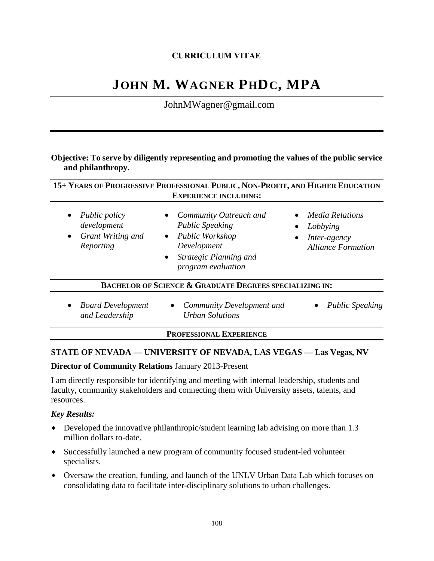## **CURRICULUM VITAE**

# **JOHN M. WAGNER PHDC, MPA**

JohnMWagner@gmail.com

## **Objective: To serve by diligently representing and promoting the values of the public service and philanthropy.**

|                                                                                                 | 15+ YEARS OF PROGRESSIVE PROFESSIONAL PUBLIC, NON-PROFIT, AND HIGHER EDUCATION<br><b>EXPERIENCE INCLUDING:</b>                                               |                                                                            |
|-------------------------------------------------------------------------------------------------|--------------------------------------------------------------------------------------------------------------------------------------------------------------|----------------------------------------------------------------------------|
| <i>Public policy</i><br>$\bullet$<br>development<br>Grant Writing and<br>$\bullet$<br>Reporting | Community Outreach and<br><b>Public Speaking</b><br>Public Workshop<br>$\bullet$<br>Development<br>Strategic Planning and<br>$\bullet$<br>program evaluation | • Media Relations<br>Lobbying<br>Inter-agency<br><b>Alliance Formation</b> |
|                                                                                                 | <b>BACHELOR OF SCIENCE &amp; GRADUATE DEGREES SPECIALIZING IN:</b>                                                                                           |                                                                            |
| <b>Board Development</b><br>$\bullet$<br>and Leadership                                         | Community Development and<br>$\bullet$<br><b>Urban Solutions</b>                                                                                             | <b>Public Speaking</b>                                                     |

**PROFESSIONAL EXPERIENCE**

#### **STATE OF NEVADA — UNIVERSITY OF NEVADA, LAS VEGAS — Las Vegas, NV**

#### **Director of Community Relations** January 2013-Present

I am directly responsible for identifying and meeting with internal leadership, students and faculty, community stakeholders and connecting them with University assets, talents, and resources.

#### *Key Results:*

- Developed the innovative philanthropic/student learning lab advising on more than 1.3 million dollars to-date.
- Successfully launched a new program of community focused student-led volunteer specialists.
- Oversaw the creation, funding, and launch of the UNLV Urban Data Lab which focuses on consolidating data to facilitate inter-disciplinary solutions to urban challenges.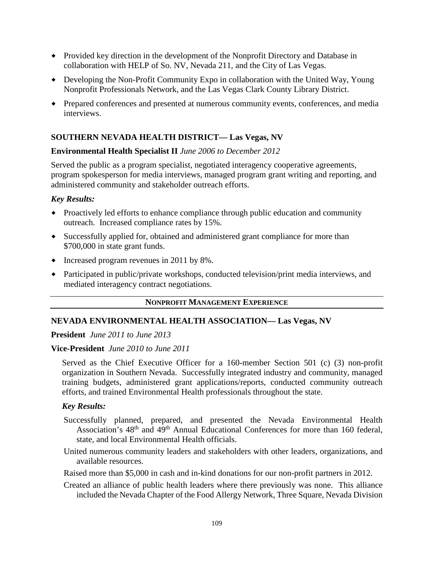- Provided key direction in the development of the Nonprofit Directory and Database in collaboration with HELP of So. NV, Nevada 211, and the City of Las Vegas.
- Developing the Non-Profit Community Expo in collaboration with the United Way, Young Nonprofit Professionals Network, and the Las Vegas Clark County Library District.
- Prepared conferences and presented at numerous community events, conferences, and media interviews.

## **SOUTHERN NEVADA HEALTH DISTRICT— Las Vegas, NV**

## **Environmental Health Specialist II** *June 2006 to December 2012*

Served the public as a program specialist, negotiated interagency cooperative agreements, program spokesperson for media interviews, managed program grant writing and reporting, and administered community and stakeholder outreach efforts.

## *Key Results:*

- Proactively led efforts to enhance compliance through public education and community outreach. Increased compliance rates by 15%.
- Successfully applied for, obtained and administered grant compliance for more than \$700,000 in state grant funds.
- Increased program revenues in 2011 by 8%.
- Participated in public/private workshops, conducted television/print media interviews, and mediated interagency contract negotiations.

#### **NONPROFIT MANAGEMENT EXPERIENCE**

#### **NEVADA ENVIRONMENTAL HEALTH ASSOCIATION— Las Vegas, NV**

**President** *June 2011 to June 2013*

#### **Vice-President** *June 2010 to June 2011*

Served as the Chief Executive Officer for a 160-member Section 501 (c) (3) non-profit organization in Southern Nevada. Successfully integrated industry and community, managed training budgets, administered grant applications/reports, conducted community outreach efforts, and trained Environmental Health professionals throughout the state.

#### *Key Results:*

- Successfully planned, prepared, and presented the Nevada Environmental Health Association's 48<sup>th</sup> and 49<sup>th</sup> Annual Educational Conferences for more than 160 federal, state, and local Environmental Health officials.
- United numerous community leaders and stakeholders with other leaders, organizations, and available resources.

Raised more than \$5,000 in cash and in-kind donations for our non-profit partners in 2012.

Created an alliance of public health leaders where there previously was none. This alliance included the Nevada Chapter of the Food Allergy Network, Three Square, Nevada Division